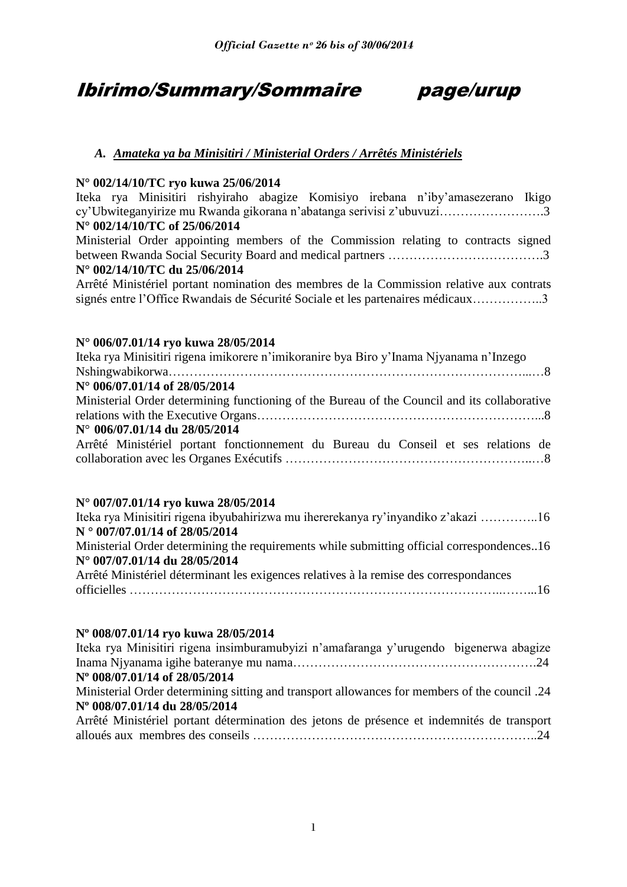## Ibirimo/Summary/Sommaire page/urup

### *A. Amateka ya ba Minisitiri / Ministerial Orders / Arrêtés Ministériels*

#### **N° 002/14/10/TC ryo kuwa 25/06/2014**

Iteka rya Minisitiri rishyiraho abagize Komisiyo irebana n"iby"amasezerano Ikigo cy"Ubwiteganyirize mu Rwanda gikorana n"abatanga serivisi z"ubuvuzi…………………….3 **N° 002/14/10/TC of 25/06/2014**

Ministerial Order appointing members of the Commission relating to contracts signed between Rwanda Social Security Board and medical partners ……………………………….3 **N° 002/14/10/TC du 25/06/2014**

Arrêté Ministériel portant nomination des membres de la Commission relative aux contrats signés entre l"Office Rwandais de Sécurité Sociale et les partenaires médicaux……………..3

#### **N° 006/07.01/14 ryo kuwa 28/05/2014**

| Iteka rya Minisitiri rigena imikorere n'imikoranire bya Biro y'Inama Njyanama n'Inzego       |
|----------------------------------------------------------------------------------------------|
|                                                                                              |
| N° 006/07.01/14 of 28/05/2014                                                                |
| Ministerial Order determining functioning of the Bureau of the Council and its collaborative |
|                                                                                              |
| $N^{\circ}$ 006/07.01/14 du 28/05/2014                                                       |
| Arrêté Ministériel portant fonctionnement du Bureau du Conseil et ses relations de           |
|                                                                                              |
|                                                                                              |

#### **N° 007/07.01/14 ryo kuwa 28/05/2014**

| Iteka rya Minisitiri rigena ibyubahirizwa mu ihererekanya ry'inyandiko z'akazi 16          |
|--------------------------------------------------------------------------------------------|
| $N^{\circ}$ 007/07.01/14 of 28/05/2014                                                     |
| Ministerial Order determining the requirements while submitting official correspondences16 |
| N° 007/07.01/14 du 28/05/2014                                                              |
| Arrêté Ministériel déterminant les exigences relatives à la remise des correspondances     |
|                                                                                            |

#### **Nº 008/07.01/14 ryo kuwa 28/05/2014**

| Iteka rya Minisitiri rigena insimburamubyizi n'amafaranga y'urugendo bigenerwa abagize          |  |
|-------------------------------------------------------------------------------------------------|--|
|                                                                                                 |  |
| Nº 008/07.01/14 of 28/05/2014                                                                   |  |
| A Ministerial Order determining sitting and transport allowances for members of the council .24 |  |
| Nº 008/07.01/14 du 28/05/2014                                                                   |  |
| Arrêté Ministériel portant détermination des jetons de présence et indemnités de transport      |  |
|                                                                                                 |  |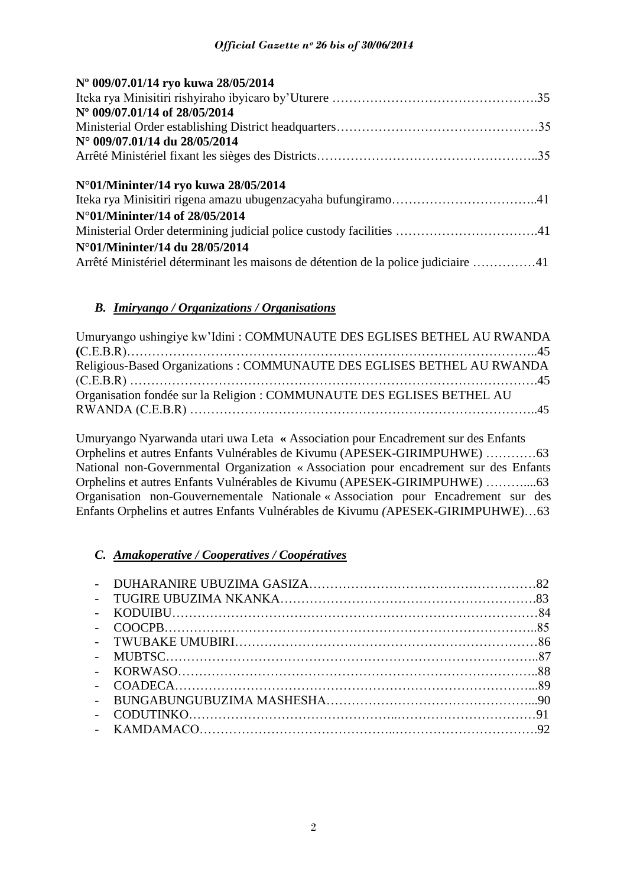| Nº 009/07.01/14 ryo kuwa 28/05/2014                                                |  |
|------------------------------------------------------------------------------------|--|
|                                                                                    |  |
| N° 009/07.01/14 of 28/05/2014                                                      |  |
|                                                                                    |  |
| N° 009/07.01/14 du 28/05/2014                                                      |  |
|                                                                                    |  |
|                                                                                    |  |
| N°01/Mininter/14 ryo kuwa 28/05/2014                                               |  |
|                                                                                    |  |
| N°01/Mininter/14 of 28/05/2014                                                     |  |
|                                                                                    |  |
| N°01/Mininter/14 du 28/05/2014                                                     |  |
| Arrêté Ministériel déterminant les maisons de détention de la police judiciaire 41 |  |

#### *B. Imiryango / Organizations / Organisations*

| Umuryango ushingiye kw'Idini : COMMUNAUTE DES EGLISES BETHEL AU RWANDA |  |
|------------------------------------------------------------------------|--|
|                                                                        |  |
| Religious-Based Organizations: COMMUNAUTE DES EGLISES BETHEL AU RWANDA |  |
|                                                                        |  |
| Organisation fondée sur la Religion : COMMUNAUTE DES EGLISES BETHEL AU |  |
|                                                                        |  |

Umuryango Nyarwanda utari uwa Leta **«** Association pour Encadrement sur des Enfants Orphelins et autres Enfants Vulnérables de Kivumu (APESEK-GIRIMPUHWE) …………63 National non-Governmental Organization « Association pour encadrement sur des Enfants Orphelins et autres Enfants Vulnérables de Kivumu (APESEK-GIRIMPUHWE) ………....63 Organisation non-Gouvernementale Nationale « Association pour Encadrement sur des Enfants Orphelins et autres Enfants Vulnérables de Kivumu *(*APESEK-GIRIMPUHWE)…63

#### *C. Amakoperative / Cooperatives / Coopératives*

| $\sim$ $-$ |  |
|------------|--|
| $\sim$ $-$ |  |
|            |  |
|            |  |
|            |  |
|            |  |
|            |  |
|            |  |
|            |  |
|            |  |
|            |  |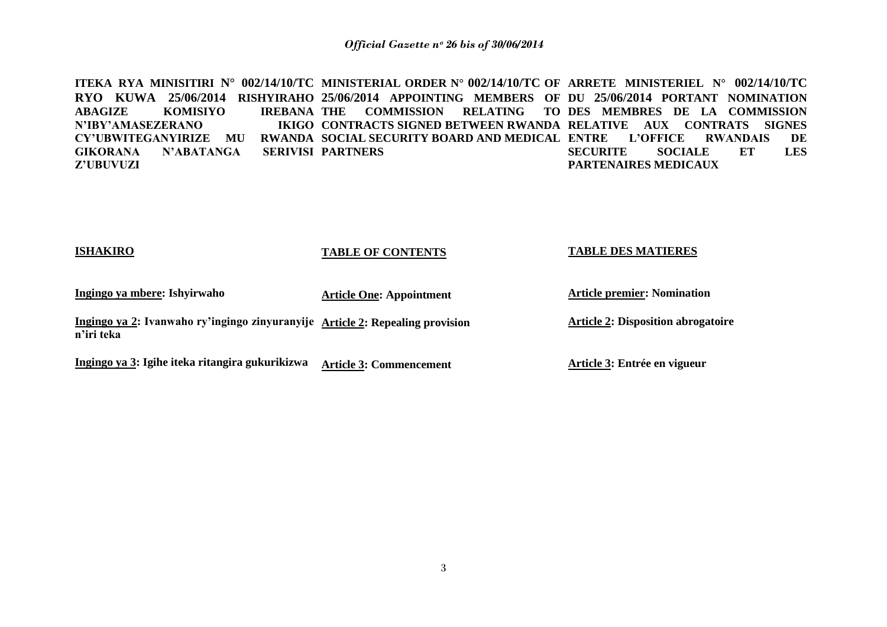**ITEKA RYA MINISITIRI N° 002/14/10/TC MINISTERIAL ORDER N° 002/14/10/TC OF ARRETE MINISTERIEL N° 002/14/10/TC RYO KUWA 25/06/2014 RISHYIRAHO 25/06/2014 APPOINTING MEMBERS OF DU 25/06/2014 PORTANT NOMINATION**  ABAGIZE KOMISIYO **N'IBY'AMASEZERANO CY'UBWITEGANYIRIZE MU RWANDA SOCIAL SECURITY BOARD AND MEDICAL ENTRE L'OFFICE RWANDAIS DE GIKORANA N'ABATANGA Z'UBUVUZI THE COMMISSION RELATING TO DES MEMBRES DE LA COMMISSION CONTRACTS SIGNED BETWEEN RWANDA RELATIVE AUX CONTRATS SIGNES SERIVISI PARTNERS SECURITE SOCIALE ET LES PARTENAIRES MEDICAUX**

**ISHAKIRO**

#### **TABLE OF CONTENTS**

#### **TABLE DES MATIERES**

| Ingingo ya mbere: Ishyirwaho                                                                | <b>Article One: Appointment</b> | <b>Article premier: Nomination</b>        |
|---------------------------------------------------------------------------------------------|---------------------------------|-------------------------------------------|
| Ingingo ya 2: Ivanwaho ry'ingingo zinyuranyije Article 2: Repealing provision<br>n'iri teka |                                 | <b>Article 2: Disposition abrogatoire</b> |
| Ingingo ya 3: Igihe iteka ritangira gukurikizwa                                             | <b>Article 3: Commencement</b>  | Article 3: Entrée en vigueur              |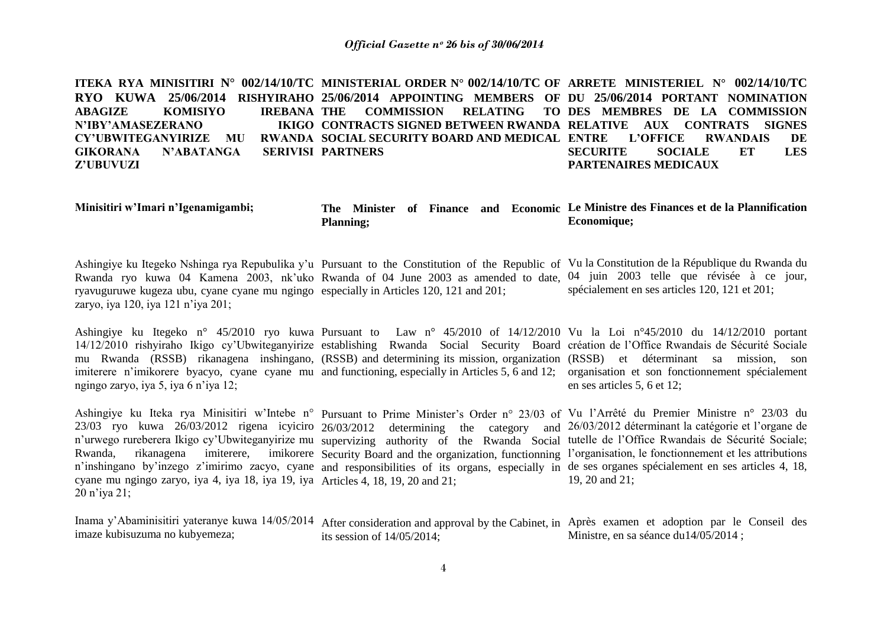**ITEKA RYA MINISITIRI N° 002/14/10/TC MINISTERIAL ORDER N° 002/14/10/TC OF ARRETE MINISTERIEL N° 002/14/10/TC RYO KUWA 25/06/2014 RISHYIRAHO 25/06/2014 APPOINTING MEMBERS OF DU 25/06/2014 PORTANT NOMINATION**  ABAGIZE KOMISIYO **N'IBY'AMASEZERANO CY'UBWITEGANYIRIZE MU GIKORANA N'ABATANGA Z'UBUVUZI TREBANA THE COMMISSION RELATING CONTRACTS SIGNED BETWEEN RWANDA RELATIVE AUX CONTRATS SIGNES RWANDA SOCIAL SECURITY BOARD AND MEDICAL ENTRE SERIVISI PARTNERS** TO DES MEMBRES DE LA COMMISSION **ENTRE ENTRAINAIS DE SECURITE SOCIALE ET LES PARTENAIRES MEDICAUX**

| Minisitiri w'Imari n'Igenamigambi; |                   |  |  | The Minister of Finance and Economic Le Ministre des Finances et de la Plannification |
|------------------------------------|-------------------|--|--|---------------------------------------------------------------------------------------|
|                                    | <b>Planning</b> ; |  |  | Economique;                                                                           |

Ashingiye ku Itegeko Nshinga rya Repubulika y"u Pursuant to the Constitution of the Republic of Vu la Constitution de la République du Rwanda du Rwanda ryo kuwa 04 Kamena 2003, nk'uko Rwanda of 04 June 2003 as amended to date, 04 juin 2003 telle que révisée à ce jour, ryavuguruwe kugeza ubu, cyane cyane mu ngingo especially in Articles 120, 121 and 201; zaryo, iya 120, iya 121 n"iya 201; spécialement en ses articles 120, 121 et 201;

Ashingiye ku Itegeko n° 45/2010 ryo kuwa Pursuant to Law n° 45/2010 of 14/12/2010 Vu la Loi n°45/2010 du 14/12/2010 portant 14/12/2010 rishyiraho Ikigo cy"Ubwiteganyirize establishing Rwanda Social Security Board création de l"Office Rwandais de Sécurité Sociale mu Rwanda (RSSB) rikanagena inshingano, (RSSB) and determining its mission, organization (RSSB) et déterminant sa mission, son imiterere n'imikorere byacyo, cyane cyane mu and functioning, especially in Articles 5, 6 and 12; organisation et son fonctionnement spécialement ngingo zaryo, iya 5, iya 6 n"iya 12; en ses articles 5, 6 et 12;

Ashingiye ku Iteka rya Minisitiri w'Intebe n° Pursuant to Prime Minister's Order n° 23/03 of Vu l'Arrêté du Premier Ministre n° 23/03 du 23/03 ryo kuwa 26/03/2012 rigena icyiciro 26/03/2012 determining the category and 26/03/2012 déterminant la catégorie et l'organe de n'urwego rureberera Ikigo cy'Ubwiteganyirize mu supervizing authority of the Rwanda Social tutelle de l'Office Rwandais de Sécurité Sociale; Rwanda, rikanagena imiterere, n'inshingano by'inzego z'imirimo zacyo, cyane and responsibilities of its organs, especially in de ses organes spécialement en ses articles 4, 18, cyane mu ngingo zaryo, iya 4, iya 18, iya 19, iya Articles 4, 18, 19, 20 and 21; 20 n"iya 21; Security Board and the organization, functionning l'organisation, le fonctionnement et les attributions 19, 20 and 21;

Inama y'Abaminisitiri yateranye kuwa 14/05/2014 After consideration and approval by the Cabinet, in Après examen et adoption par le Conseil des imaze kubisuzuma no kubyemeza; its session of 14/05/2014; Ministre, en sa séance du14/05/2014 ;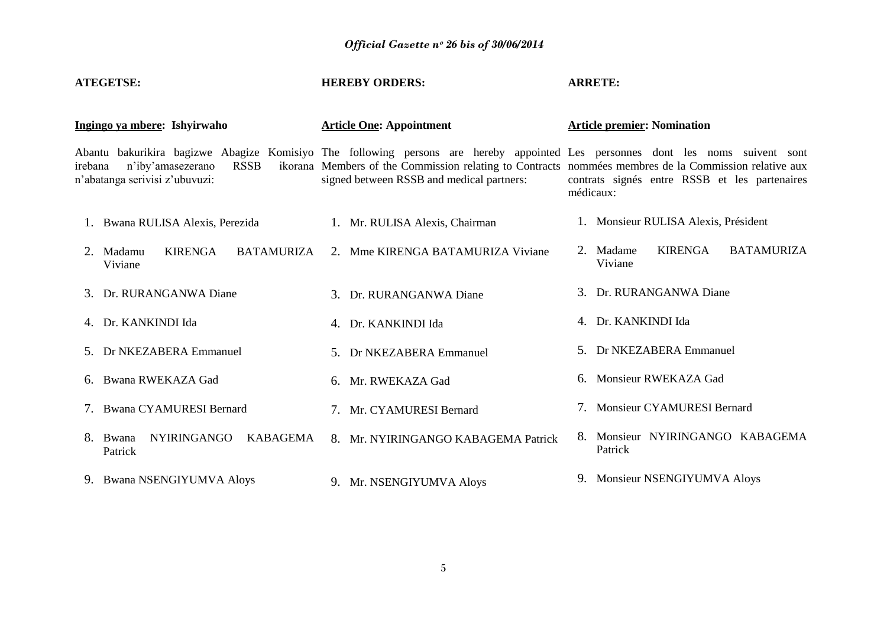| <b>ATEGETSE:</b>                                                              | <b>HEREBY ORDERS:</b>                                                                                                                                                                                                                                                                | <b>ARRETE:</b>                                              |
|-------------------------------------------------------------------------------|--------------------------------------------------------------------------------------------------------------------------------------------------------------------------------------------------------------------------------------------------------------------------------------|-------------------------------------------------------------|
| Ingingo ya mbere: Ishyirwaho                                                  | <b>Article One: Appointment</b>                                                                                                                                                                                                                                                      | <b>Article premier: Nomination</b>                          |
| <b>RSSB</b><br>n'iby'amasezerano<br>irebana<br>n'abatanga serivisi z'ubuvuzi: | Abantu bakurikira bagizwe Abagize Komisiyo The following persons are hereby appointed Les personnes dont les noms suivent sont<br>ikorana Members of the Commission relating to Contracts nommées membres de la Commission relative aux<br>signed between RSSB and medical partners: | contrats signés entre RSSB et les partenaires<br>médicaux:  |
| 1. Bwana RULISA Alexis, Perezida                                              | 1. Mr. RULISA Alexis, Chairman                                                                                                                                                                                                                                                       | 1. Monsieur RULISA Alexis, Président                        |
| <b>KIRENGA</b><br><b>BATAMURIZA</b><br>2. Madamu<br>Viviane                   | 2. Mme KIRENGA BATAMURIZA Viviane                                                                                                                                                                                                                                                    | <b>KIRENGA</b><br><b>BATAMURIZA</b><br>2. Madame<br>Viviane |
| 3. Dr. RURANGANWA Diane                                                       | 3. Dr. RURANGANWA Diane                                                                                                                                                                                                                                                              | 3. Dr. RURANGANWA Diane                                     |
| 4. Dr. KANKINDI Ida                                                           | 4. Dr. KANKINDI Ida                                                                                                                                                                                                                                                                  | 4. Dr. KANKINDI Ida                                         |
| 5. Dr NKEZABERA Emmanuel                                                      | 5. Dr NKEZABERA Emmanuel                                                                                                                                                                                                                                                             | 5. Dr NKEZABERA Emmanuel                                    |
| 6. Bwana RWEKAZA Gad                                                          | 6. Mr. RWEKAZA Gad                                                                                                                                                                                                                                                                   | 6. Monsieur RWEKAZA Gad                                     |
| 7. Bwana CYAMURESI Bernard                                                    | 7. Mr. CYAMURESI Bernard                                                                                                                                                                                                                                                             | 7. Monsieur CYAMURESI Bernard                               |
| NYIRINGANGO<br>KABAGEMA<br>8. Bwana<br>Patrick                                | 8. Mr. NYIRINGANGO KABAGEMA Patrick                                                                                                                                                                                                                                                  | 8. Monsieur NYIRINGANGO KABAGEMA<br>Patrick                 |
| 9. Bwana NSENGIYUMVA Aloys                                                    | 9. Mr. NSENGIYUMVA Aloys                                                                                                                                                                                                                                                             | 9. Monsieur NSENGIYUMVA Aloys                               |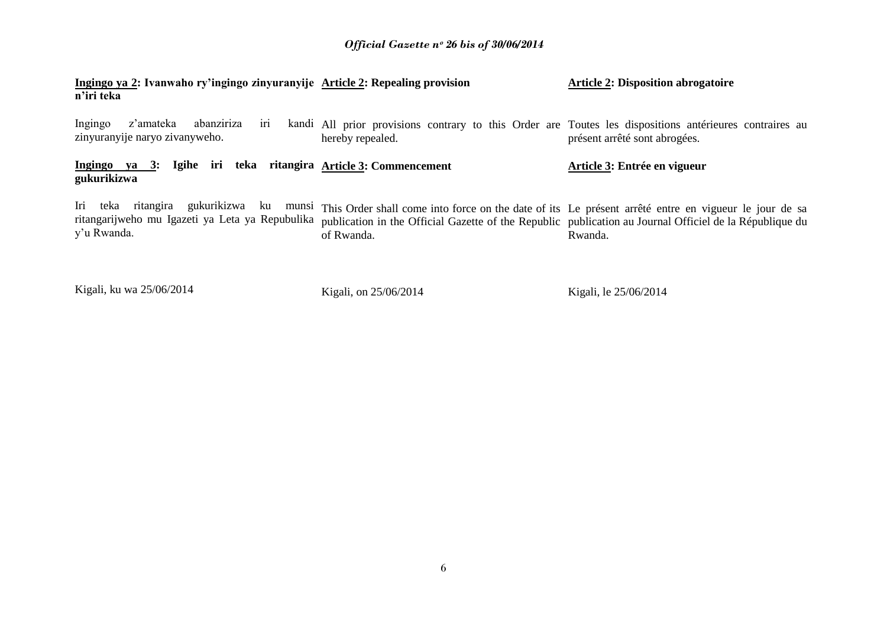| Ingingo ya 2: Ivanwaho ry'ingingo zinyuranyije Article 2: Repealing provision<br>n'iri teka                              |                                                                                                                             | <b>Article 2: Disposition abrogatoire</b>                                                                                                                                                                                  |
|--------------------------------------------------------------------------------------------------------------------------|-----------------------------------------------------------------------------------------------------------------------------|----------------------------------------------------------------------------------------------------------------------------------------------------------------------------------------------------------------------------|
| z'amateka<br>abanziriza<br>Ingingo<br>1r1<br>zinyuranyije naryo zivanyweho.                                              | kandi All prior provisions contrary to this Order are Toutes les dispositions antérieures contraires au<br>hereby repealed. | présent arrêté sont abrogées.                                                                                                                                                                                              |
| Igihe iri<br>Ingingo ya 3:<br>gukurikizwa                                                                                | teka ritangira Article 3: Commencement                                                                                      | Article 3: Entrée en vigueur                                                                                                                                                                                               |
| gukurikizwa<br>teka<br>ritangira<br>Iri<br>ku<br>munsi<br>ritangarijweho mu Igazeti ya Leta ya Repubulika<br>y'u Rwanda. | of Rwanda.                                                                                                                  | This Order shall come into force on the date of its Le présent arrêté entre en vigueur le jour de sa<br>publication in the Official Gazette of the Republic publication au Journal Officiel de la République du<br>Rwanda. |

Kigali, ku wa 25/06/2014

Kigali, on 25/06/2014

Kigali, le 25/06/2014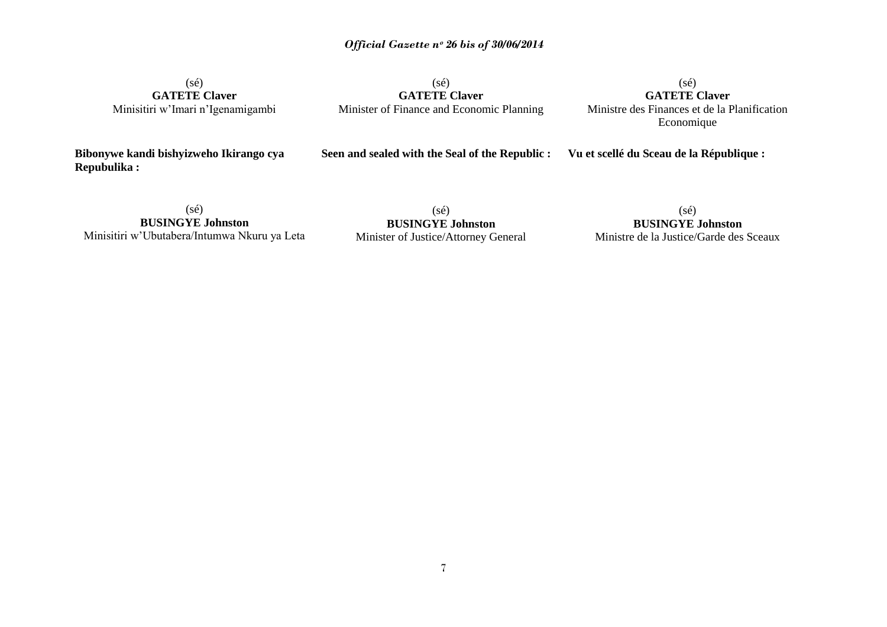(sé) **GATETE Claver** Minisitiri w"Imari n"Igenamigambi

(sé) **GATETE Claver**  Minister of Finance and Economic Planning

(sé) **GATETE Claver**  Ministre des Finances et de la Planification Economique

**Bibonywe kandi bishyizweho Ikirango cya Repubulika :**

**Seen and sealed with the Seal of the Republic :** 

**Vu et scellé du Sceau de la République :**

(sé) **BUSINGYE Johnston** Minisitiri w"Ubutabera/Intumwa Nkuru ya Leta

(sé) **BUSINGYE Johnston** Minister of Justice/Attorney General

(sé) **BUSINGYE Johnston** Ministre de la Justice/Garde des Sceaux

7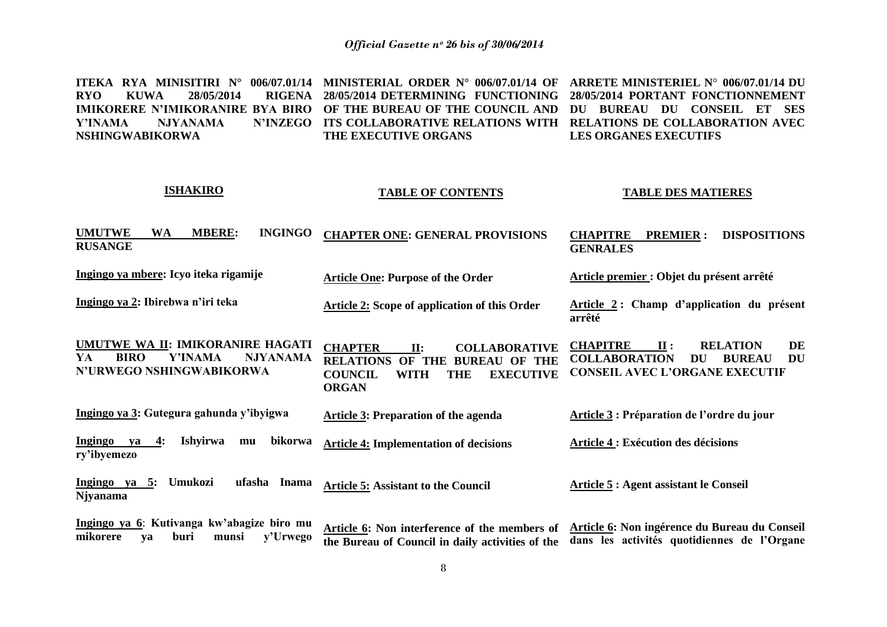**ITEKA RYA MINISITIRI N° 006/07.01/14 MINISTERIAL ORDER N° 006/07.01/14 OF ARRETE MINISTERIEL N**°  **006/07.01/14 DU RYO KUWA 28/05/2014 IMIKORERE N'IMIKORANIRE BYA BIRO OF THE BUREAU OF THE COUNCIL AND DU BUREAU DU CONSEIL ET SES Y'INAMA NJYANAMA NSHINGWABIKORWA 28/05/2014 DETERMINING FUNCTIONING 28/05/2014 PORTANT FONCTIONNEMENT ITS COLLABORATIVE RELATIONS WITH RELATIONS DE COLLABORATION AVEC THE EXECUTIVE ORGANS LES ORGANES EXECUTIFS** 

| <b>ISHAKIRO</b>                                                                                                        | <b>TABLE OF CONTENTS</b>                                                                                                                                                                | <b>TABLE DES MATIERES</b>                                                                                                                                                                   |
|------------------------------------------------------------------------------------------------------------------------|-----------------------------------------------------------------------------------------------------------------------------------------------------------------------------------------|---------------------------------------------------------------------------------------------------------------------------------------------------------------------------------------------|
| <b>UMUTWE</b><br><b>MBERE:</b><br><b>INGINGO</b><br><b>WA</b><br><b>RUSANGE</b>                                        | <b>CHAPTER ONE: GENERAL PROVISIONS</b>                                                                                                                                                  | <b>DISPOSITIONS</b><br><b>CHAPITRE</b><br><b>PREMIER:</b><br><b>GENRALES</b>                                                                                                                |
| Ingingo ya mbere: Icyo iteka rigamije                                                                                  | <b>Article One: Purpose of the Order</b>                                                                                                                                                | Article premier : Objet du présent arrêté                                                                                                                                                   |
| Ingingo ya 2: Ibirebwa n'iri teka                                                                                      | <b>Article 2: Scope of application of this Order</b>                                                                                                                                    | Article 2: Champ d'application du présent<br>arrêté                                                                                                                                         |
| UMUTWE WA II: IMIKORANIRE HAGATI<br><b>BIRO</b><br><b>Y'INAMA</b><br><b>NJYANAMA</b><br>YA<br>N'URWEGO NSHINGWABIKORWA | <b>CHAPTER</b><br>$\Pi$ :<br><b>COLLABORATIVE</b><br><b>RELATIONS OF THE</b><br><b>BUREAU OF THE</b><br><b>EXECUTIVE</b><br><b>COUNCIL</b><br><b>WITH</b><br><b>THE</b><br><b>ORGAN</b> | <b>CHAPITRE</b><br><b>RELATION</b><br>$\mathbf{u}$ :<br>DE<br><b>COLLABORATION</b><br>DU<br><b>BUREAU</b><br>DU<br><b>CONSEIL AVEC L'ORGANE EXECUTIF</b>                                    |
| Ingingo ya 3: Gutegura gahunda y'ibyigwa                                                                               | Article 3: Preparation of the agenda                                                                                                                                                    | Article 3 : Préparation de l'ordre du jour                                                                                                                                                  |
| <b>Ishyirwa</b><br>bikorwa<br><b>Ingingo</b><br>4:<br>va<br>mu<br>ry'ibyemezo                                          | <b>Article 4: Implementation of decisions</b>                                                                                                                                           | <b>Article 4 : Exécution des décisions</b>                                                                                                                                                  |
| Ingingo ya 5: Umukozi<br>ufasha Inama<br><b>Njyanama</b>                                                               | <b>Article 5: Assistant to the Council</b>                                                                                                                                              | <b>Article 5: Agent assistant le Conseil</b>                                                                                                                                                |
| Ingingo ya 6: Kutivanga kw'abagize biro mu<br>y'Urwego<br>mikorere<br>buri<br>va<br>munsi                              |                                                                                                                                                                                         | Article 6: Non interference of the members of Article 6: Non ingérence du Bureau du Conseil<br>the Rureau of Council in daily activities of the dans les activités quotidiennes de l'Organe |

**the Bureau of Council in daily activities of the dans les activités quotidiennes de l'Organe**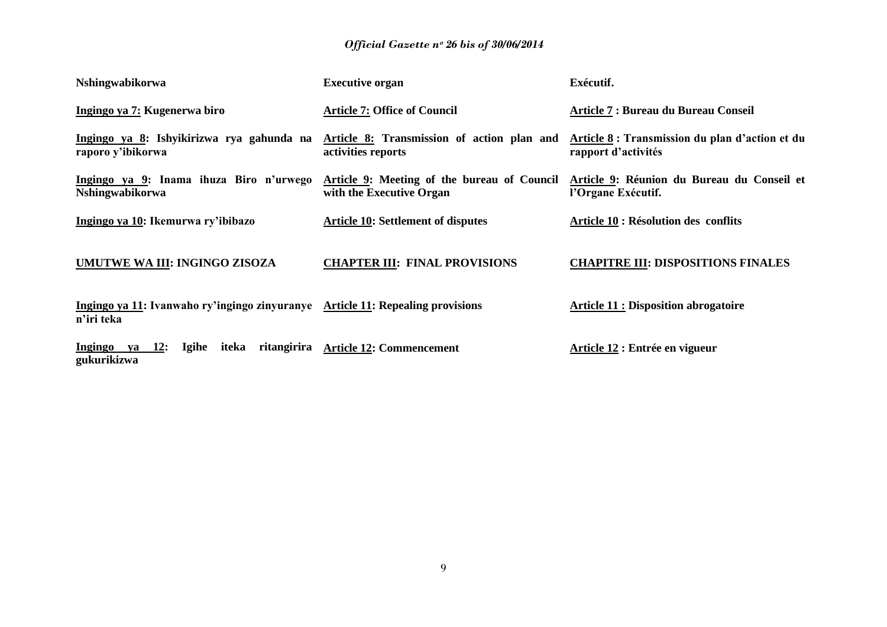| Nshingwabikorwa                                                                              | <b>Executive organ</b>                                                  | Exécutif.                                                              |
|----------------------------------------------------------------------------------------------|-------------------------------------------------------------------------|------------------------------------------------------------------------|
| Ingingo ya 7: Kugenerwa biro                                                                 | <b>Article 7: Office of Council</b>                                     | Article 7 : Bureau du Bureau Conseil                                   |
| Ingingo ya 8: Ishyikirizwa rya gahunda na<br>raporo y'ibikorwa                               | Article 8: Transmission of action plan and<br>activities reports        | Article 8 : Transmission du plan d'action et du<br>rapport d'activités |
| Ingingo ya 9: Inama ihuza Biro n'urwego<br><b>Nshingwabikorwa</b>                            | Article 9: Meeting of the bureau of Council<br>with the Executive Organ | Article 9: Réunion du Bureau du Conseil et<br>l'Organe Exécutif.       |
| Ingingo ya 10: Ikemurwa ry'ibibazo                                                           | <b>Article 10: Settlement of disputes</b>                               | Article 10 : Résolution des conflits                                   |
| UMUTWE WA III: INGINGO ZISOZA                                                                | <b>CHAPTER III: FINAL PROVISIONS</b>                                    | <b>CHAPITRE III: DISPOSITIONS FINALES</b>                              |
| Ingingo ya 11: Ivanwaho ry'ingingo zinyuranye Article 11: Repealing provisions<br>n'iri teka |                                                                         | <b>Article 11 : Disposition abrogatoire</b>                            |
| Ingingo ya $12$ :<br><b>Igihe</b><br>ritangirira<br>iteka<br>gukurikizwa                     | <b>Article 12: Commencement</b>                                         | Article 12 : Entrée en vigueur                                         |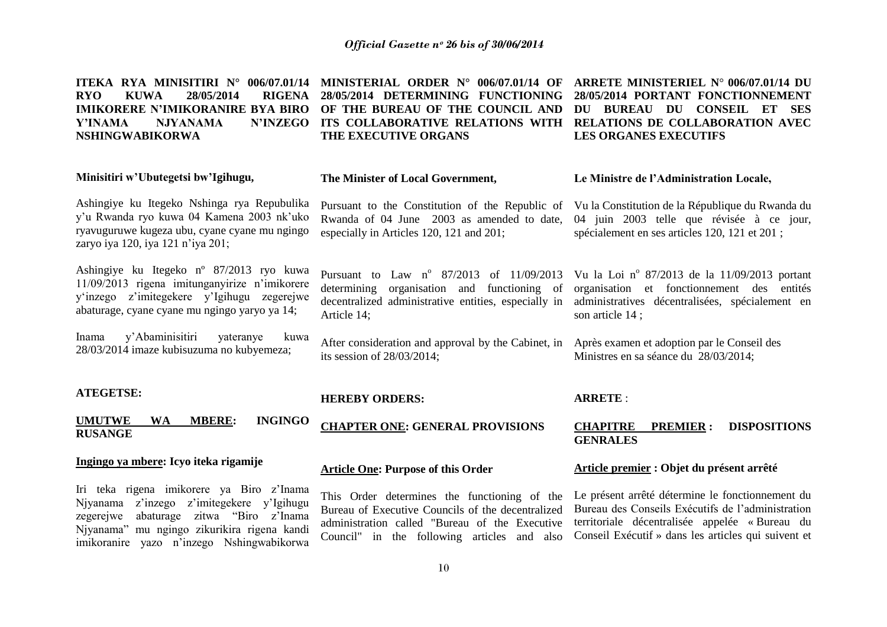| <b>ITEKA RYA MINISITIRI N° 006/07.01/14</b><br><b>KUWA</b><br>28/05/2014<br><b>RIGENA</b><br><b>RYO</b><br>Y'INAMA<br><b>NJYANAMA</b><br><b>N'INZEGO</b><br><b>NSHINGWABIKORWA</b>                                                  | MINISTERIAL ORDER $N^{\circ}$ 006/07.01/14 OF<br>28/05/2014 DETERMINING FUNCTIONING<br>IMIKORERE N'IMIKORANIRE BYA BIRO OF THE BUREAU OF THE COUNCIL AND<br>ITS COLLABORATIVE RELATIONS WITH<br>THE EXECUTIVE ORGANS | ARRETE MINISTERIEL N° 006/07.01/14 DU<br>28/05/2014 PORTANT FONCTIONNEMENT<br>DU BUREAU DU CONSEIL ET<br><b>SES</b><br>RELATIONS DE COLLABORATION AVEC<br><b>LES ORGANES EXECUTIFS</b>                         |
|-------------------------------------------------------------------------------------------------------------------------------------------------------------------------------------------------------------------------------------|----------------------------------------------------------------------------------------------------------------------------------------------------------------------------------------------------------------------|----------------------------------------------------------------------------------------------------------------------------------------------------------------------------------------------------------------|
| Minisitiri w'Ubutegetsi bw'Igihugu,                                                                                                                                                                                                 | The Minister of Local Government,                                                                                                                                                                                    | Le Ministre de l'Administration Locale,                                                                                                                                                                        |
| Ashingiye ku Itegeko Nshinga rya Repubulika<br>y'u Rwanda ryo kuwa 04 Kamena 2003 nk'uko<br>ryavuguruwe kugeza ubu, cyane cyane mu ngingo<br>zaryo iya 120, iya 121 n'iya 201;                                                      | Pursuant to the Constitution of the Republic of Vu la Constitution de la République du Rwanda du<br>Rwanda of 04 June 2003 as amended to date,<br>especially in Articles 120, 121 and 201;                           | 04 juin 2003 telle que révisée à ce jour,<br>spécialement en ses articles 120, 121 et 201;                                                                                                                     |
| Ashingiye ku Itegeko n° 87/2013 ryo kuwa<br>11/09/2013 rigena imitunganyirize n'imikorere<br>y'inzego z'imitegekere y'Igihugu zegerejwe<br>abaturage, cyane cyane mu ngingo yaryo ya 14;                                            | Pursuant to Law $n^{\circ}$ 87/2013 of 11/09/2013<br>organisation and functioning of<br>determining<br>decentralized administrative entities, especially in<br>Article 14;                                           | Vu la Loi nº 87/2013 de la 11/09/2013 portant<br>organisation et fonctionnement des entités<br>administratives décentralisées, spécialement en<br>son article 14;                                              |
| y'Abaminisitiri<br>kuwa<br>Inama<br>yateranye<br>28/03/2014 imaze kubisuzuma no kubyemeza;                                                                                                                                          | After consideration and approval by the Cabinet, in<br>its session of $28/03/2014$ ;                                                                                                                                 | Après examen et adoption par le Conseil des<br>Ministres en sa séance du 28/03/2014;                                                                                                                           |
| <b>ATEGETSE:</b>                                                                                                                                                                                                                    | <b>HEREBY ORDERS:</b>                                                                                                                                                                                                | <b>ARRETE:</b>                                                                                                                                                                                                 |
| <b>INGINGO</b><br><b>UMUTWE</b><br><b>WA</b><br><b>MBERE:</b><br><b>RUSANGE</b>                                                                                                                                                     | <b>CHAPTER ONE: GENERAL PROVISIONS</b>                                                                                                                                                                               | <b>CHAPITRE</b><br><b>DISPOSITIONS</b><br><b>PREMIER:</b><br><b>GENRALES</b>                                                                                                                                   |
| Ingingo ya mbere: Icyo iteka rigamije                                                                                                                                                                                               | <b>Article One: Purpose of this Order</b>                                                                                                                                                                            | Article premier : Objet du présent arrêté                                                                                                                                                                      |
| Iri teka rigena imikorere ya Biro z'Inama<br>Njyanama z'inzego z'imitegekere y'Igihugu<br>abaturage<br>zitwa "Biro z'Inama<br>zegerejwe<br>Njyanama" mu ngingo zikurikira rigena kandi<br>imikoranire yazo n'inzego Nshingwabikorwa | This Order determines the functioning of the<br>Bureau of Executive Councils of the decentralized<br>administration called "Bureau of the Executive<br>Council" in the following articles and also                   | Le présent arrêté détermine le fonctionnement du<br>Bureau des Conseils Exécutifs de l'administration<br>territoriale décentralisée appelée « Bureau du<br>Conseil Exécutif » dans les articles qui suivent et |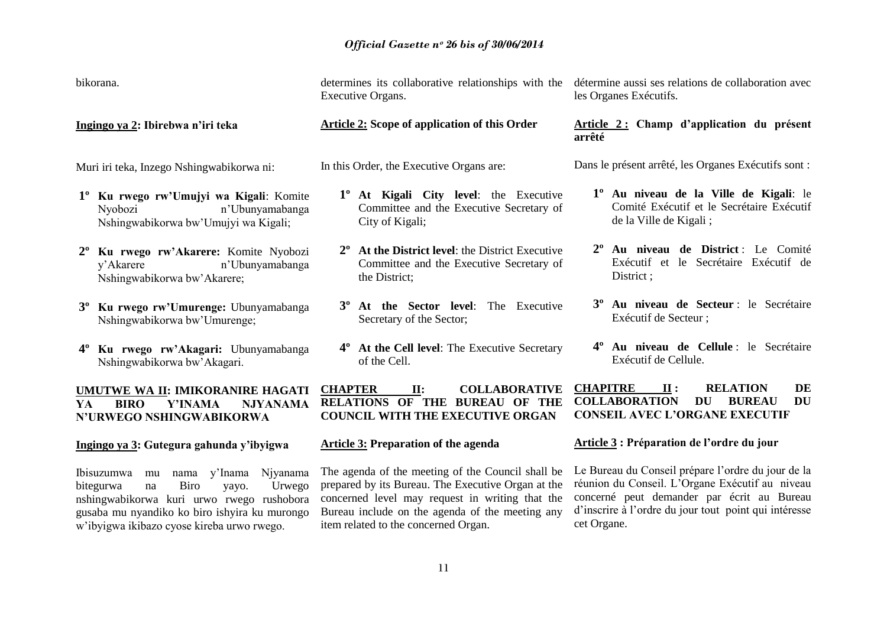bikorana.

**Ingingo ya 2: Ibirebwa n'iri teka**

Muri iri teka, Inzego Nshingwabikorwa ni:

- **1º Ku rwego rw'Umujyi wa Kigali**: Komite Nyobozi n"Ubunyamabanga Nshingwabikorwa bw"Umujyi wa Kigali;
- **2º Ku rwego rw'Akarere:** Komite Nyobozi n'I Ibunyamabanga Nshingwabikorwa bw"Akarere;
- **3º Ku rwego rw'Umurenge:** Ubunyamabanga Nshingwabikorwa bw"Umurenge;
- **4º Ku rwego rw'Akagari:** Ubunyamabanga Nshingwabikorwa bw"Akagari.

Executive Organs.

#### **Article 2: Scope of application of this Order**

In this Order, the Executive Organs are:

- **1º At Kigali City level**: the Executive Committee and the Executive Secretary of City of Kigali;
- **2º At the District level**: the District Executive Committee and the Executive Secretary of the District;
- **3º At the Sector level**: The Executive Secretary of the Sector;
- **4º At the Cell level**: The Executive Secretary of the Cell.

determines its collaborative relationships with the détermine aussi ses relations de collaboration avec les Organes Exécutifs.

#### **Article 2 : Champ d'application du présent arrêté**

Dans le présent arrêté, les Organes Exécutifs sont :

- **1º Au niveau de la Ville de Kigali**: le Comité Exécutif et le Secrétaire Exécutif de la Ville de Kigali ;
- **2º Au niveau de District** : Le Comité Exécutif et le Secrétaire Exécutif de District :
- **3º Au niveau de Secteur** : le Secrétaire Exécutif de Secteur ;
- **4º Au niveau de Cellule** : le Secrétaire Exécutif de Cellule.

**UMUTWE WA II: IMIKORANIRE HAGATI YA BIRO Y'INAMA NJYANAMA N'URWEGO NSHINGWABIKORWA CHAPTER II: COLLABORATIVE RELATIONS OF THE BUREAU OF THE COUNCIL WITH THE EXECUTIVE ORGAN CHAPITRE II : RELATION DE COLLABORATION DU BUREAU DU CONSEIL AVEC L'ORGANE EXECUTIF**

#### **Ingingo ya 3: Gutegura gahunda y'ibyigwa**

Ibisuzumwa mu nama y"Inama Njyanama bitegurwa na Biro yayo. Urwego nshingwabikorwa kuri urwo rwego rushobora gusaba mu nyandiko ko biro ishyira ku murongo w"ibyigwa ikibazo cyose kireba urwo rwego.

**Article 3: Preparation of the agenda**

The agenda of the meeting of the Council shall be prepared by its Bureau. The Executive Organ at the concerned level may request in writing that the Bureau include on the agenda of the meeting any item related to the concerned Organ.

#### **Article 3 : Préparation de l'ordre du jour**

Le Bureau du Conseil prépare l"ordre du jour de la réunion du Conseil. L"Organe Exécutif au niveau concerné peut demander par écrit au Bureau d"inscrire à l"ordre du jour tout point qui intéresse cet Organe.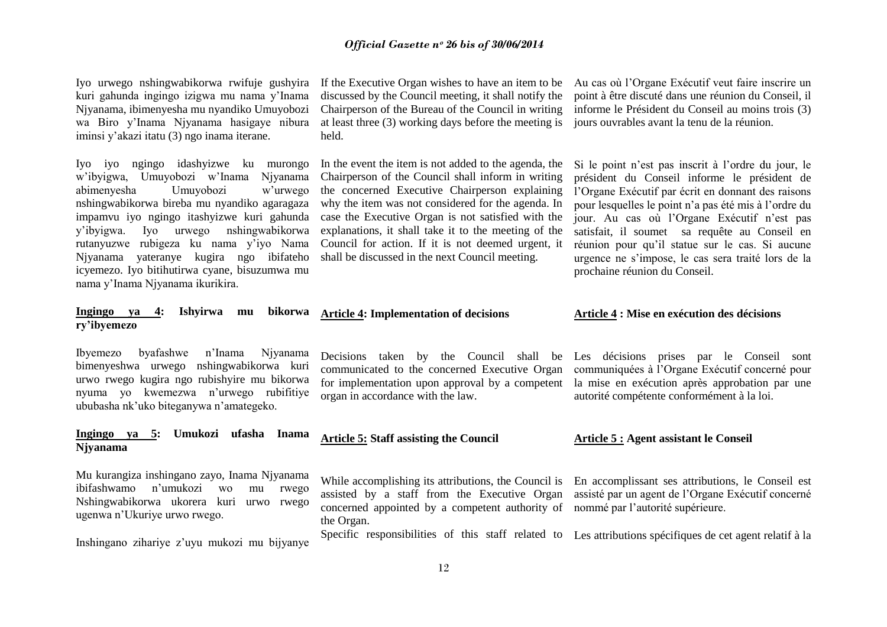Iyo urwego nshingwabikorwa rwifuje gushyira kuri gahunda ingingo izigwa mu nama y"Inama Njyanama, ibimenyesha mu nyandiko Umuyobozi wa Biro y'Inama Niyanama hasigaye nibura iminsi y"akazi itatu (3) ngo inama iterane.

Iyo iyo ngingo idashyizwe ku murongo w"ibyigwa, Umuyobozi w"Inama Njyanama abimenyesha Umuyobozi w"urwego nshingwabikorwa bireba mu nyandiko agaragaza impamvu iyo ngingo itashyizwe kuri gahunda y"ibyigwa. Iyo urwego nshingwabikorwa rutanyuzwe rubigeza ku nama y"iyo Nama Njyanama yateranye kugira ngo ibifateho icyemezo. Iyo bitihutirwa cyane, bisuzumwa mu nama y"Inama Njyanama ikurikira.

#### **Ingingo ya 4: Ishyirwa mu bikorwa ry'ibyemezo**

Ibyemezo byafashwe n"Inama Njyanama bimenyeshwa urwego nshingwabikorwa kuri urwo rwego kugira ngo rubishyire mu bikorwa nyuma yo kwemezwa n"urwego rubifitiye ububasha nk"uko biteganywa n"amategeko.

#### **Ingingo ya 5: Umukozi ufasha Inama Njyanama**

Mu kurangiza inshingano zayo, Inama Njyanama ibifashwamo n"umukozi wo mu rwego Nshingwabikorwa ukorera kuri urwo rwego ugenwa n"Ukuriye urwo rwego.

Inshingano zihariye z"uyu mukozi mu bijyanye

discussed by the Council meeting, it shall notify the Chairperson of the Bureau of the Council in writing at least three (3) working days before the meeting is held.

In the event the item is not added to the agenda, the Chairperson of the Council shall inform in writing the concerned Executive Chairperson explaining why the item was not considered for the agenda. In case the Executive Organ is not satisfied with the explanations, it shall take it to the meeting of the Council for action. If it is not deemed urgent, it shall be discussed in the next Council meeting.

**Article 4: Implementation of decisions**

communicated to the concerned Executive Organ organ in accordance with the law.

#### **Article 5: Staff assisting the Council**

assisted by a staff from the Executive Organ assisté par un agent de l"Organe Exécutif concerné concerned appointed by a competent authority of nommé par l"autorité supérieure. the Organ.

Specific responsibilities of this staff related to Les attributions spécifiques de cet agent relatif à la

While accomplishing its attributions, the Council is En accomplissant ses attributions, le Conseil est

**Article 5 : Agent assistant le Conseil**

Decisions taken by the Council shall be Les décisions prises par le Conseil sont for implementation upon approval by a competent la mise en exécution après approbation par une communiquées à l"Organe Exécutif concerné pour autorité compétente conformément à la loi.

#### **Article 4 : Mise en exécution des décisions**

Si le point n"est pas inscrit à l"ordre du jour, le président du Conseil informe le président de l"Organe Exécutif par écrit en donnant des raisons pour lesquelles le point n"a pas été mis à l"ordre du jour. Au cas où l"Organe Exécutif n"est pas satisfait, il soumet sa requête au Conseil en réunion pour qu"il statue sur le cas. Si aucune

urgence ne s"impose, le cas sera traité lors de la prochaine réunion du Conseil.

If the Executive Organ wishes to have an item to be Au cas où l"Organe Exécutif veut faire inscrire un point à être discuté dans une réunion du Conseil, il informe le Président du Conseil au moins trois (3) jours ouvrables avant la tenu de la réunion.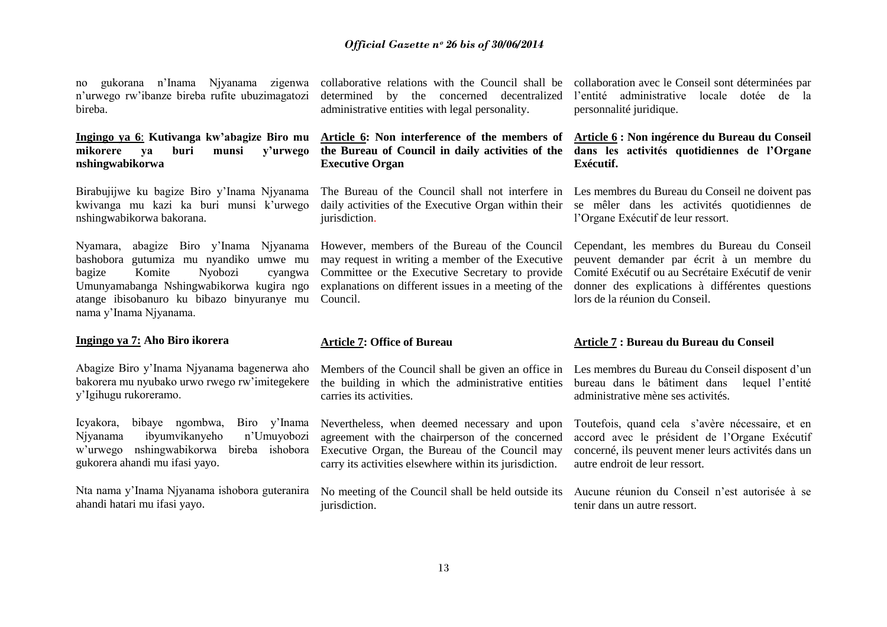no gukorana n"Inama Njyanama zigenwa n"urwego rw"ibanze bireba rufite ubuzimagatozi bireba.

#### **Ingingo ya 6**: **Kutivanga kw'abagize Biro mu mikorere ya buri munsi y'urwego nshingwabikorwa**

Birabujijwe ku bagize Biro y"Inama Njyanama kwivanga mu kazi ka buri munsi k"urwego nshingwabikorwa bakorana.

Nyamara, abagize Biro y"Inama Njyanama bashobora gutumiza mu nyandiko umwe mu bagize Komite Nyobozi cyangwa Umunyamabanga Nshingwabikorwa kugira ngo atange ibisobanuro ku bibazo binyuranye mu nama y"Inama Njyanama.

#### **Ingingo ya 7: Aho Biro ikorera**

Abagize Biro y"Inama Njyanama bagenerwa aho bakorera mu nyubako urwo rwego rw"imitegekere y"Igihugu rukoreramo.

Icyakora, bibaye ngombwa, Biro y"Inama Njyanama ibyumvikanyeho n"Umuyobozi w"urwego nshingwabikorwa bireba ishobora gukorera ahandi mu ifasi yayo.

Nta nama y"Inama Njyanama ishobora guteranira ahandi hatari mu ifasi yayo.

determined by the concerned decentralized administrative entities with legal personality.

#### **Article 6: Non interference of the members of the Bureau of Council in daily activities of the Executive Organ**

daily activities of the Executive Organ within their jurisdiction.

However, members of the Bureau of the Council may request in writing a member of the Executive Committee or the Executive Secretary to provide explanations on different issues in a meeting of the Council.

#### **Article 7: Office of Bureau**

Members of the Council shall be given an office in the building in which the administrative entities carries its activities.

Nevertheless, when deemed necessary and upon agreement with the chairperson of the concerned Executive Organ, the Bureau of the Council may carry its activities elsewhere within its jurisdiction.

jurisdiction.

collaborative relations with the Council shall be collaboration avec le Conseil sont déterminées par l"entité administrative locale dotée de la personnalité juridique.

#### **Article 6 : Non ingérence du Bureau du Conseil dans les activités quotidiennes de l'Organe Exécutif.**

The Bureau of the Council shall not interfere in Les membres du Bureau du Conseil ne doivent pas se mêler dans les activités quotidiennes de l"Organe Exécutif de leur ressort.

> Cependant, les membres du Bureau du Conseil peuvent demander par écrit à un membre du Comité Exécutif ou au Secrétaire Exécutif de venir donner des explications à différentes questions lors de la réunion du Conseil.

#### **Article 7 : Bureau du Bureau du Conseil**

Les membres du Bureau du Conseil disposent d'un bureau dans le bâtiment dans lequel l"entité administrative mène ses activités.

Toutefois, quand cela s"avère nécessaire, et en accord avec le président de l"Organe Exécutif concerné, ils peuvent mener leurs activités dans un autre endroit de leur ressort.

No meeting of the Council shall be held outside its Aucune réunion du Conseil n"est autorisée à se tenir dans un autre ressort.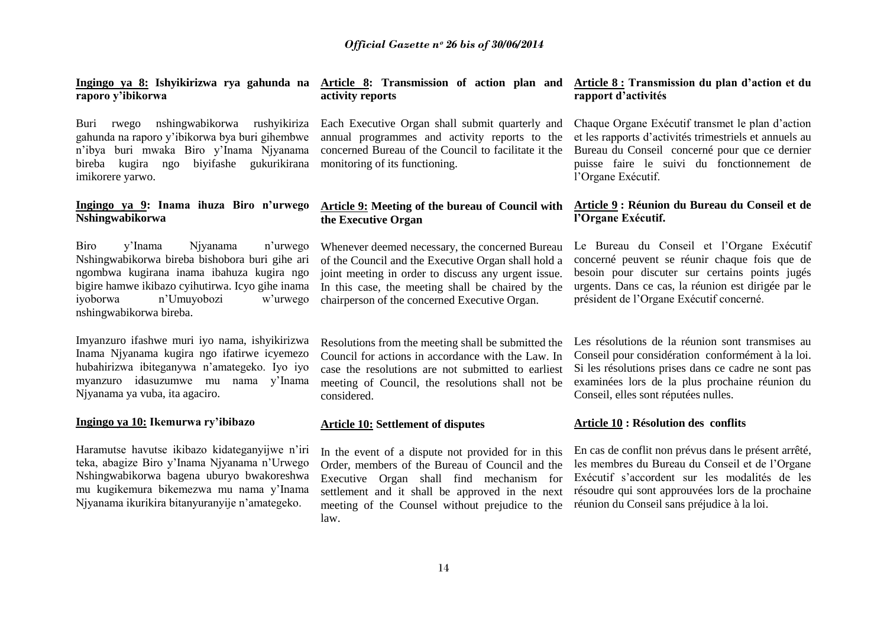**Ingingo ya 8: Ishyikirizwa rya gahunda na raporo y'ibikorwa**

Buri rwego nshingwabikorwa rushyikiriza gahunda na raporo y"ibikorwa bya buri gihembwe n"ibya buri mwaka Biro y"Inama Njyanama bireba kugira ngo biyifashe gukurikirana imikorere yarwo.

#### **Ingingo ya 9: Inama ihuza Biro n'urwego Nshingwabikorwa**

Biro y"Inama Njyanama n"urwego Nshingwabikorwa bireba bishobora buri gihe ari ngombwa kugirana inama ibahuza kugira ngo bigire hamwe ikibazo cyihutirwa. Icyo gihe inama iyoborwa n"Umuyobozi w"urwego nshingwabikorwa bireba.

Imyanzuro ifashwe muri iyo nama, ishyikirizwa Inama Njyanama kugira ngo ifatirwe icyemezo hubahirizwa ibiteganywa n"amategeko. Iyo iyo myanzuro idasuzumwe mu nama y"Inama Njyanama ya vuba, ita agaciro.

#### **Ingingo ya 10: Ikemurwa ry'ibibazo**

Haramutse havutse ikibazo kidateganyijwe n"iri teka, abagize Biro y"Inama Njyanama n"Urwego Nshingwabikorwa bagena uburyo bwakoreshwa mu kugikemura bikemezwa mu nama y"Inama Njyanama ikurikira bitanyuranyije n"amategeko.

## **activity reports**

Each Executive Organ shall submit quarterly and annual programmes and activity reports to the concerned Bureau of the Council to facilitate it the monitoring of its functioning.

#### **Article 9: Meeting of the bureau of Council with the Executive Organ**

Whenever deemed necessary, the concerned Bureau of the Council and the Executive Organ shall hold a joint meeting in order to discuss any urgent issue. In this case, the meeting shall be chaired by the chairperson of the concerned Executive Organ.

Resolutions from the meeting shall be submitted the Council for actions in accordance with the Law. In case the resolutions are not submitted to earliest meeting of Council, the resolutions shall not be considered.

#### **Article 10: Settlement of disputes**

In the event of a dispute not provided for in this Order, members of the Bureau of Council and the Executive Organ shall find mechanism for settlement and it shall be approved in the next meeting of the Counsel without prejudice to the law.

#### **Article 8: Transmission of action plan and Article 8 : Transmission du plan d'action et du rapport d'activités**

Chaque Organe Exécutif transmet le plan d"action et les rapports d"activités trimestriels et annuels au Bureau du Conseil concerné pour que ce dernier puisse faire le suivi du fonctionnement de l"Organe Exécutif.

#### **Article 9 : Réunion du Bureau du Conseil et de l'Organe Exécutif.**

Le Bureau du Conseil et l"Organe Exécutif concerné peuvent se réunir chaque fois que de besoin pour discuter sur certains points jugés urgents. Dans ce cas, la réunion est dirigée par le président de l"Organe Exécutif concerné.

Les résolutions de la réunion sont transmises au Conseil pour considération conformément à la loi. Si les résolutions prises dans ce cadre ne sont pas examinées lors de la plus prochaine réunion du Conseil, elles sont réputées nulles.

#### **Article 10 : Résolution des conflits**

En cas de conflit non prévus dans le présent arrêté, les membres du Bureau du Conseil et de l"Organe Exécutif s"accordent sur les modalités de les résoudre qui sont approuvées lors de la prochaine réunion du Conseil sans préjudice à la loi.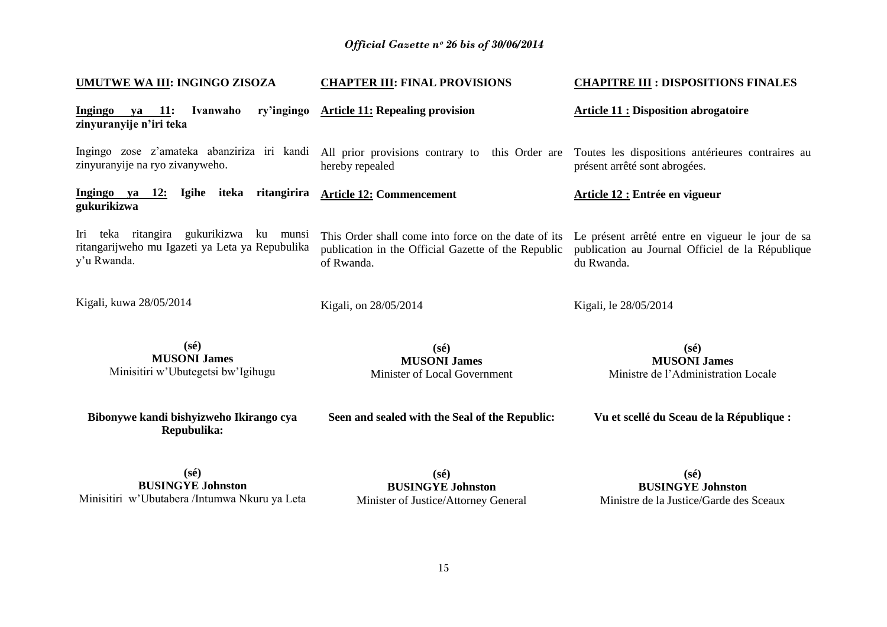| UMUTWE WA III: INGINGO ZISOZA                                                                             | <b>CHAPTER III: FINAL PROVISIONS</b>                                                                                     | <b>CHAPITRE III : DISPOSITIONS FINALES</b>                                                                         |  |
|-----------------------------------------------------------------------------------------------------------|--------------------------------------------------------------------------------------------------------------------------|--------------------------------------------------------------------------------------------------------------------|--|
| ry'ingingo<br>Ivanwaho<br>Ingingo ya 11:<br>zinyuranyije n'iri teka                                       | <b>Article 11: Repealing provision</b>                                                                                   | <b>Article 11 : Disposition abrogatoire</b>                                                                        |  |
| Ingingo zose z'amateka abanziriza iri kandi<br>zinyuranyije na ryo zivanyweho.                            | All prior provisions contrary to this Order are Toutes les dispositions antérieures contraires au<br>hereby repealed     | présent arrêté sont abrogées.                                                                                      |  |
| 12: Igihe iteka ritangirira<br>Ingingo ya<br>gukurikizwa                                                  | <b>Article 12: Commencement</b>                                                                                          | Article 12 : Entrée en vigueur                                                                                     |  |
| Iri teka ritangira gukurikizwa ku munsi<br>ritangarijweho mu Igazeti ya Leta ya Repubulika<br>y'u Rwanda. | This Order shall come into force on the date of its<br>publication in the Official Gazette of the Republic<br>of Rwanda. | Le présent arrêté entre en vigueur le jour de sa<br>publication au Journal Officiel de la République<br>du Rwanda. |  |
| Kigali, kuwa 28/05/2014                                                                                   | Kigali, on 28/05/2014                                                                                                    | Kigali, le 28/05/2014                                                                                              |  |
| $(s\acute{e})$<br><b>MUSONI James</b><br>Minisitiri w'Ubutegetsi bw'Igihugu                               | $(s\acute{e})$<br><b>MUSONI James</b><br>Minister of Local Government                                                    | $(s\acute{e})$<br><b>MUSONI James</b><br>Ministre de l'Administration Locale                                       |  |
| Bibonywe kandi bishyizweho Ikirango cya<br>Repubulika:                                                    | Seen and sealed with the Seal of the Republic:                                                                           | Vu et scellé du Sceau de la République :                                                                           |  |
| $(s\acute{e})$<br><b>BUSINGYE Johnston</b><br>Minisitiri w'Ubutabera /Intumwa Nkuru ya Leta               | $(s\acute{e})$<br><b>BUSINGYE Johnston</b><br>Minister of Justice/Attorney General                                       | $(s\acute{e})$<br><b>BUSINGYE Johnston</b><br>Ministre de la Justice/Garde des Sceaux                              |  |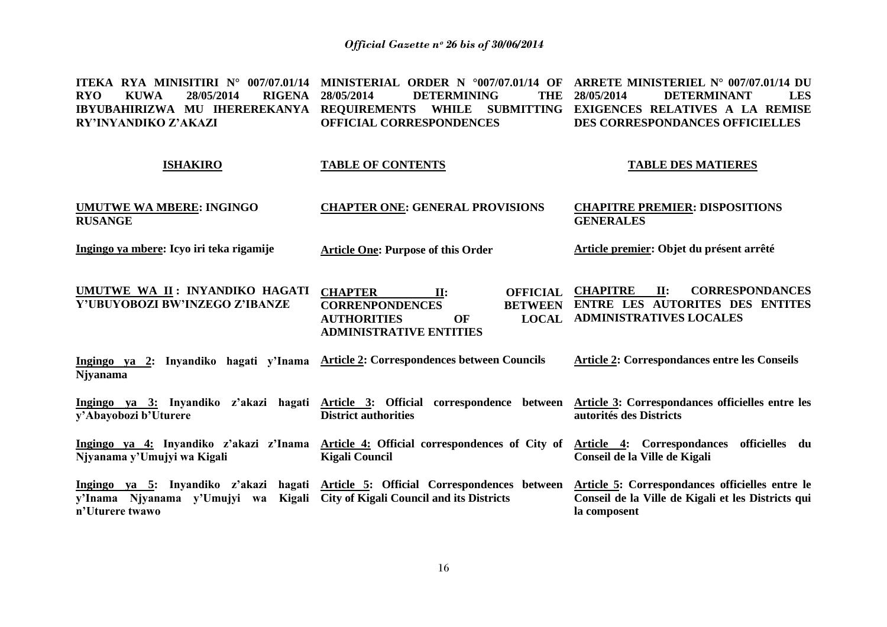**ITEKA RYA MINISITIRI N° 007/07.01/14 MINISTERIAL ORDER N °007/07.01/14 OF ARRETE MINISTERIEL N° 007/07.01/14 DU RYO KUWA 28/05/2014 RIGENA IBYUBAHIRIZWA MU IHEREREKANYA REQUIREMENTS WHILE SUBMITTING EXIGENCES RELATIVES A LA REMISE RY'INYANDIKO Z'AKAZI 28/05/2014 DETERMINING THE OFFICIAL CORRESPONDENCES 28/05/2014 DETERMINANT LES DES CORRESPONDANCES OFFICIELLES**

#### **ISHAKIRO TABLE OF CONTENTS TABLE DES MATIERES**

**UMUTWE WA MBERE: INGINGO RUSANGE CHAPTER ONE: GENERAL PROVISIONS CHAPITRE PREMIER: DISPOSITIONS GENERALES**

**Article One: Purpose of this Order**

**Ingingo ya mbere: Icyo iri teka rigamije**

**Article premier: Objet du présent arrêté**

**UMUTWE WA II : INYANDIKO HAGATI Y'UBUYOBOZI BW'INZEGO Z'IBANZE CHAPTER II: OFFICIAL CHAPITRE**  $$ **AUTHORITIES OF ADMINISTRATIVE ENTITIES II: CORRESPONDANCES ENTRE LES AUTORITES DES ENTITES ADMINISTRATIVES LOCALES** 

**Ingingo ya 2: Inyandiko hagati y'Inama Article 2: Correspondences between Councils Njyanama Article 2: Correspondances entre les Conseils**

**Ingingo ya 3: Inyandiko z'akazi hagati Article 3: Official correspondence between Article 3: Correspondances officielles entre les y'Abayobozi b'Uturere District authorities autorités des Districts**

**Ingingo ya 4: Inyandiko z'akazi z'Inama Article 4: Official correspondences of City of Article 4: Correspondances officielles du Njyanama y'Umujyi wa Kigali Kigali Council Conseil de la Ville de Kigali**

**Ingingo ya 5: Inyandiko z'akazi hagati Article 5: Official Correspondences between Article 5: Correspondances officielles entre le y'Inama Njyanama y'Umujyi wa Kigali City of Kigali Council and its Districts n'Uturere twawo Conseil de la Ville de Kigali et les Districts qui la composent**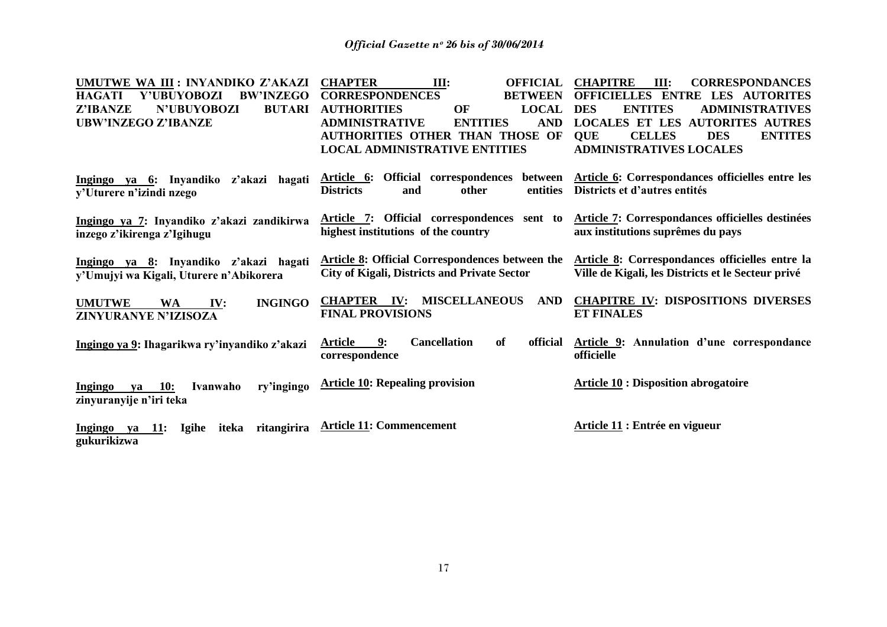| UMUTWE WA III : INYANDIKO Z'AKAZI                                | <b>CHAPTER</b><br><b>OFFICIAL</b><br>III:                   | <b>CHAPITRE</b><br><b>CORRESPONDANCES</b><br>III:           |
|------------------------------------------------------------------|-------------------------------------------------------------|-------------------------------------------------------------|
| <b>BW'INZEGO</b><br><b>HAGATI</b><br>Y'UBUYOBOZI                 | <b>CORRESPONDENCES</b><br><b>BETWEEN</b>                    | OFFICIELLES ENTRE LES AUTORITES                             |
| <b>BUTARI</b><br>Z'IBANZE<br>N'UBUYOBOZI                         | <b>AUTHORITIES</b><br><b>LOCAL</b><br>OF                    | <b>ENTITES</b><br><b>DES</b><br><b>ADMINISTRATIVES</b>      |
| <b>UBW'INZEGO Z'IBANZE</b>                                       | <b>ADMINISTRATIVE</b><br><b>AND</b><br><b>ENTITIES</b>      | <b>LOCALES ET LES AUTORITES AUTRES</b>                      |
|                                                                  | <b>AUTHORITIES OTHER THAN THOSE OF</b>                      | <b>QUE</b><br><b>CELLES</b><br><b>ENTITES</b><br><b>DES</b> |
|                                                                  | <b>LOCAL ADMINISTRATIVE ENTITIES</b>                        | <b>ADMINISTRATIVES LOCALES</b>                              |
|                                                                  |                                                             |                                                             |
| Ingingo ya 6: Inyandiko z'akazi hagati                           | Official correspondences between<br>Article 6:              | Article 6: Correspondances officielles entre les            |
| y'Uturere n'izindi nzego                                         | <b>Districts</b><br>entities<br>other<br>and                | Districts et d'autres entités                               |
|                                                                  |                                                             |                                                             |
| Ingingo ya 7: Inyandiko z'akazi zandikirwa                       | Article 7: Official correspondences sent to                 | Article 7: Correspondances officielles destinées            |
| inzego z'ikirenga z'Igihugu                                      | highest institutions of the country                         | aux institutions suprêmes du pays                           |
|                                                                  |                                                             |                                                             |
| Ingingo ya 8: Inyandiko z'akazi hagati                           | <b>Article 8: Official Correspondences between the</b>      | Article 8: Correspondances officielles entre la             |
| y'Umujyi wa Kigali, Uturere n'Abikorera                          | <b>City of Kigali, Districts and Private Sector</b>         | Ville de Kigali, les Districts et le Secteur privé          |
|                                                                  |                                                             |                                                             |
| <b>INGINGO</b><br><b>UMUTWE</b><br><b>WA</b><br>IV:              | <b>MISCELLANEOUS</b><br><b>AND</b><br><b>CHAPTER</b><br>IV: | <b>CHAPITRE IV: DISPOSITIONS DIVERSES</b>                   |
| ZINYURANYE N'IZISOZA                                             | <b>FINAL PROVISIONS</b>                                     | <b>ET FINALES</b>                                           |
|                                                                  |                                                             |                                                             |
|                                                                  | 9:<br><b>Cancellation</b><br>of<br>Article<br>official      | Article 9: Annulation d'une correspondance                  |
| Ingingo ya 9: Ihagarikwa ry'inyandiko z'akazi                    | correspondence                                              | officielle                                                  |
|                                                                  |                                                             |                                                             |
|                                                                  | <b>Article 10: Repealing provision</b>                      | <b>Article 10 : Disposition abrogatoire</b>                 |
| <b>10:</b><br>Ivanwaho<br>ry'ingingo<br>Ingingo<br>ya            |                                                             |                                                             |
| zinyuranyije n'iri teka                                          |                                                             |                                                             |
|                                                                  | <b>Article 11: Commencement</b>                             |                                                             |
| ritangirira<br>Ingingo ya<br><b>11:</b><br><b>Igihe</b><br>iteka |                                                             | Article 11 : Entrée en vigueur                              |
| gukurikizwa                                                      |                                                             |                                                             |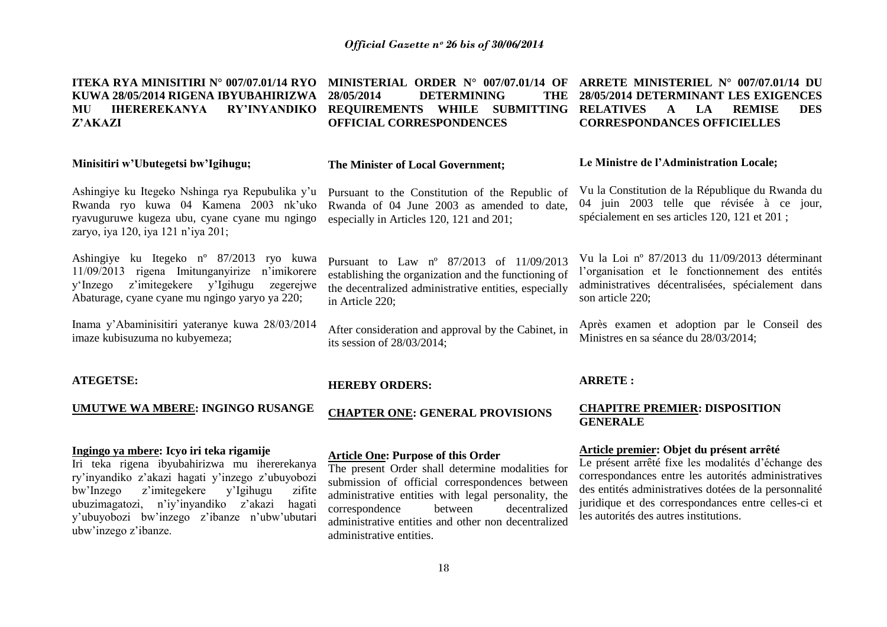#### **ITEKA RYA MINISITIRI N° 007/07.01/14 RYO MINISTERIAL ORDER N° 007/07.01/14 OF ARRETE MINISTERIEL N° 007/07.01/14 DU KUWA 28/05/2014 RIGENA IBYUBAHIRIZWA MU IHEREREKANYA RY'INYANDIKO REQUIREMENTS WHILE SUBMITTING RELATIVES A LA REMISE DES Z'AKAZI 28/05/2014 DETERMINING THE OFFICIAL CORRESPONDENCES 28/05/2014 DETERMINANT LES EXIGENCES CORRESPONDANCES OFFICIELLES**

#### **Minisitiri w'Ubutegetsi bw'Igihugu;**

#### **The Minister of Local Government;**

Ashingiye ku Itegeko Nshinga rya Repubulika y"u Rwanda ryo kuwa 04 Kamena 2003 nk"uko ryavuguruwe kugeza ubu, cyane cyane mu ngingo zaryo, iya 120, iya 121 n"iya 201;

Ashingiye ku Itegeko nº 87/2013 ryo kuwa 11/09/2013 rigena Imitunganyirize n'imikorere<br>v'Inzego z'imitegekere v'Igihugu zegerejwe  $v'Inzego$  z'imitegekere  $v'Igihugu$ Abaturage, cyane cyane mu ngingo yaryo ya 220;

Inama y"Abaminisitiri yateranye kuwa 28/03/2014 imaze kubisuzuma no kubyemeza;

**UMUTWE WA MBERE: INGINGO RUSANGE**

Iri teka rigena ibyubahirizwa mu ihererekanya ry"inyandiko z"akazi hagati y"inzego z"ubuyobozi bw"Inzego z"imitegekere y"Igihugu zifite ubuzimagatozi, n"iy"inyandiko z"akazi hagati y"ubuyobozi bw"inzego z"ibanze n"ubw"ubutari

**Ingingo ya mbere: Icyo iri teka rigamije**

**ATEGETSE:**

ubw"inzego z"ibanze.

#### Pursuant to the Constitution of the Republic of Rwanda of 04 June 2003 as amended to date, especially in Articles 120, 121 and 201;

Pursuant to Law nº 87/2013 of 11/09/2013 establishing the organization and the functioning of the decentralized administrative entities, especially in Article 220;

After consideration and approval by the Cabinet, in its session of 28/03/2014;

#### **HEREBY ORDERS:**

**CHAPTER ONE: GENERAL PROVISIONS**

#### **Article One: Purpose of this Order**

The present Order shall determine modalities for submission of official correspondences between administrative entities with legal personality, the correspondence between decentralized administrative entities and other non decentralized administrative entities.

#### **Le Ministre de l'Administration Locale;**

Vu la Constitution de la République du Rwanda du 04 juin 2003 telle que révisée à ce jour, spécialement en ses articles 120, 121 et 201 ;

Vu la Loi nº 87/2013 du 11/09/2013 déterminant l"organisation et le fonctionnement des entités administratives décentralisées, spécialement dans son article 220;

Après examen et adoption par le Conseil des Ministres en sa séance du 28/03/2014;

#### **ARRETE :**

#### **CHAPITRE PREMIER: DISPOSITION GENERALE**

#### **Article premier: Objet du présent arrêté**

Le présent arrêté fixe les modalités d"échange des correspondances entre les autorités administratives des entités administratives dotées de la personnalité juridique et des correspondances entre celles-ci et les autorités des autres institutions.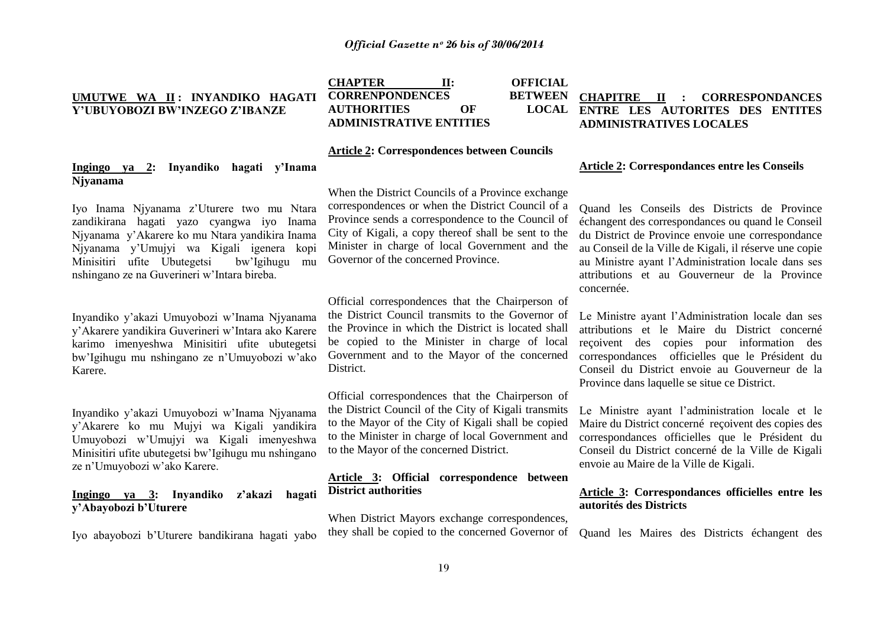#### **UMUTWE WA II : INYANDIKO HAGATI Y'UBUYOBOZI BW'INZEGO Z'IBANZE**

**CHAPTER II: OFFICIAL CORRENPONDENCES**<br>**ALITHORITIES** OF **AUTHORITIES ADMINISTRATIVE ENTITIES**

#### **CHAPITRE II : CORRESPONDANCES ENTRE LES AUTORITES DES ENTITES ADMINISTRATIVES LOCALES**

#### **Article 2: Correspondences between Councils**

#### **Ingingo ya 2: Inyandiko hagati y'Inama Njyanama**

Iyo Inama Njyanama z"Uturere two mu Ntara zandikirana hagati yazo cyangwa iyo Inama Njyanama y"Akarere ko mu Ntara yandikira Inama Njyanama y"Umujyi wa Kigali igenera kopi Minisitiri ufite Ubutegetsi bw"Igihugu mu nshingano ze na Guverineri w"Intara bireba.

Inyandiko y"akazi Umuyobozi w"Inama Njyanama y"Akarere yandikira Guverineri w"Intara ako Karere karimo imenyeshwa Minisitiri ufite ubutegetsi bw"Igihugu mu nshingano ze n"Umuyobozi w"ako Karere.

Inyandiko y"akazi Umuyobozi w"Inama Njyanama y"Akarere ko mu Mujyi wa Kigali yandikira Umuyobozi w"Umujyi wa Kigali imenyeshwa Minisitiri ufite ubutegetsi bw"Igihugu mu nshingano ze n"Umuyobozi w"ako Karere.

#### **Ingingo ya 3: Inyandiko z'akazi hagati y'Abayobozi b'Uturere**

Iyo abayobozi b"Uturere bandikirana hagati yabo

When the District Councils of a Province exchange correspondences or when the District Council of a Province sends a correspondence to the Council of City of Kigali, a copy thereof shall be sent to the Minister in charge of local Government and the Governor of the concerned Province.

Official correspondences that the Chairperson of the District Council transmits to the Governor of the Province in which the District is located shall be copied to the Minister in charge of local Government and to the Mayor of the concerned District.

Official correspondences that the Chairperson of the District Council of the City of Kigali transmits to the Mayor of the City of Kigali shall be copied to the Minister in charge of local Government and to the Mayor of the concerned District.

#### **Article 3: Official correspondence between District authorities**

When District Mayors exchange correspondences, they shall be copied to the concerned Governor of

#### **Article 2: Correspondances entre les Conseils**

Quand les Conseils des Districts de Province échangent des correspondances ou quand le Conseil du District de Province envoie une correspondance au Conseil de la Ville de Kigali, il réserve une copie au Ministre ayant l"Administration locale dans ses attributions et au Gouverneur de la Province concernée.

Le Ministre ayant l"Administration locale dan ses attributions et le Maire du District concerné reçoivent des copies pour information des correspondances officielles que le Président du Conseil du District envoie au Gouverneur de la Province dans laquelle se situe ce District.

Le Ministre ayant l"administration locale et le Maire du District concerné reçoivent des copies des correspondances officielles que le Président du Conseil du District concerné de la Ville de Kigali envoie au Maire de la Ville de Kigali.

#### **Article 3: Correspondances officielles entre les autorités des Districts**

Quand les Maires des Districts échangent des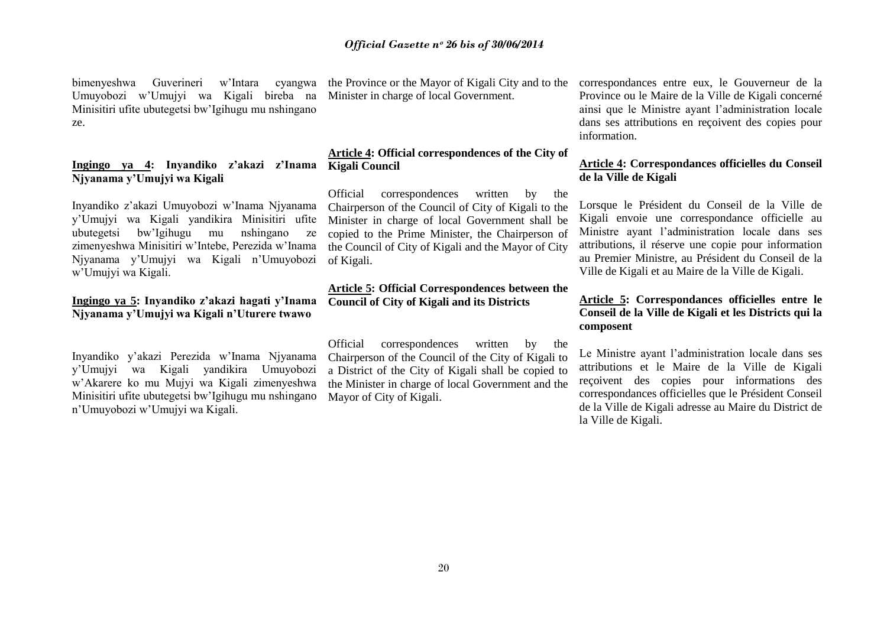bimenyeshwa Guverineri w"Intara cyangwa Umuyobozi w"Umujyi wa Kigali bireba na Minisitiri ufite ubutegetsi bw"Igihugu mu nshingano ze.

#### **Ingingo ya 4: Inyandiko z'akazi z'Inama Kigali Council Njyanama y'Umujyi wa Kigali**

Inyandiko z"akazi Umuyobozi w"Inama Njyanama y"Umujyi wa Kigali yandikira Minisitiri ufite ubutegetsi bw"Igihugu mu nshingano ze zimenyeshwa Minisitiri w"Intebe, Perezida w"Inama Njyanama y"Umujyi wa Kigali n"Umuyobozi w"Umujyi wa Kigali.

#### **Ingingo ya 5: Inyandiko z'akazi hagati y'Inama Njyanama y'Umujyi wa Kigali n'Uturere twawo**

Inyandiko y"akazi Perezida w"Inama Njyanama y"Umujyi wa Kigali yandikira Umuyobozi w"Akarere ko mu Mujyi wa Kigali zimenyeshwa Minisitiri ufite ubutegetsi bw"Igihugu mu nshingano n"Umuyobozi w"Umujyi wa Kigali.

the Province or the Mayor of Kigali City and to the Minister in charge of local Government.

# **Article 4: Official correspondences of the City of**

Official correspondences written by the Chairperson of the Council of City of Kigali to the Minister in charge of local Government shall be copied to the Prime Minister, the Chairperson of the Council of City of Kigali and the Mayor of City of Kigali.

#### **Article 5: Official Correspondences between the Council of City of Kigali and its Districts**

Official correspondences written by the Chairperson of the Council of the City of Kigali to a District of the City of Kigali shall be copied to the Minister in charge of local Government and the Mayor of City of Kigali.

correspondances entre eux, le Gouverneur de la Province ou le Maire de la Ville de Kigali concerné ainsi que le Ministre ayant l"administration locale dans ses attributions en reçoivent des copies pour information.

#### **Article 4: Correspondances officielles du Conseil de la Ville de Kigali**

Lorsque le Président du Conseil de la Ville de Kigali envoie une correspondance officielle au Ministre ayant l"administration locale dans ses attributions, il réserve une copie pour information au Premier Ministre, au Président du Conseil de la Ville de Kigali et au Maire de la Ville de Kigali.

#### **Article 5: Correspondances officielles entre le Conseil de la Ville de Kigali et les Districts qui la composent**

Le Ministre ayant l"administration locale dans ses attributions et le Maire de la Ville de Kigali reçoivent des copies pour informations des correspondances officielles que le Président Conseil de la Ville de Kigali adresse au Maire du District de la Ville de Kigali.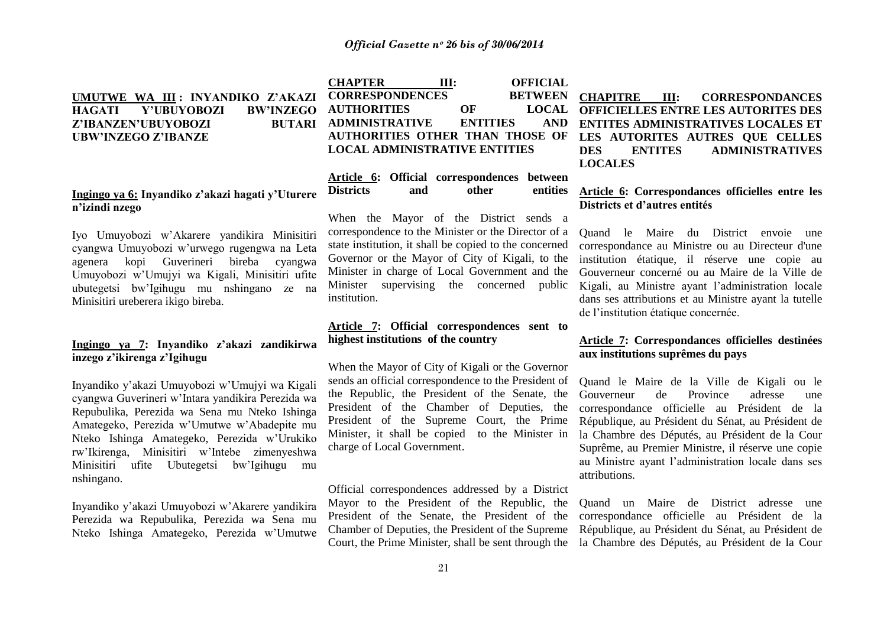#### **UMUTWE WA III : INYANDIKO Z'AKAZI HAGATI Y'UBUYOBOZI BW'INZEGO**  Z'IBANZEN'UBUYOBOZI **UBW'INZEGO Z'IBANZE**

#### **Ingingo ya 6: Inyandiko z'akazi hagati y'Uturere n'izindi nzego**

Iyo Umuyobozi w"Akarere yandikira Minisitiri cyangwa Umuyobozi w"urwego rugengwa na Leta agenera kopi Guverineri bireba cyangwa Umuyobozi w"Umujyi wa Kigali, Minisitiri ufite ubutegetsi bw"Igihugu mu nshingano ze na Minisitiri ureberera ikigo bireba.

#### **Ingingo ya 7: Inyandiko z'akazi zandikirwa inzego z'ikirenga z'Igihugu**

Inyandiko y"akazi Umuyobozi w"Umujyi wa Kigali cyangwa Guverineri w"Intara yandikira Perezida wa Repubulika, Perezida wa Sena mu Nteko Ishinga Amategeko, Perezida w"Umutwe w"Abadepite mu Nteko Ishinga Amategeko, Perezida w"Urukiko rw"Ikirenga, Minisitiri w"Intebe zimenyeshwa Minisitiri ufite Ubutegetsi bw"Igihugu mu nshingano.

Inyandiko y"akazi Umuyobozi w"Akarere yandikira Perezida wa Repubulika, Perezida wa Sena mu Nteko Ishinga Amategeko, Perezida w"Umutwe

**CHAPTER III: OFFICIAL CORRESPONDENCES BETWEEN AUTHORITIES OF LOCAL ADMINISTRATIVE ENTITIES AND AUTHORITIES OTHER THAN THOSE OF LOCAL ADMINISTRATIVE ENTITIES**

#### **Article 6: Official correspondences between Districts and other entities**

When the Mayor of the District sends a correspondence to the Minister or the Director of a state institution, it shall be copied to the concerned Governor or the Mayor of City of Kigali, to the Minister in charge of Local Government and the Minister supervising the concerned public institution.

#### **Article 7: Official correspondences sent to highest institutions of the country**

When the Mayor of City of Kigali or the Governor sends an official correspondence to the President of the Republic, the President of the Senate, the President of the Chamber of Deputies, the President of the Supreme Court, the Prime Minister, it shall be copied to the Minister in charge of Local Government.

Official correspondences addressed by a District Mayor to the President of the Republic, the President of the Senate, the President of the Chamber of Deputies, the President of the Supreme Court, the Prime Minister, shall be sent through the

**CHAPITRE III: CORRESPONDANCES OFFICIELLES ENTRE LES AUTORITES DES ENTITES ADMINISTRATIVES LOCALES ET LES AUTORITES AUTRES QUE CELLES DES ENTITES ADMINISTRATIVES LOCALES**

#### **Article 6: Correspondances officielles entre les Districts et d'autres entités**

Quand le Maire du District envoie une correspondance au Ministre ou au Directeur d'une institution étatique, il réserve une copie au Gouverneur concerné ou au Maire de la Ville de Kigali, au Ministre ayant l"administration locale dans ses attributions et au Ministre ayant la tutelle de l"institution étatique concernée.

#### **Article 7: Correspondances officielles destinées aux institutions suprêmes du pays**

Quand le Maire de la Ville de Kigali ou le Gouverneur de Province adresse une correspondance officielle au Président de la République, au Président du Sénat, au Président de la Chambre des Députés, au Président de la Cour Suprême, au Premier Ministre, il réserve une copie au Ministre ayant l"administration locale dans ses attributions.

Quand un Maire de District adresse une correspondance officielle au Président de la République, au Président du Sénat, au Président de la Chambre des Députés, au Président de la Cour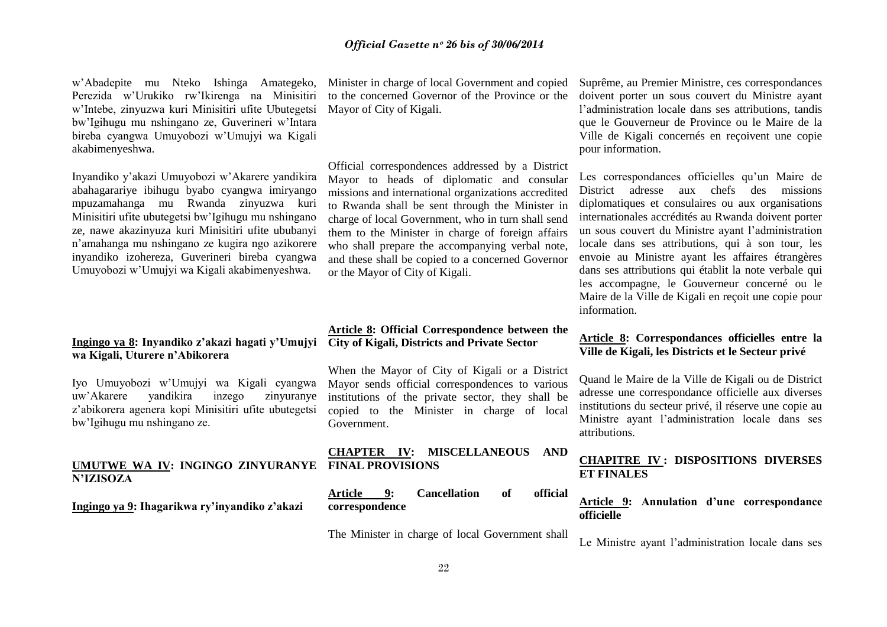w"Abadepite mu Nteko Ishinga Amategeko, Perezida w"Urukiko rw"Ikirenga na Minisitiri w"Intebe, zinyuzwa kuri Minisitiri ufite Ubutegetsi bw"Igihugu mu nshingano ze, Guverineri w"Intara bireba cyangwa Umuyobozi w"Umujyi wa Kigali akabimenyeshwa.

Inyandiko y"akazi Umuyobozi w"Akarere yandikira abahagarariye ibihugu byabo cyangwa imiryango mpuzamahanga mu Rwanda zinyuzwa kuri Minisitiri ufite ubutegetsi bw"Igihugu mu nshingano ze, nawe akazinyuza kuri Minisitiri ufite ububanyi n"amahanga mu nshingano ze kugira ngo azikorere inyandiko izohereza, Guverineri bireba cyangwa Umuyobozi w"Umujyi wa Kigali akabimenyeshwa.

#### **Ingingo ya 8: Inyandiko z'akazi hagati y'Umujyi City of Kigali, Districts and Private Sector wa Kigali, Uturere n'Abikorera**

Iyo Umuyobozi w"Umujyi wa Kigali cyangwa uw"Akarere yandikira inzego zinyuranye z"abikorera agenera kopi Minisitiri ufite ubutegetsi bw"Igihugu mu nshingano ze.

#### **UMUTWE WA IV: INGINGO ZINYURANYE FINAL PROVISIONS N'IZISOZA**

**Ingingo ya 9: Ihagarikwa ry'inyandiko z'akazi**

Minister in charge of local Government and copied to the concerned Governor of the Province or the Mayor of City of Kigali.

Official correspondences addressed by a District Mayor to heads of diplomatic and consular missions and international organizations accredited to Rwanda shall be sent through the Minister in charge of local Government, who in turn shall send them to the Minister in charge of foreign affairs who shall prepare the accompanying verbal note, and these shall be copied to a concerned Governor or the Mayor of City of Kigali.

# **Article 8: Official Correspondence between the**

When the Mayor of City of Kigali or a District Mayor sends official correspondences to various institutions of the private sector, they shall be copied to the Minister in charge of local Government.

# **CHAPTER IV: MISCELLANEOUS AND**

| Article        | <b>Cancellation</b> | official |
|----------------|---------------------|----------|
| correspondence |                     |          |

The Minister in charge of local Government shall

Suprême, au Premier Ministre, ces correspondances doivent porter un sous couvert du Ministre ayant l"administration locale dans ses attributions, tandis que le Gouverneur de Province ou le Maire de la Ville de Kigali concernés en reçoivent une copie pour information.

Les correspondances officielles qu'un Maire de District adresse aux chefs des missions diplomatiques et consulaires ou aux organisations internationales accrédités au Rwanda doivent porter un sous couvert du Ministre ayant l"administration locale dans ses attributions, qui à son tour, les envoie au Ministre ayant les affaires étrangères dans ses attributions qui établit la note verbale qui les accompagne, le Gouverneur concerné ou le Maire de la Ville de Kigali en reçoit une copie pour information.

#### **Article 8: Correspondances officielles entre la Ville de Kigali, les Districts et le Secteur privé**

Quand le Maire de la Ville de Kigali ou de District adresse une correspondance officielle aux diverses institutions du secteur privé, il réserve une copie au Ministre ayant l"administration locale dans ses attributions.

#### **CHAPITRE IV : DISPOSITIONS DIVERSES ET FINALES**

#### **Article 9: Annulation d'une correspondance officielle**

Le Ministre ayant l"administration locale dans ses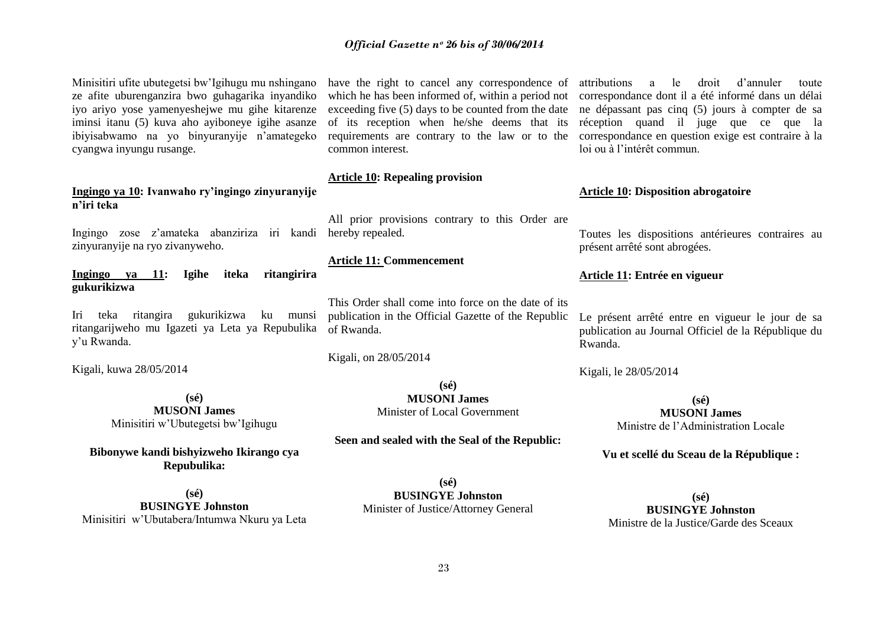Minisitiri ufite ubutegetsi bw"Igihugu mu nshingano ze afite uburenganzira bwo guhagarika inyandiko iyo ariyo yose yamenyeshejwe mu gihe kitarenze iminsi itanu (5) kuva aho ayiboneye igihe asanze ibiyisabwamo na yo binyuranyije n"amategeko cyangwa inyungu rusange.

#### **Ingingo ya 10: Ivanwaho ry'ingingo zinyuranyije n'iri teka**

Ingingo zose z"amateka abanziriza iri kandi hereby repealed. zinyuranyije na ryo zivanyweho.

**Ingingo ya 11: Igihe iteka ritangirira gukurikizwa** 

Iri teka ritangira gukurikizwa ku munsi ritangarijweho mu Igazeti ya Leta ya Repubulika y"u Rwanda.

Kigali, kuwa 28/05/2014

**(sé) MUSONI James** Minisitiri w"Ubutegetsi bw"Igihugu

**Bibonywe kandi bishyizweho Ikirango cya Repubulika:**

**(sé) BUSINGYE Johnston** Minisitiri w"Ubutabera/Intumwa Nkuru ya Leta

have the right to cancel any correspondence of which he has been informed of, within a period not exceeding five (5) days to be counted from the date of its reception when he/she deems that its requirements are contrary to the law or to the common interest.

#### **Article 10: Repealing provision**

All prior provisions contrary to this Order are

#### **Article 11: Commencement**

This Order shall come into force on the date of its publication in the Official Gazette of the Republic of Rwanda.

Kigali, on 28/05/2014

**(sé) MUSONI James** Minister of Local Government

#### **Seen and sealed with the Seal of the Republic:**

**(sé) BUSINGYE Johnston** Minister of Justice/Attorney General

attributions a le droit d"annuler toute correspondance dont il a été informé dans un délai ne dépassant pas cinq (5) jours à compter de sa réception quand il juge que ce que la correspondance en question exige est contraire à la loi ou à l"intérêt commun.

#### **Article 10: Disposition abrogatoire**

Toutes les dispositions antérieures contraires au présent arrêté sont abrogées.

#### **Article 11: Entrée en vigueur**

Le présent arrêté entre en vigueur le jour de sa publication au Journal Officiel de la République du Rwanda.

Kigali, le 28/05/2014

**(sé) MUSONI James** Ministre de l"Administration Locale

**Vu et scellé du Sceau de la République :**

**(sé) BUSINGYE Johnston** Ministre de la Justice/Garde des Sceaux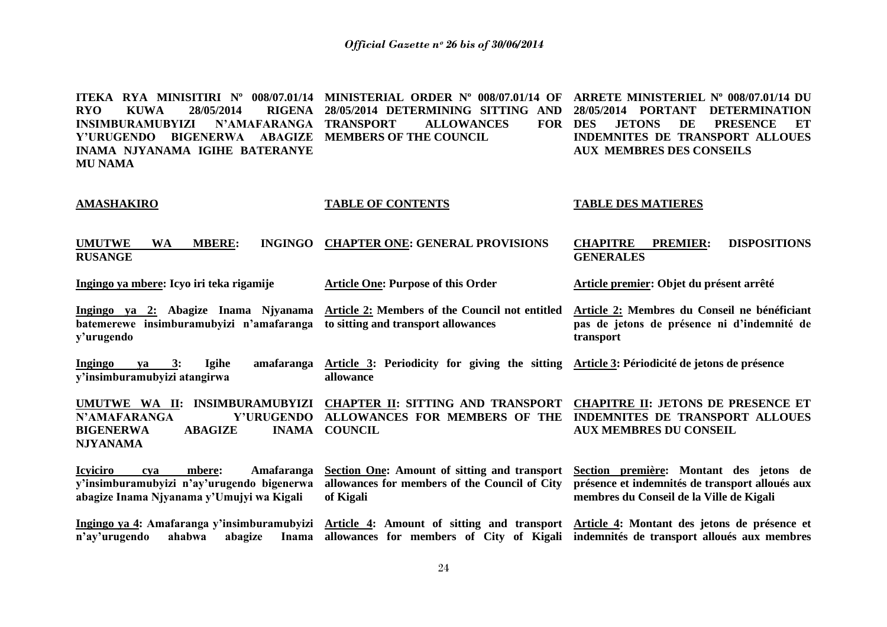**ITEKA RYA MINISITIRI Nº 008/07.01/14 MINISTERIAL ORDER Nº 008/07.01/14 OF ARRETE MINISTERIEL Nº 008/07.01/14 DU RYO KUWA 28/05/2014 RIGENA 28/05/2014 DETERMINING SITTING AND INSIMBURAMUBYIZI N'AMAFARANGA Y'URUGENDO BIGENERWA ABAGIZE MEMBERS OF THE COUNCIL INAMA NJYANAMA IGIHE BATERANYE MU NAMA** ALLOWANCES FOR DES **28/05/2014 PORTANT DETERMINATION JETONS DE PRESENCE ET INDEMNITES DE TRANSPORT ALLOUES AUX MEMBRES DES CONSEILS** 

#### **AMASHAKIRO**

**y'urugendo**

#### **TABLE OF CONTENTS**

#### **TABLE DES MATIERES**

| <b>UMUTWE</b>  | <b>WA</b> | <b>MBERE:</b> | INGINGO CHAPTER ONE: GENERAL PROVISIONS | <b>CHAPITRE</b>  | <b>PREMIER: DISPOSITIONS</b> |
|----------------|-----------|---------------|-----------------------------------------|------------------|------------------------------|
| <b>RUSANGE</b> |           |               |                                         | <b>GENERALES</b> |                              |

**Ingingo ya mbere: Icyo iri teka rigamije**

**y'insimburamubyizi atangirwa**

**Ingingo ya 3: Igihe amafaranga** 

**Article One: Purpose of this Order**

**Ingingo ya 2: Abagize Inama Njyanama Article 2: Members of the Council not entitled Article 2: Membres du Conseil ne bénéficiant batemerewe insimburamubyizi n'amafaranga to sitting and transport allowances**

**allowance** 

**pas de jetons de présence ni d'indemnité de transport** 

**Article premier: Objet du présent arrêté**

**Article 3: Periodicity for giving the sitting Article 3: Périodicité de jetons de présence**

**UMUTWE WA II: INSIMBURAMUBYIZI CHAPTER II: SITTING AND TRANSPORT CHAPITRE II: JETONS DE PRESENCE ET N'AMAFARANGA BIGENERWA ABAGIZE NJYANAMA ALLOWANCES FOR MEMBERS OF THE INDEMNITES DE TRANSPORT ALLOUES INAMA COUNCIL AUX MEMBRES DU CONSEIL** 

**Icyiciro cya mbere: Amafaranga y'insimburamubyizi n'ay'urugendo bigenerwa allowances for members of the Council of City présence et indemnités de transport alloués aux abagize Inama Njyanama y'Umujyi wa Kigali Section One: Amount of sitting and transport Section première: Montant des jetons de of Kigali membres du Conseil de la Ville de Kigali**

**Ingingo ya 4: Amafaranga y'insimburamubyizi Article 4: Amount of sitting and transport Article 4: Montant des jetons de présence et**  n'ay'urugendo ahabwa abagize **allowances for members of City of Kigali indemnités de transport alloués aux membres**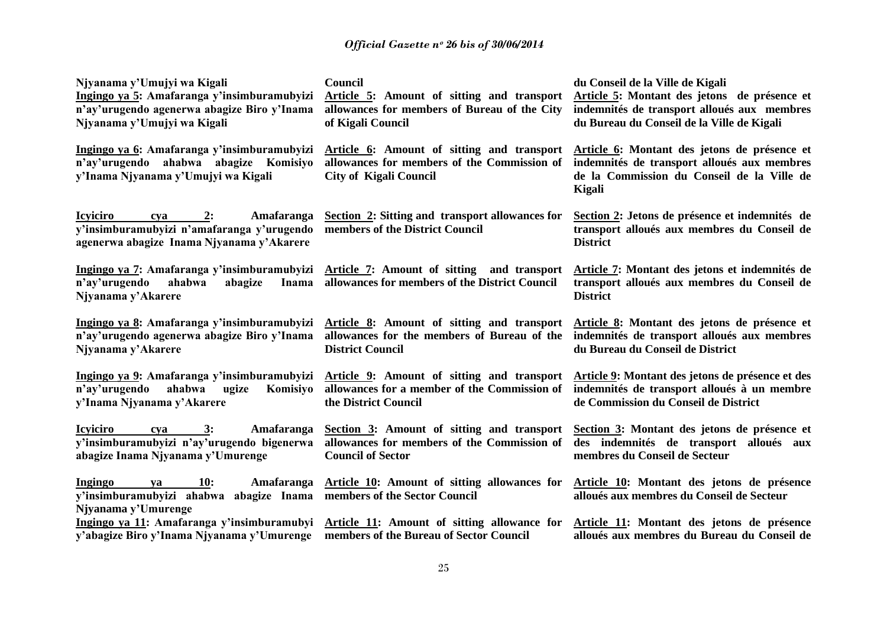| Njyanama y'Umujyi wa Kigali<br>Ingingo ya 5: Amafaranga y'insimburamubyizi<br>n'ay'urugendo agenerwa abagize Biro y'Inama<br>Njyanama y'Umujyi wa Kigali | Council<br>Article 5: Amount of sitting and transport<br>allowances for members of Bureau of the City<br>of Kigali Council        | du Conseil de la Ville de Kigali<br>Article 5: Montant des jetons de présence et<br>indemnités de transport alloués aux membres<br>du Bureau du Conseil de la Ville de Kigali |
|----------------------------------------------------------------------------------------------------------------------------------------------------------|-----------------------------------------------------------------------------------------------------------------------------------|-------------------------------------------------------------------------------------------------------------------------------------------------------------------------------|
| Ingingo ya 6: Amafaranga y'insimburamubyizi<br>n'ay'urugendo ahabwa abagize Komisiyo<br>y'Inama Njyanama y'Umujyi wa Kigali                              | Article 6: Amount of sitting and transport<br>allowances for members of the Commission of<br><b>City of Kigali Council</b>        | Article 6: Montant des jetons de présence et<br>indemnités de transport alloués aux membres<br>de la Commission du Conseil de la Ville de<br><b>Kigali</b>                    |
| <b>Icyiciro</b><br>2:<br>Amafaranga<br>cva<br>y'insimburamubyizi n'amafaranga y'urugendo<br>agenerwa abagize Inama Njyanama y'Akarere                    | <b>Section 2: Sitting and transport allowances for</b><br>members of the District Council                                         | Section 2: Jetons de présence et indemnités de<br>transport alloués aux membres du Conseil de<br><b>District</b>                                                              |
| Ingingo ya 7: Amafaranga y'insimburamubyizi<br>n'ay'urugendo<br>ahabwa<br>abagize<br>Inama<br>Njyanama y'Akarere                                         | Article 7: Amount of sitting and transport<br>allowances for members of the District Council                                      | Article 7: Montant des jetons et indemnités de<br>transport alloués aux membres du Conseil de<br><b>District</b>                                                              |
| Ingingo ya 8: Amafaranga y'insimburamubyizi<br>n'ay'urugendo agenerwa abagize Biro y'Inama<br>Njyanama y'Akarere                                         | Article 8: Amount of sitting and transport<br>allowances for the members of Bureau of the<br><b>District Council</b>              | Article 8: Montant des jetons de présence et<br>indemnités de transport alloués aux membres<br>du Bureau du Conseil de District                                               |
| Ingingo ya 9: Amafaranga y'insimburamubyizi<br>n'ay'urugendo<br>ahabwa<br>Komisiyo<br>ugize<br>y'Inama Njyanama y'Akarere                                | Article 9: Amount of sitting and transport<br>allowances for a member of the Commission of<br>the District Council                | Article 9: Montant des jetons de présence et des<br>indemnités de transport alloués à un membre<br>de Commission du Conseil de District                                       |
| 3:<br><b>Icyiciro</b><br>Amafaranga<br>cya<br>y'insimburamubyizi n'ay'urugendo bigenerwa<br>abagize Inama Njyanama y'Umurenge                            | Section 3: Amount of sitting and transport<br>allowances for members of the Commission of<br><b>Council of Sector</b>             | Section 3: Montant des jetons de présence et<br>des indemnités de transport alloués aux<br>membres du Conseil de Secteur                                                      |
| Ingingo<br>10:<br>Amafaranga<br>va<br>y'insimburamubyizi ahabwa abagize Inama members of the Sector Council<br>Njyanama y'Umurenge                       | Article 10: Amount of sitting allowances for                                                                                      | Article 10: Montant des jetons de présence<br>alloués aux membres du Conseil de Secteur                                                                                       |
| y'abagize Biro y'Inama Njyanama y'Umurenge                                                                                                               | Ingingo ya 11: Amafaranga y'insimburamubyi Article 11: Amount of sitting allowance for<br>members of the Bureau of Sector Council | Article 11: Montant des jetons de présence<br>alloués aux membres du Bureau du Conseil de                                                                                     |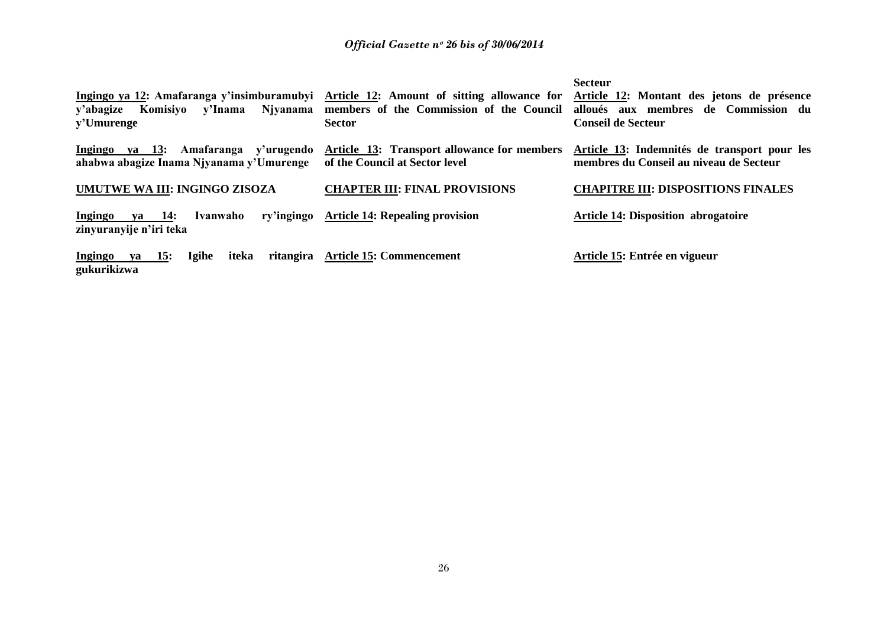| y'abagize<br>Komisiyo<br>y'Umurenge                                                    | Ingingo ya 12: Amafaranga y'insimburamubyi Article 12: Amount of sitting allowance for<br>y'Inama Njyanama members of the Commission of the Council<br><b>Sector</b> | <b>Secteur</b><br>Article 12: Montant des jetons de présence<br>aux membres de Commission du<br>alloués<br><b>Conseil de Secteur</b> |
|----------------------------------------------------------------------------------------|----------------------------------------------------------------------------------------------------------------------------------------------------------------------|--------------------------------------------------------------------------------------------------------------------------------------|
| Amafaranga y'urugendo<br>Ingingo<br>va 13:<br>ahabwa abagize Inama Njyanama y'Umurenge | <b>Article 13: Transport allowance for members</b><br>of the Council at Sector level                                                                                 | Article 13: Indemnités de transport pour les<br>membres du Conseil au niveau de Secteur                                              |
| UMUTWE WA III: INGINGO ZISOZA                                                          | <b>CHAPTER III: FINAL PROVISIONS</b>                                                                                                                                 | <b>CHAPITRE III: DISPOSITIONS FINALES</b>                                                                                            |
| va 14:<br>Ivanwaho<br>Ingingo<br>zinyuranyije n'iri teka                               | ry'ingingo Article 14: Repealing provision                                                                                                                           | Article 14: Disposition abrogatoire                                                                                                  |
| <b>Igihe</b><br>ritangira<br>Ingingo<br>iteka<br><b>15:</b><br>va<br>gukurikizwa       | <b>Article 15: Commencement</b>                                                                                                                                      | Article 15: Entrée en vigueur                                                                                                        |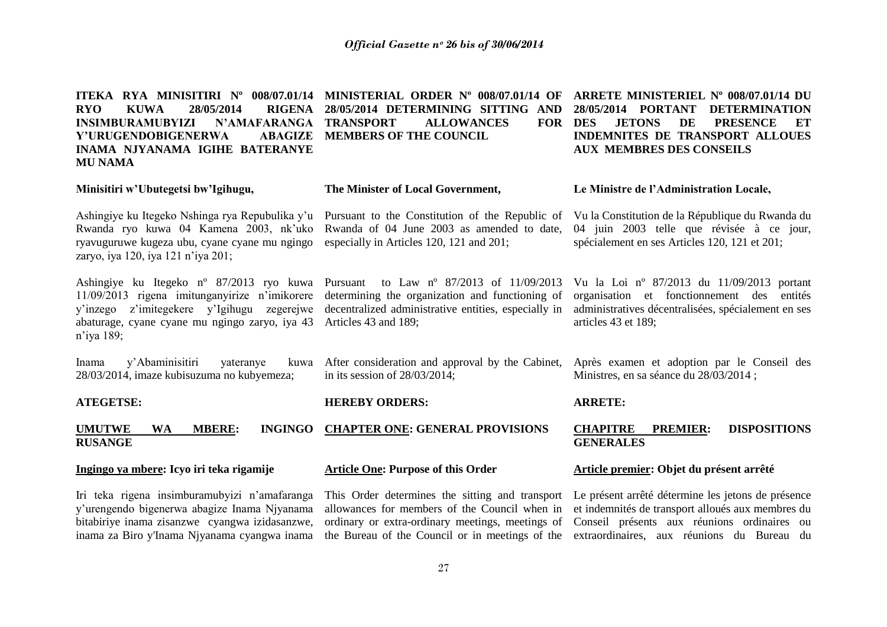**ITEKA RYA MINISITIRI Nº 008/07.01/14 MINISTERIAL ORDER Nº 008/07.01/14 OF ARRETE MINISTERIEL Nº 008/07.01/14 DU RYO KUWA 28/05/2014 RIGENA 28/05/2014 DETERMINING SITTING AND INSIMBURAMUBYIZI N'AMAFARANGA**  Y'URUGENDOBIGENERWA **INAMA NJYANAMA IGIHE BATERANYE MU NAMA Minisitiri w'Ubutegetsi bw'Igihugu,** Ashingiye ku Itegeko Nshinga rya Repubulika y'u Pursuant to the Constitution of the Republic of Vula Constitution de la République du Rwanda du Rwanda ryo kuwa 04 Kamena 2003, nk"uko Rwanda of 04 June 2003 as amended to date, ryavuguruwe kugeza ubu, cyane cyane mu ngingo especially in Articles 120, 121 and 201; zaryo, iya 120, iya 121 n"iya 201; Ashingiye ku Itegeko nº 87/2013 ryo kuwa Pursuant to Law nº 87/2013 of 11/09/2013 11/09/2013 rigena imitunganyirize n"imikorere determining the organization and functioning of y"inzego z"imitegekere y"Igihugu zegerejwe decentralized administrative entities, especially in abaturage, cyane cyane mu ngingo zaryo, iya 43 Articles 43 and 189; n"iya 189; Inama y'Abaminisitiri yateranye 28/03/2014, imaze kubisuzuma no kubyemeza; **ATEGETSE: UMUTWE WA MBERE: INGINGO CHAPTER ONE: GENERAL PROVISIONS RUSANGE Ingingo ya mbere: Icyo iri teka rigamije ALLOWANCES FOR DES MEMBERS OF THE COUNCIL The Minister of Local Government,** After consideration and approval by the Cabinet, Après examen et adoption par le Conseil des in its session of 28/03/2014; **HEREBY ORDERS: Article One: Purpose of this Order 28/05/2014 PORTANT DETERMINATION JETONS DE PRESENCE ET INDEMNITES DE TRANSPORT ALLOUES AUX MEMBRES DES CONSEILS Le Ministre de l'Administration Locale,** 04 juin 2003 telle que révisée à ce jour, spécialement en ses Articles 120, 121 et 201; Vu la Loi nº 87/2013 du 11/09/2013 portant organisation et fonctionnement des entités administratives décentralisées, spécialement en ses articles 43 et 189; Ministres, en sa séance du 28/03/2014 ; **ARRETE: CHAPITRE PREMIER: DISPOSITIONS GENERALES Article premier: Objet du présent arrêté**

Iri teka rigena insimburamubyizi n"amafaranga y"urengendo bigenerwa abagize Inama Njyanama bitabiriye inama zisanzwe cyangwa izidasanzwe,

inama za Biro y'Inama Njyanama cyangwa inama the Bureau of the Council or in meetings of the extraordinaires, aux réunions du Bureau du This Order determines the sitting and transport Le présent arrêté détermine les jetons de présence allowances for members of the Council when in et indemnités de transport alloués aux membres du ordinary or extra-ordinary meetings, meetings of Conseil présents aux réunions ordinaires ou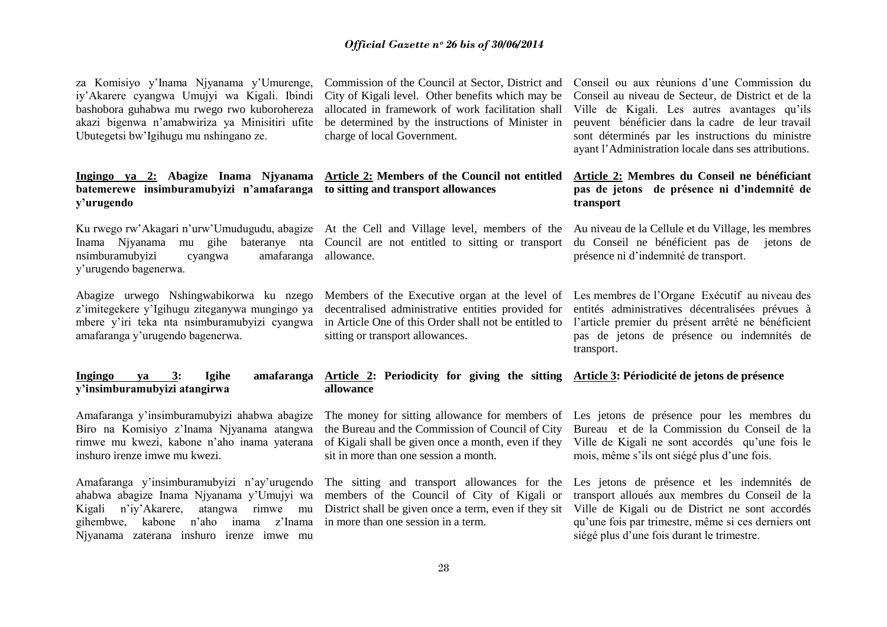za Komisiyo y"Inama Njyanama y"Umurenge, iy"Akarere cyangwa Umujyi wa Kigali. Ibindi bashobora guhabwa mu rwego rwo kuborohereza akazi bigenwa n"amabwiriza ya Minisitiri ufite Ubutegetsi bw"Igihugu mu nshingano ze.

## **batemerewe insimburamubyizi n'amafaranga to sitting and transport allowances y'urugendo**

Inama Njyanama mu gihe bateranye nta Council are not entitled to sitting or transport du Conseil ne bénéficient pas de jetons de nsimburamubyizi cyangwa y"urugendo bagenerwa. amafaranga allowance.

Abagize urwego Nshingwabikorwa ku nzego z"imitegekere y"Igihugu ziteganywa mungingo ya mbere y"iri teka nta nsimburamubyizi cyangwa amafaranga y"urugendo bagenerwa.

#### **Ingingo ya 3: Igihe amafaranga Article 2: Periodicity for giving the sitting Article 3: Périodicité de jetons de présence y'insimburamubyizi atangirwa**

Amafaranga y"insimburamubyizi ahabwa abagize Biro na Komisiyo z"Inama Njyanama atangwa inshuro irenze imwe mu kwezi.

Amafaranga y"insimburamubyizi n"ay"urugendo ahabwa abagize Inama Njyanama y"Umujyi wa Kigali n"iy"Akarere, atangwa rimwe mu gihembwe, kabone n"aho inama z"Inama in more than one session in a term. Njyanama zaterana inshuro irenze imwe mu

Commission of the Council at Sector, District and City of Kigali level. Other benefits which may be allocated in framework of work facilitation shall be determined by the instructions of Minister in charge of local Government.

# **Ingingo ya 2: Abagize Inama Njyanama Article 2: Members of the Council not entitled**

sitting or transport allowances.

## **allowance**

the Bureau and the Commission of Council of City sit in more than one session a month.

members of the Council of City of Kigali or

Conseil ou aux réunions d"une Commission du Conseil au niveau de Secteur, de District et de la Ville de Kigali. Les autres avantages qu"ils peuvent bénéficier dans la cadre de leur travail sont déterminés par les instructions du ministre ayant l"Administration locale dans ses attributions.

#### **Article 2: Membres du Conseil ne bénéficiant pas de jetons de présence ni d'indemnité de transport**

Ku rwego rw'Akagari n'urw'Umudugudu, abagize At the Cell and Village level, members of the Au niveau de la Cellule et du Village, les membres présence ni d"indemnité de transport.

> Members of the Executive organ at the level of Les membres de l"Organe Exécutif au niveau des decentralised administrative entities provided for entités administratives décentralisées prévues à in Article One of this Order shall not be entitled to l"article premier du présent arrêté ne bénéficient pas de jetons de présence ou indemnités de transport.

rimwe mu kwezi, kabone n"aho inama yaterana of Kigali shall be given once a month, even if they Ville de Kigali ne sont accordés qu"une fois le The money for sitting allowance for members of Les jetons de présence pour les membres du Bureau et de la Commission du Conseil de la mois, même s"ils ont siégé plus d"une fois.

> The sitting and transport allowances for the Les jetons de présence et les indemnités de District shall be given once a term, even if they sit Ville de Kigali ou de District ne sont accordés transport alloués aux membres du Conseil de la qu"une fois par trimestre, même si ces derniers ont siégé plus d"une fois durant le trimestre.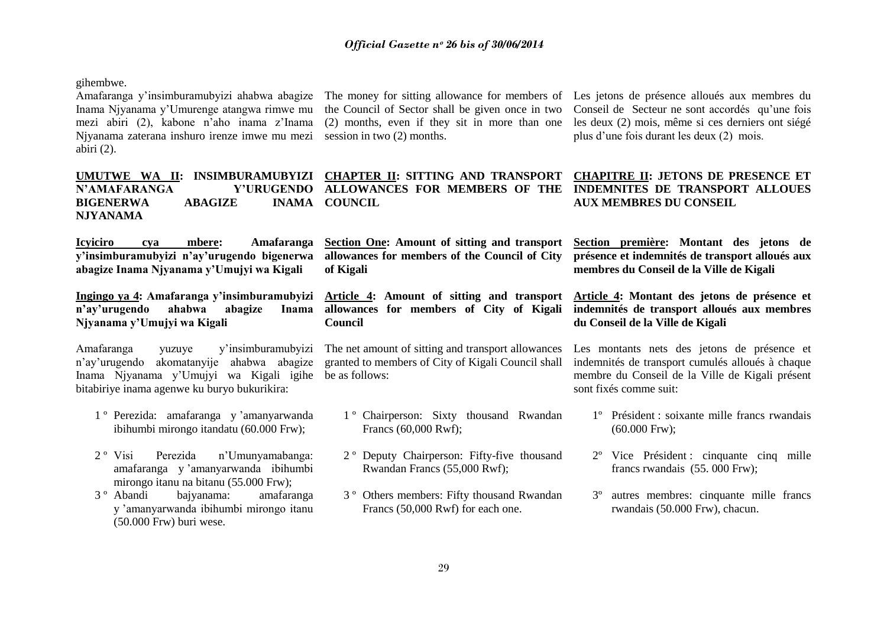gihembwe.

Amafaranga y"insimburamubyizi ahabwa abagize The money for sitting allowance for members of Les jetons de présence alloués aux membres du Inama Njyanama y'Umurenge atangwa rimwe mu the Council of Sector shall be given once in two Conseil de Secteur ne sont accordés qu'une fois mezi abiri (2), kabone n"aho inama z"Inama Njyanama zaterana inshuro irenze imwe mu mezi session in two (2) months. abiri (2).

**N'AMAFARANGA BIGENERWA ABAGIZE NJYANAMA** 

**Icyiciro cya mbere: Amafaranga y'insimburamubyizi n'ay'urugendo bigenerwa abagize Inama Njyanama y'Umujyi wa Kigali**

n'ay'urugendo ahabwa abagize **Njyanama y'Umujyi wa Kigali**

Amafaranga yuzuye y"insimburamubyizi n"ay"urugendo akomatanyije ahabwa abagize Inama Njyanama y"Umujyi wa Kigali igihe be as follows: bitabiriye inama agenwe ku buryo bukurikira:

- 1 º Perezida: amafaranga y "amanyarwanda ibihumbi mirongo itandatu (60.000 Frw);
- 2 º Visi Perezida n"Umunyamabanga: amafaranga y "amanyarwanda ibihumbi mirongo itanu na bitanu (55.000 Frw);
- 3 º Abandi bajyanama: amafaranga y "amanyarwanda ibihumbi mirongo itanu (50.000 Frw) buri wese.

**ALLOWANCES FOR MEMBERS OF THE INDEMNITES DE TRANSPORT ALLOUES INAMA COUNCIL** 

**allowances for members of the Council of City of Kigali** 

**Council**

The net amount of sitting and transport allowances granted to members of City of Kigali Council shall

- 1 º Chairperson: Sixty thousand Rwandan Francs (60,000 Rwf);
- 2 º Deputy Chairperson: Fifty-five thousand Rwandan Francs (55,000 Rwf);
- 3 º Others members: Fifty thousand Rwandan Francs (50,000 Rwf) for each one.

(2) months, even if they sit in more than one les deux (2) mois, même si ces derniers ont siégé plus d"une fois durant les deux (2) mois.

**UMUTWE WA II: INSIMBURAMUBYIZI CHAPTER II: SITTING AND TRANSPORT CHAPITRE II: JETONS DE PRESENCE ET AUX MEMBRES DU CONSEIL** 

> **Section One: Amount of sitting and transport Section première: Montant des jetons de présence et indemnités de transport alloués aux membres du Conseil de la Ville de Kigali**

**Ingingo ya 4: Amafaranga y'insimburamubyizi Article 4: Amount of sitting and transport Article 4: Montant des jetons de présence et allowances for members of City of Kigali indemnités de transport alloués aux membres du Conseil de la Ville de Kigali** 

> Les montants nets des jetons de présence et indemnités de transport cumulés alloués à chaque membre du Conseil de la Ville de Kigali présent sont fixés comme suit:

- 1º Président : soixante mille francs rwandais (60.000 Frw);
- 2º Vice Président : cinquante cinq mille francs rwandais (55. 000 Frw);
- 3º autres membres: cinquante mille francs rwandais (50.000 Frw), chacun.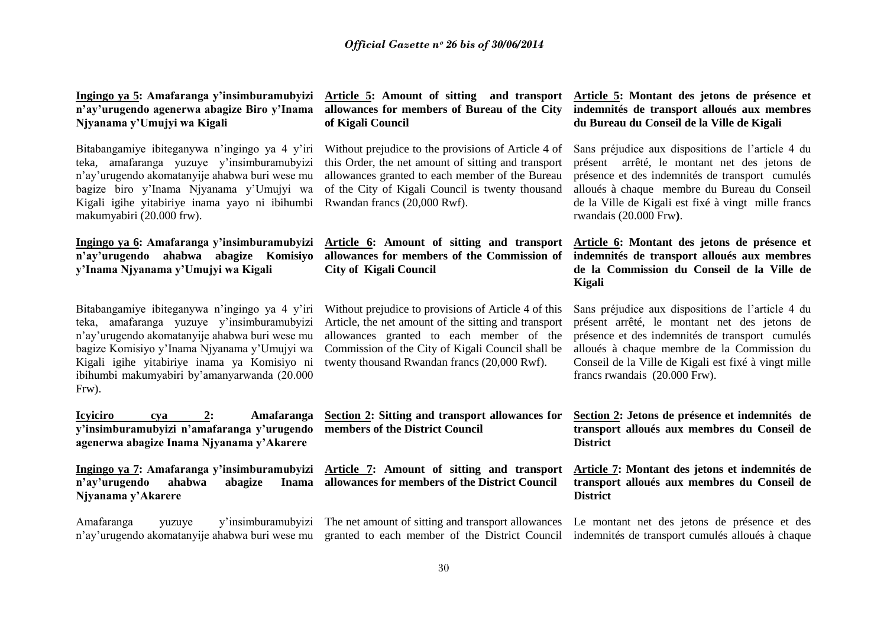| Ingingo ya 5: Amafaranga y'insimburamubyizi |
|---------------------------------------------|
| n'ay'urugendo agenerwa abagize Biro y'Inama |
| Njyanama y'Umujyi wa Kigali                 |

Bitabangamiye ibiteganywa n'ingingo ya 4 y'iri teka, amafaranga yuzuye y"insimburamubyizi n"ay"urugendo akomatanyije ahabwa buri wese mu bagize biro y"Inama Njyanama y"Umujyi wa Kigali igihe yitabiriye inama yayo ni ibihumbi Rwandan francs (20,000 Rwf). makumyabiri (20.000 frw).

**Ingingo ya 6: Amafaranga y'insimburamubyizi Article 6: Amount of sitting and transport y'Inama Njyanama y'Umujyi wa Kigali**

Bitabangamiye ibiteganywa n'ingingo ya 4 y'iri teka, amafaranga yuzuye y"insimburamubyizi n"ay"urugendo akomatanyije ahabwa buri wese mu bagize Komisiyo y"Inama Njyanama y"Umujyi wa Kigali igihe yitabiriye inama ya Komisiyo ni ibihumbi makumyabiri by"amanyarwanda (20.000 Frw).

**Icyiciro cya 2: Amafaranga y'insimburamubyizi n'amafaranga y'urugendo agenerwa abagize Inama Njyanama y'Akarere**

Ingingo ya 7: Amafaranga y'insimburamubyizi Article 7: Amount of sitting and transport n'ay'urugendo ahabwa abagize **Njyanama y'Akarere** 

Amafaranga yuzuye y"insimburamubyizi The net amount of sitting and transport allowances Le montant net des jetons de présence et des

# **of Kigali Council**

Without prejudice to the provisions of Article 4 of this Order, the net amount of sitting and transport allowances granted to each member of the Bureau of the City of Kigali Council is twenty thousand

**n'ay'urugendo ahabwa abagize Komisiyo allowances for members of the Commission of City of Kigali Council** 

> Without prejudice to provisions of Article 4 of this Article, the net amount of the sitting and transport allowances granted to each member of the Commission of the City of Kigali Council shall be twenty thousand Rwandan francs (20,000 Rwf).

> **Section 2: Sitting and transport allowances for members of the District Council**

**allowances for members of the District Council** 

#### **Article 5: Amount of sitting and transport Article 5: Montant des jetons de présence et allowances for members of Bureau of the City indemnités de transport alloués aux membres du Bureau du Conseil de la Ville de Kigali**

Sans préjudice aux dispositions de l"article 4 du présent arrêté, le montant net des jetons de présence et des indemnités de transport cumulés alloués à chaque membre du Bureau du Conseil de la Ville de Kigali est fixé à vingt mille francs rwandais (20.000 Frw**)**.

**Article 6: Montant des jetons de présence et indemnités de transport alloués aux membres de la Commission du Conseil de la Ville de Kigali** 

Sans préjudice aux dispositions de l"article 4 du présent arrêté, le montant net des jetons de présence et des indemnités de transport cumulés alloués à chaque membre de la Commission du Conseil de la Ville de Kigali est fixé à vingt mille francs rwandais (20.000 Frw).

**Section 2: Jetons de présence et indemnités de transport alloués aux membres du Conseil de District**

**Article 7: Montant des jetons et indemnités de transport alloués aux membres du Conseil de District** 

n'ay'urugendo akomatanyije ahabwa buri wese mu granted to each member of the District Council indemnités de transport cumulés alloués à chaque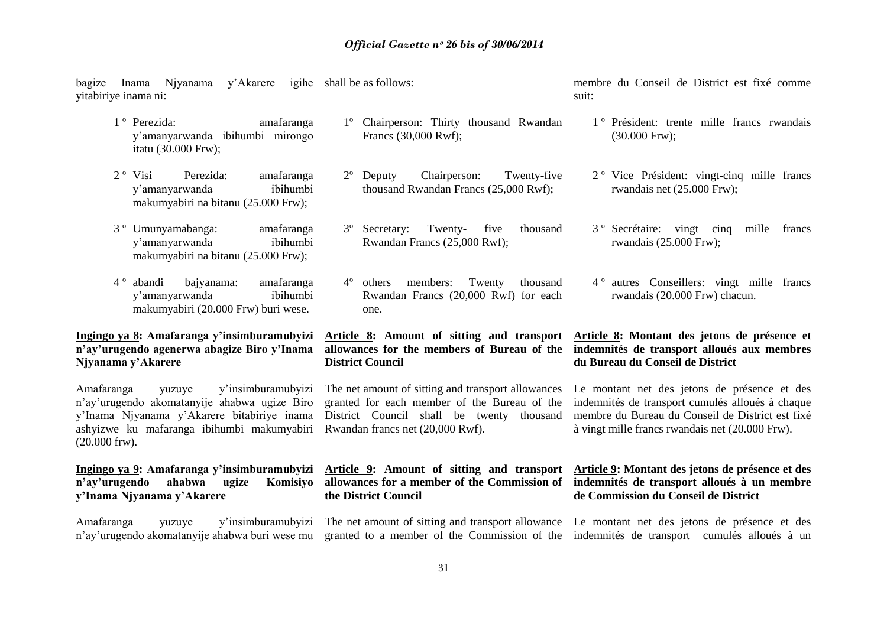bagize Inama Njyanama y"Akarere igihe shall be as follows: yitabiriye inama ni:

- 1 º Perezida: amafaranga y"amanyarwanda ibihumbi mirongo itatu (30.000 Frw);
- 2 º Visi Perezida: amafaranga y"amanyarwanda ibihumbi makumyabiri na bitanu (25.000 Frw);
- 3 º Umunyamabanga: amafaranga y"amanyarwanda ibihumbi makumyabiri na bitanu (25.000 Frw);
- 4 º abandi bajyanama: amafaranga y"amanyarwanda ibihumbi makumyabiri (20.000 Frw) buri wese.

#### **Ingingo ya 8: Amafaranga y'insimburamubyizi n'ay'urugendo agenerwa abagize Biro y'Inama Njyanama y'Akarere**

Amafaranga yuzuye y"insimburamubyizi n"ay"urugendo akomatanyije ahabwa ugize Biro y"Inama Njyanama y"Akarere bitabiriye inama ashyizwe ku mafaranga ibihumbi makumyabiri Rwandan francs net (20,000 Rwf). (20.000 frw).

**n'ay'urugendo** ahabwa **y'Inama Njyanama y'Akarere**

- 1º Chairperson: Thirty thousand Rwandan Francs (30,000 Rwf);
- 2º Deputy Chairperson: Twenty-five thousand Rwandan Francs (25,000 Rwf);
- 3º Secretary: Twenty- five thousand Rwandan Francs (25,000 Rwf);
- 4º others members: Twenty thousand Rwandan Francs (20,000 Rwf) for each one.

# **District Council**

District Council shall be twenty thousand

**the District Council**

membre du Conseil de District est fixé comme suit:

- 1 º Président: trente mille francs rwandais (30.000 Frw);
- 2 º Vice Président: vingt-cinq mille francs rwandais net (25.000 Frw);
- 3 º Secrétaire: vingt cinq mille francs rwandais (25.000 Frw);
- 4 º autres Conseillers: vingt mille francs rwandais (20.000 Frw) chacun.

#### **Article 8: Amount of sitting and transport Article 8: Montant des jetons de présence et allowances for the members of Bureau of the indemnités de transport alloués aux membres du Bureau du Conseil de District**

The net amount of sitting and transport allowances Le montant net des jetons de présence et des granted for each member of the Bureau of the indemnités de transport cumulés alloués à chaque membre du Bureau du Conseil de District est fixé à vingt mille francs rwandais net (20.000 Frw).

#### **Ingingo ya 9: Amafaranga y'insimburamubyizi Article 9: Amount of sitting and transport Article 9: Montant des jetons de présence et des allowances for a member of the Commission of indemnités de transport alloués à un membre de Commission du Conseil de District**

Amafaranga yuzuye y"insimburamubyizi The net amount of sitting and transport allowance Le montant net des jetons de présence et des n'ay'urugendo akomatanyije ahabwa buri wese mu granted to a member of the Commission of the indemnités de transport cumulés alloués à un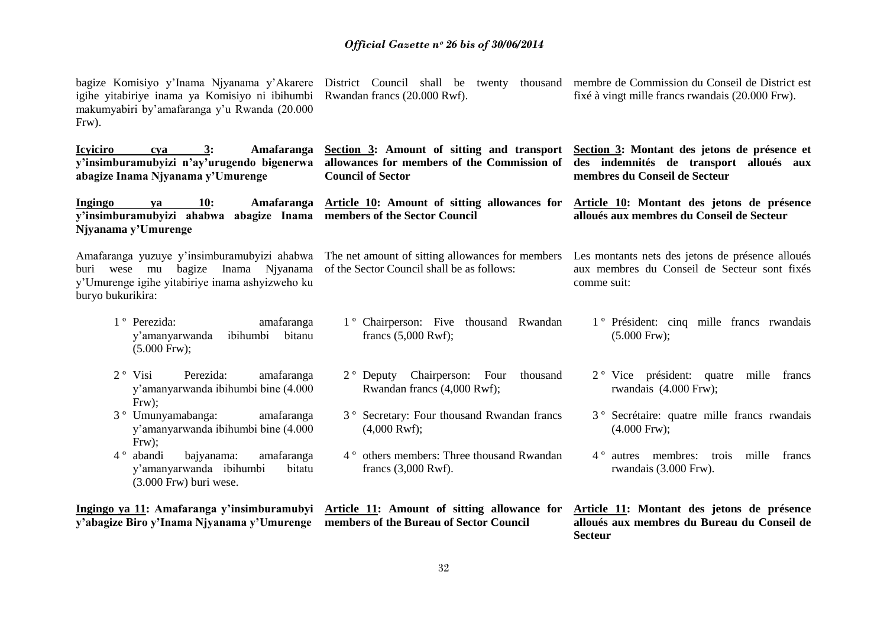| igihe yitabiriye inama ya Komisiyo ni ibihumbi Rwandan francs (20.000 Rwf).<br>makumyabiri by'amafaranga y'u Rwanda (20.000<br>Frw). | bagize Komisiyo y'Inama Njyanama y'Akarere District Council shall be twenty thousand membre de Commission du Conseil de District est                                                                          | fixé à vingt mille francs rwandais (20.000 Frw).                                                                |  |
|--------------------------------------------------------------------------------------------------------------------------------------|---------------------------------------------------------------------------------------------------------------------------------------------------------------------------------------------------------------|-----------------------------------------------------------------------------------------------------------------|--|
| <b>Icyiciro</b><br>3:<br>Amafaranga<br>cya<br>abagize Inama Njyanama y'Umurenge                                                      | Section 3: Amount of sitting and transport Section 3: Montant des jetons de présence et<br>y'insimburamubyizi n'ay'urugendo bigenerwa allowances for members of the Commission of<br><b>Council of Sector</b> | des indemnités de transport alloués aux<br>membres du Conseil de Secteur                                        |  |
| 10:<br>Ingingo<br>va<br>y'insimburamubyizi ahabwa abagize Inama members of the Sector Council<br>Njyanama y'Umurenge                 | Amafaranga Article 10: Amount of sitting allowances for                                                                                                                                                       | Article 10: Montant des jetons de présence<br>alloués aux membres du Conseil de Secteur                         |  |
| buri wese mu<br>y'Umurenge igihe yitabiriye inama ashyizweho ku<br>buryo bukurikira:                                                 | Amafaranga yuzuye y'insimburamubyizi ahabwa The net amount of sitting allowances for members<br>bagize Inama Njyanama of the Sector Council shall be as follows:                                              | Les montants nets des jetons de présence alloués<br>aux membres du Conseil de Secteur sont fixés<br>comme suit: |  |
| 1 <sup>°</sup> Perezida:<br>amafaranga<br>ibihumbi bitanu<br>y'amanyarwanda<br>$(5.000$ Frw $);$                                     | 1 <sup>°</sup> Chairperson: Five thousand Rwandan<br>francs $(5,000$ Rwf);                                                                                                                                    | 1 <sup>°</sup> Président: cinq mille francs rwandais<br>$(5.000$ Frw $);$                                       |  |
| Perezida:<br>$2^{\circ}$ Visi<br>amafaranga<br>y'amanyarwanda ibihumbi bine (4.000<br>$Frw$ );                                       | 2° Deputy Chairperson: Four thousand<br>Rwandan francs (4,000 Rwf);                                                                                                                                           | 2 <sup>°</sup> Vice président: quatre<br>mille<br>francs<br>rwandais (4.000 Frw);                               |  |
| 3 <sup>°</sup> Umunyamabanga:<br>amafaranga<br>y'amanyarwanda ibihumbi bine (4.000<br>$Frw$ ;                                        | 3° Secretary: Four thousand Rwandan francs<br>$(4,000$ Rwf);                                                                                                                                                  | 3 <sup>°</sup> Secrétaire: quatre mille francs rwandais<br>$(4.000$ Frw $);$                                    |  |
| 4 <sup>°</sup> abandi<br>bajyanama:<br>amafaranga<br>y'amanyarwanda ibihumbi<br>bitatu<br>$(3.000$ Frw) buri wese.                   | 4° others members: Three thousand Rwandan<br>francs $(3,000$ Rwf).                                                                                                                                            | 4 <sup>°</sup> autres membres: trois<br>mille<br>francs<br>rwandais (3.000 Frw).                                |  |
| y'abagize Biro y'Inama Njyanama y'Umurenge members of the Bureau of Sector Council                                                   | Ingingo ya 11: Amafaranga y'insimburamubyi Article 11: Amount of sitting allowance for                                                                                                                        | Article 11: Montant des jetons de présence<br>alloués aux membres du Bureau du Conseil de<br><b>Secteur</b>     |  |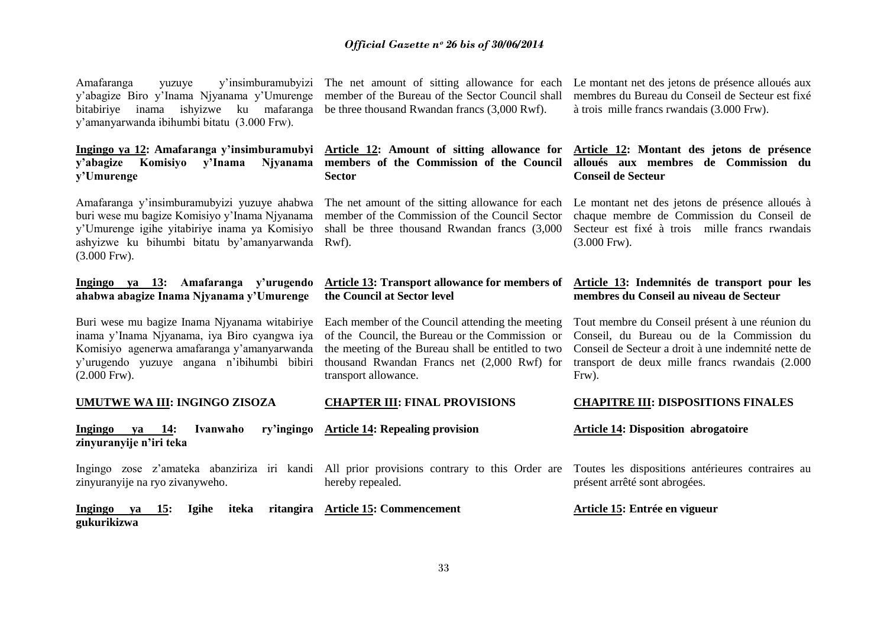| Amafaranga yuzuye                           |  |  | y'insimburamubyizi |  |
|---------------------------------------------|--|--|--------------------|--|
| y'abagize Biro y'Inama Njyanama y'Umurenge  |  |  |                    |  |
| bitabiriye inama ishyizwe ku mafaranga      |  |  |                    |  |
| y'amanyarwanda ibihumbi bitatu (3.000 Frw). |  |  |                    |  |

**Ingingo ya 12: Amafaranga y'insimburamubyi Article 12: Amount of sitting allowance for y'Umurenge**

buri wese mu bagize Komisiyo y"Inama Njyanama ashyizwe ku bihumbi bitatu by"amanyarwanda Rwf). (3.000 Frw).

#### **Ingingo ya 13: Amafaranga y'urugendo ahabwa abagize Inama Njyanama y'Umurenge**

Buri wese mu bagize Inama Njyanama witabiriye Each member of the Council attending the meeting inama y"Inama Njyanama, iya Biro cyangwa iya Komisiyo agenerwa amafaranga y"amanyarwanda y"urugendo yuzuye angana n"ibihumbi bibiri (2.000 Frw).

#### **UMUTWE WA III: INGINGO ZISOZA**

**Ingingo va 14: Ivanwaho zinyuranyije n'iri teka**

zinyuranyije na ryo zivanyweho.

**Ingingo ya 15: Igihe iteka gukurikizwa Article 15: Commencement**

member of the Bureau of the Sector Council shall be three thousand Rwandan francs (3,000 Rwf).

**y'abagize Komisiyo y'Inama Njyanama members of the Commission of the Council Sector** 

member of the Commission of the Council Sector

#### **Article 13: Transport allowance for members of the Council at Sector level**

of the Council, the Bureau or the Commission or the meeting of the Bureau shall be entitled to two thousand Rwandan Francs net (2,000 Rwf) for transport allowance.

#### **CHAPTER III: FINAL PROVISIONS**

**Article 14: Repealing provision**

Ingingo zose z'amateka abanziriza iri kandi All prior provisions contrary to this Order are Toutes les dispositions antérieures contraires au hereby repealed.

The net amount of sitting allowance for each Le montant net des jetons de présence alloués aux membres du Bureau du Conseil de Secteur est fixé à trois mille francs rwandais (3.000 Frw).

#### **Article 12: Montant des jetons de présence alloués aux membres de Commission du Conseil de Secteur**

Amafaranga y'insimburamubyizi yuzuye ahabwa The net amount of the sitting allowance for each Le montant net des jetons de présence alloués à y'Umurenge igihe yitabiriye inama ya Komisiyo shall be three thousand Rwandan francs (3,000 Secteur est fixé à trois mille francs rwandais chaque membre de Commission du Conseil de (3.000 Frw).

#### **Article 13: Indemnités de transport pour les membres du Conseil au niveau de Secteur**

Tout membre du Conseil présent à une réunion du Conseil, du Bureau ou de la Commission du Conseil de Secteur a droit à une indemnité nette de transport de deux mille francs rwandais (2.000 Frw).

#### **CHAPITRE III: DISPOSITIONS FINALES**

#### **Article 14: Disposition abrogatoire**

présent arrêté sont abrogées.

#### **Article 15: Entrée en vigueur**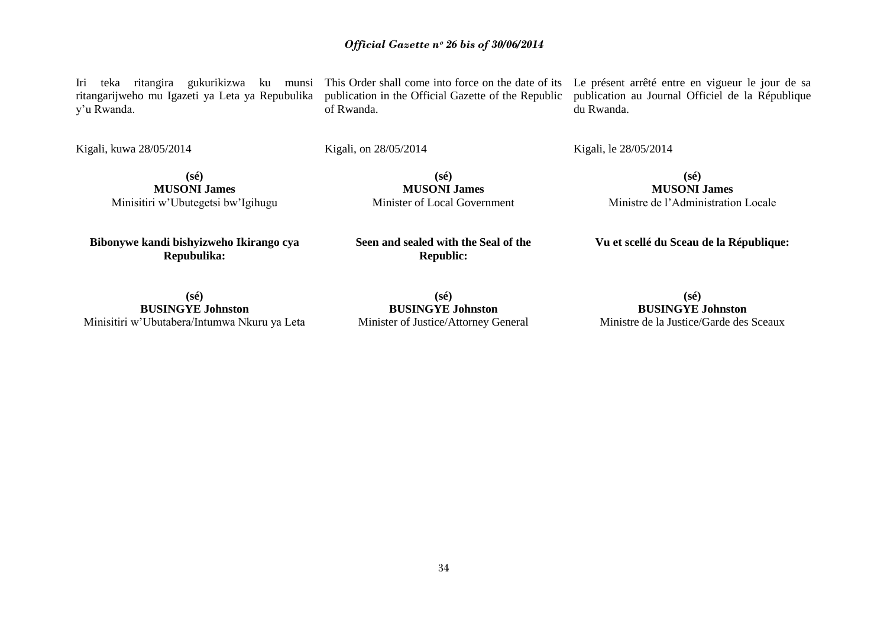**(sé) BUSINGYE Johnston** Minister of Justice/Attorney General

**(sé) BUSINGYE Johnston** Ministre de la Justice/Garde des Sceaux

**Vu et scellé du Sceau de la République:**

**(sé) MUSONI James** Ministre de l"Administration Locale

Iri teka ritangira gukurikizwa ku munsi This Order shall come into force on the date of its Le présent arrêté entre en vigueur le jour de sa publication in the Official Gazette of the Republic

*Official Gazette nᵒ 26 bis of 30/06/2014*

publication au Journal Officiel de la République

Kigali, kuwa 28/05/2014

y"u Rwanda.

**(sé) MUSONI James** Minisitiri w"Ubutegetsi bw"Igihugu

**Bibonywe kandi bishyizweho Ikirango cya Repubulika:**

**Seen and sealed with the Seal of the Republic:**

**(sé) MUSONI James** Minister of Local Government

**(sé) BUSINGYE Johnston**

Minisitiri w"Ubutabera/Intumwa Nkuru ya Leta

ritangarijweho mu Igazeti ya Leta ya Repubulika

Kigali, on 28/05/2014

du Rwanda.

Kigali, le 28/05/2014

of Rwanda.

34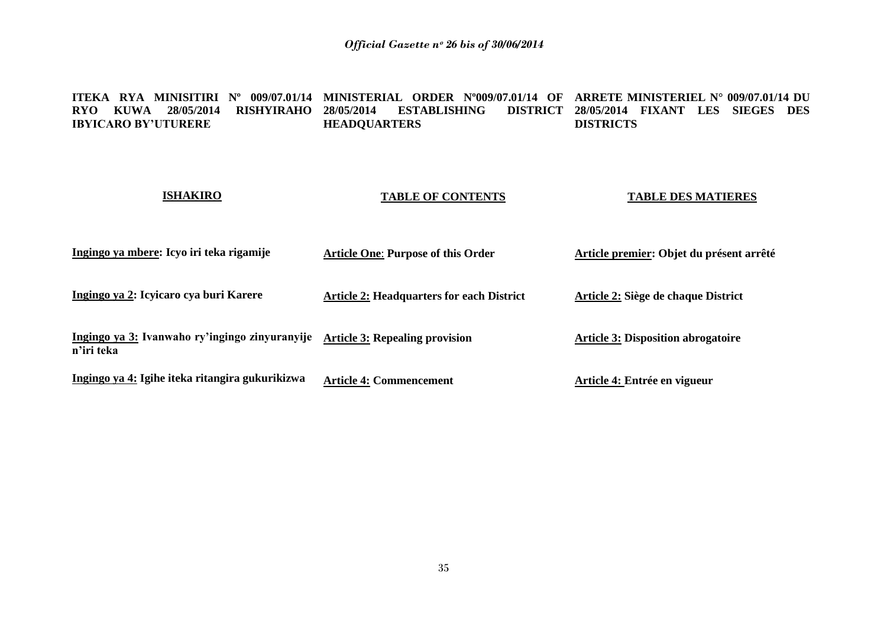#### **ITEKA RYA MINISITIRI Nº 009/07.01/14 MINISTERIAL ORDER Nº009/07.01/14 OF ARRETE MINISTERIEL N° 009/07.01/14 DU RYO KUWA 28/05/2014 RISHYIRAHO IBYICARO BY'UTURERE 287ABLISHING HEADQUARTERS 28/05/2014 FIXANT LES SIEGES DES DISTRICTS**

#### **ISHAKIRO**

#### **TABLE OF CONTENTS**

#### **TABLE DES MATIERES**

| Ingingo ya mbere: Icyo iri teka rigamije                     | <b>Article One: Purpose of this Order</b>        | Article premier: Objet du présent arrêté  |
|--------------------------------------------------------------|--------------------------------------------------|-------------------------------------------|
| Ingingo ya 2: Icyicaro cya buri Karere                       | <b>Article 2: Headquarters for each District</b> | Article 2: Siège de chaque District       |
| Ingingo ya 3: Ivanwaho ry'ingingo zinyuranyije<br>n'iri teka | <b>Article 3: Repealing provision</b>            | <b>Article 3: Disposition abrogatoire</b> |
| Ingingo ya 4: Igihe iteka ritangira gukurikizwa              | <b>Article 4: Commencement</b>                   | Article 4: Entrée en vigueur              |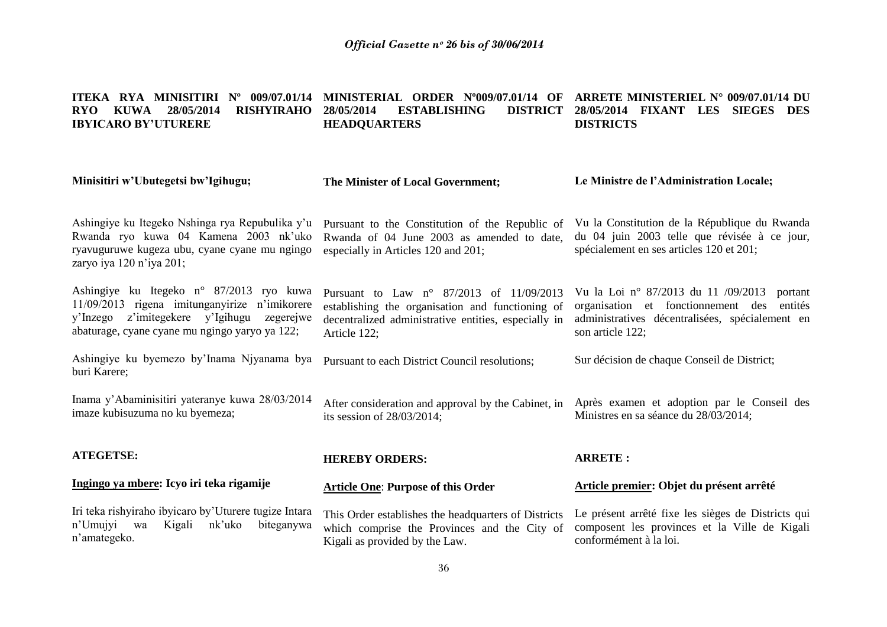#### **ITEKA RYA MINISITIRI Nº 009/07.01/14 MINISTERIAL ORDER Nº009/07.01/14 OF ARRETE MINISTERIEL N° 009/07.01/14 DU RYO KUWA 28/05/2014 RISHYIRAHO IBYICARO BY'UTURERE 287ABLISHING HEADQUARTERS 28/05/2014 FIXANT LES SIEGES DES DISTRICTS**

| Minisitiri w'Ubutegetsi bw'Igihugu;                                                                                                                                                             | The Minister of Local Government;                                                                                                                                             | Le Ministre de l'Administration Locale;                                                                                                                                |  |
|-------------------------------------------------------------------------------------------------------------------------------------------------------------------------------------------------|-------------------------------------------------------------------------------------------------------------------------------------------------------------------------------|------------------------------------------------------------------------------------------------------------------------------------------------------------------------|--|
| Ashingiye ku Itegeko Nshinga rya Repubulika y'u<br>Rwanda ryo kuwa 04 Kamena 2003 nk'uko<br>ryavuguruwe kugeza ubu, cyane cyane mu ngingo<br>zaryo iya 120 n'iya 201;                           | Pursuant to the Constitution of the Republic of<br>Rwanda of 04 June 2003 as amended to date,<br>especially in Articles 120 and 201;                                          | Vu la Constitution de la République du Rwanda<br>du 04 juin 2003 telle que révisée à ce jour,<br>spécialement en ses articles 120 et 201;                              |  |
| Ashingiye ku Itegeko n° 87/2013 ryo kuwa<br>11/09/2013 rigena imitunganyirize n'imikorere<br>z'imitegekere y'Igihugu<br>y'Inzego<br>zegerejwe<br>abaturage, cyane cyane mu ngingo yaryo ya 122; | Pursuant to Law $n^{\circ}$ 87/2013 of 11/09/2013<br>establishing the organisation and functioning of<br>decentralized administrative entities, especially in<br>Article 122; | Vu la Loi nº 87/2013 du 11 /09/2013<br>portant<br>organisation et fonctionnement des<br>entités<br>administratives décentralisées, spécialement en<br>son article 122; |  |
| Ashingiye ku byemezo by'Inama Njyanama bya<br>buri Karere;                                                                                                                                      | Pursuant to each District Council resolutions;                                                                                                                                | Sur décision de chaque Conseil de District;                                                                                                                            |  |
| Inama y'Abaminisitiri yateranye kuwa 28/03/2014<br>imaze kubisuzuma no ku byemeza;                                                                                                              | After consideration and approval by the Cabinet, in<br>its session of $28/03/2014$ ;                                                                                          | Après examen et adoption par le Conseil des<br>Ministres en sa séance du 28/03/2014;                                                                                   |  |
| <b>ATEGETSE:</b>                                                                                                                                                                                | <b>HEREBY ORDERS:</b>                                                                                                                                                         | <b>ARRETE:</b>                                                                                                                                                         |  |
| Ingingo ya mbere: Icyo iri teka rigamije                                                                                                                                                        | <b>Article One: Purpose of this Order</b>                                                                                                                                     | Article premier: Objet du présent arrêté                                                                                                                               |  |
| Iri teka rishyiraho ibyicaro by'Uturere tugize Intara<br>nk'uko<br>n'Umujyi<br>Kigali<br>biteganywa<br>wa<br>n'amategeko.                                                                       | This Order establishes the headquarters of Districts<br>which comprise the Provinces and the City of<br>Kigali as provided by the Law.                                        | Le présent arrêté fixe les sièges de Districts qui<br>composent les provinces et la Ville de Kigali<br>conformément à la loi.                                          |  |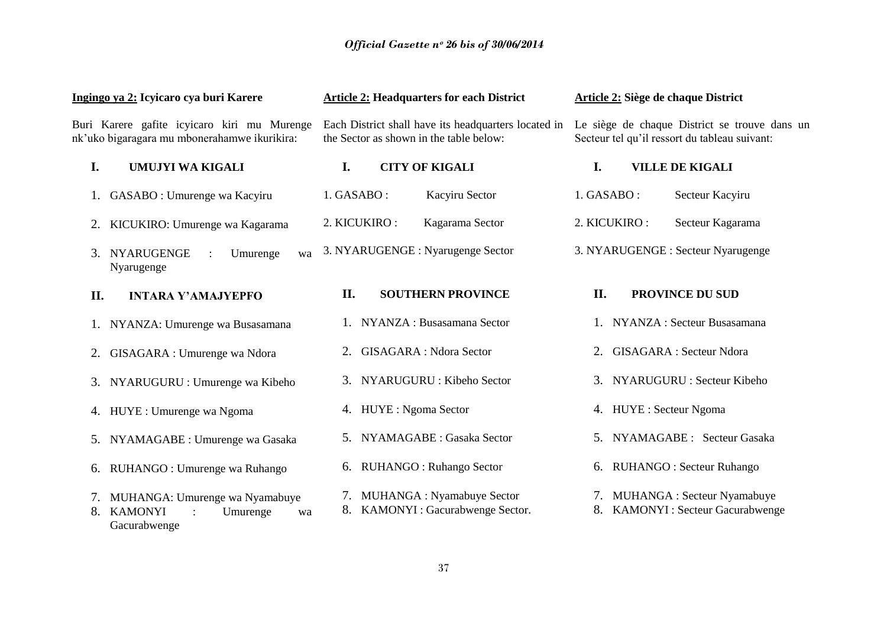|     | Ingingo ya 2: Icyicaro cya buri Karere                                                      |              | <b>Article 2: Headquarters for each District</b>                                                |              | Article 2: Siège de chaque District                                                            |
|-----|---------------------------------------------------------------------------------------------|--------------|-------------------------------------------------------------------------------------------------|--------------|------------------------------------------------------------------------------------------------|
|     | Buri Karere gafite icyicaro kiri mu Murenge<br>nk'uko bigaragara mu mbonerahamwe ikurikira: |              | Each District shall have its headquarters located in<br>the Sector as shown in the table below: |              | Le siège de chaque District se trouve dans un<br>Secteur tel qu'il ressort du tableau suivant: |
| I.  | UMUJYI WA KIGALI                                                                            | I.           | <b>CITY OF KIGALI</b>                                                                           | I.           | <b>VILLE DE KIGALI</b>                                                                         |
|     | GASABO : Umurenge wa Kacyiru                                                                | 1. GASABO :  | Kacyiru Sector                                                                                  | 1. GASABO:   | Secteur Kacyiru                                                                                |
|     | KICUKIRO: Umurenge wa Kagarama                                                              | 2. KICUKIRO: | Kagarama Sector                                                                                 | 2. KICUKIRO: | Secteur Kagarama                                                                               |
| 3.  | NYARUGENGE<br>Umurenge<br>wa<br>Nyarugenge                                                  |              | 3. NYARUGENGE : Nyarugenge Sector                                                               |              | 3. NYARUGENGE : Secteur Nyarugenge                                                             |
| II. | <b>INTARA Y'AMAJYEPFO</b>                                                                   | II.          | <b>SOUTHERN PROVINCE</b>                                                                        | II.          | <b>PROVINCE DU SUD</b>                                                                         |
|     | 1. NYANZA: Umurenge wa Busasamana                                                           |              | 1. NYANZA : Busasamana Sector                                                                   |              | 1. NYANZA : Secteur Busasamana                                                                 |
| 2.  | GISAGARA : Umurenge wa Ndora                                                                |              | <b>GISAGARA</b> : Ndora Sector                                                                  | 2.           | <b>GISAGARA</b> : Secteur Ndora                                                                |
|     | 3. NYARUGURU : Umurenge wa Kibeho                                                           | 3.           | NYARUGURU : Kibeho Sector                                                                       |              | 3. NYARUGURU : Secteur Kibeho                                                                  |
|     | 4. HUYE : Umurenge wa Ngoma                                                                 |              | 4. HUYE : Ngoma Sector                                                                          |              | 4. HUYE : Secteur Ngoma                                                                        |
|     | 5. NYAMAGABE : Umurenge wa Gasaka                                                           | 5.           | NYAMAGABE : Gasaka Sector                                                                       |              | 5. NYAMAGABE : Secteur Gasaka                                                                  |
| 6.  | RUHANGO : Umurenge wa Ruhango                                                               | 6.           | RUHANGO: Ruhango Sector                                                                         |              | 6. RUHANGO : Secteur Ruhango                                                                   |
| 8.  | 7. MUHANGA: Umurenge wa Nyamabuye<br><b>KAMONYI</b><br>Umurenge<br>wa<br>Gacurabwenge       |              | 7. MUHANGA : Nyamabuye Sector<br>8. KAMONYI : Gacurabwenge Sector.                              | 8.           | 7. MUHANGA : Secteur Nyamabuye<br><b>KAMONYI</b> : Secteur Gacurabwenge                        |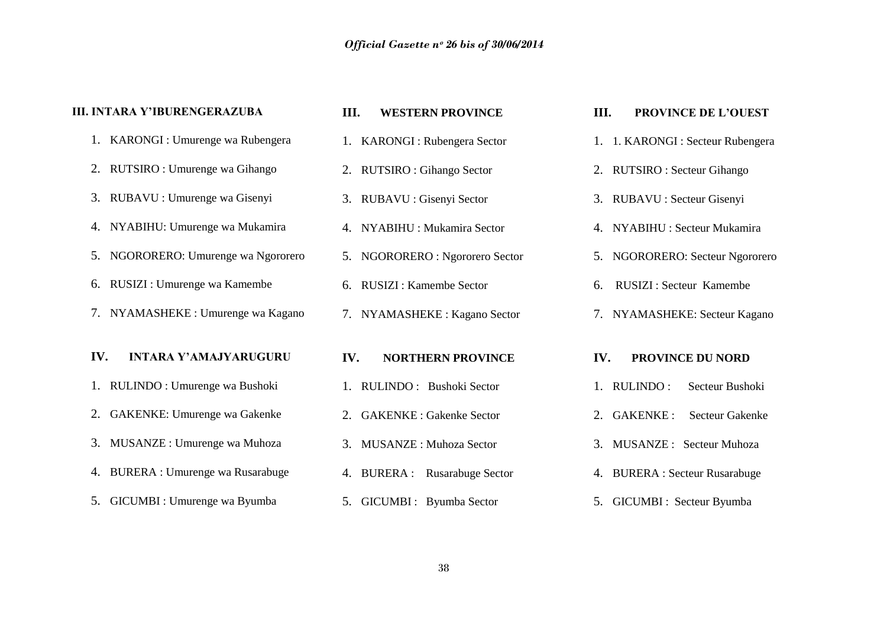| <b>III. INTARA Y'IBURENGERAZUBA</b> | III.<br><b>WESTERN PROVINCE</b> | III.<br>PROVINCE DE L'OUEST          |
|-------------------------------------|---------------------------------|--------------------------------------|
| 1. KARONGI : Umurenge wa Rubengera  | 1. KARONGI : Rubengera Sector   | 1. 1. KARONGI : Secteur Rubengera    |
| 2. RUTSIRO : Umurenge wa Gihango    | 2. RUTSIRO: Gihango Sector      | 2. RUTSIRO : Secteur Gihango         |
| 3. RUBAVU : Umurenge wa Gisenyi     | 3. RUBAVU : Gisenyi Sector      | 3. RUBAVU : Secteur Gisenyi          |
| 4. NYABIHU: Umurenge wa Mukamira    | 4. NYABIHU : Mukamira Sector    | 4. NYABIHU : Secteur Mukamira        |
| 5. NGORORERO: Umurenge wa Ngororero | 5. NGORORERO : Ngororero Sector | 5. NGORORERO: Secteur Ngororero      |
| RUSIZI : Umurenge wa Kamembe<br>6.  | 6. RUSIZI : Kamembe Sector      | <b>RUSIZI: Secteur Kamembe</b><br>6. |
| 7. NYAMASHEKE : Umurenge wa Kagano  | 7. NYAMASHEKE : Kagano Sector   | 7. NYAMASHEKE: Secteur Kagano        |
|                                     |                                 |                                      |
| IV.<br><b>INTARA Y'AMAJYARUGURU</b> | IV.<br><b>NORTHERN PROVINCE</b> | IV.<br><b>PROVINCE DU NORD</b>       |
| 1. RULINDO : Umurenge wa Bushoki    | RULINDO: Bushoki Sector         | 1. RULINDO:<br>Secteur Bushoki       |
| GAKENKE: Umurenge wa Gakenke        | 2. GAKENKE : Gakenke Sector     | 2. GAKENKE:<br>Secteur Gakenke       |
| MUSANZE : Umurenge wa Muhoza<br>3.  | 3. MUSANZE: Muhoza Sector       | 3. MUSANZE : Secteur Muhoza          |
| 4. BURERA : Umurenge wa Rusarabuge  | 4. BURERA : Rusarabuge Sector   | 4. BURERA : Secteur Rusarabuge       |
| 5. GICUMBI : Umurenge wa Byumba     | 5. GICUMBI : Byumba Sector      | 5. GICUMBI : Secteur Byumba          |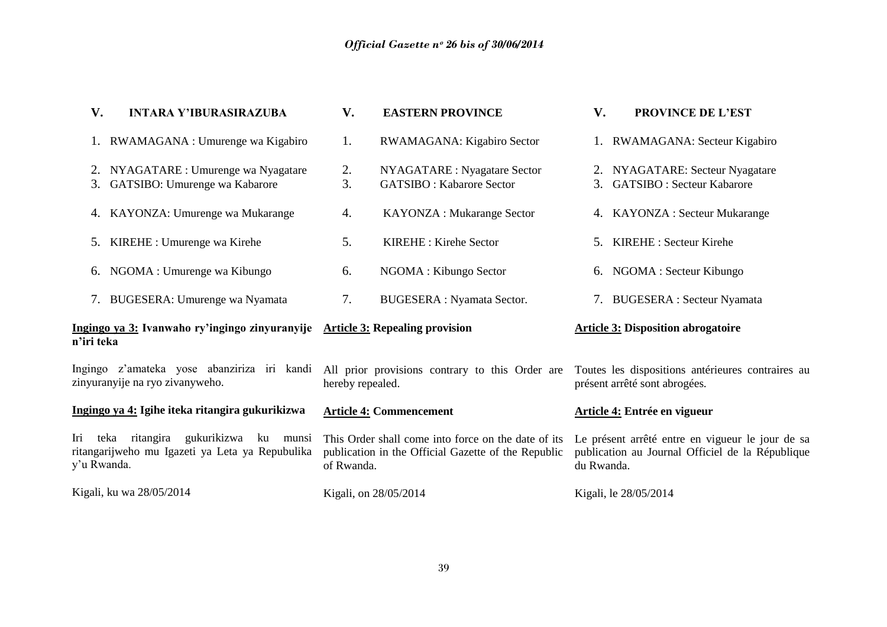| V.                 | <b>INTARA Y'IBURASIRAZUBA</b>                                                             | V.               | <b>EASTERN PROVINCE</b>                                                                                    | V.         | <b>PROVINCE DE L'EST</b>                                                                             |
|--------------------|-------------------------------------------------------------------------------------------|------------------|------------------------------------------------------------------------------------------------------------|------------|------------------------------------------------------------------------------------------------------|
|                    | 1. RWAMAGANA : Umurenge wa Kigabiro                                                       | 1.               | RWAMAGANA: Kigabiro Sector                                                                                 |            | 1. RWAMAGANA: Secteur Kigabiro                                                                       |
|                    | 2. NYAGATARE : Umurenge wa Nyagatare<br>3. GATSIBO: Umurenge wa Kabarore                  | 2.<br>3.         | NYAGATARE : Nyagatare Sector<br><b>GATSIBO: Kabarore Sector</b>                                            |            | 2. NYAGATARE: Secteur Nyagatare<br>3. GATSIBO : Secteur Kabarore                                     |
|                    | 4. KAYONZA: Umurenge wa Mukarange                                                         | 4.               | <b>KAYONZA: Mukarange Sector</b>                                                                           |            | 4. KAYONZA : Secteur Mukarange                                                                       |
| 5.                 | KIREHE : Umurenge wa Kirehe                                                               | 5.               | KIREHE: Kirehe Sector                                                                                      |            | 5. KIREHE : Secteur Kirehe                                                                           |
|                    | 6. NGOMA : Umurenge wa Kibungo                                                            | 6.               | NGOMA : Kibungo Sector                                                                                     |            | 6. NGOMA : Secteur Kibungo                                                                           |
|                    | 7. BUGESERA: Umurenge wa Nyamata                                                          | 7.               | <b>BUGESERA</b> : Nyamata Sector.                                                                          |            | 7. BUGESERA : Secteur Nyamata                                                                        |
| n'iri teka         | Ingingo ya 3: Ivanwaho ry'ingingo zinyuranyije Article 3: Repealing provision             |                  |                                                                                                            |            | <b>Article 3: Disposition abrogatoire</b>                                                            |
|                    | Ingingo z'amateka yose abanziriza iri kandi<br>zinyuranyije na ryo zivanyweho.            | hereby repealed. | All prior provisions contrary to this Order are                                                            |            | Toutes les dispositions antérieures contraires au<br>présent arrêté sont abrogées.                   |
|                    | Ingingo ya 4: Igihe iteka ritangira gukurikizwa                                           |                  | <b>Article 4: Commencement</b>                                                                             |            | Article 4: Entrée en vigueur                                                                         |
| Iri<br>y'u Rwanda. | teka ritangira gukurikizwa<br>ku munsi<br>ritangarijweho mu Igazeti ya Leta ya Repubulika | of Rwanda.       | This Order shall come into force on the date of its<br>publication in the Official Gazette of the Republic | du Rwanda. | Le présent arrêté entre en vigueur le jour de sa<br>publication au Journal Officiel de la République |
|                    | Kigali, ku wa 28/05/2014                                                                  |                  | Kigali, on 28/05/2014                                                                                      |            | Kigali, le 28/05/2014                                                                                |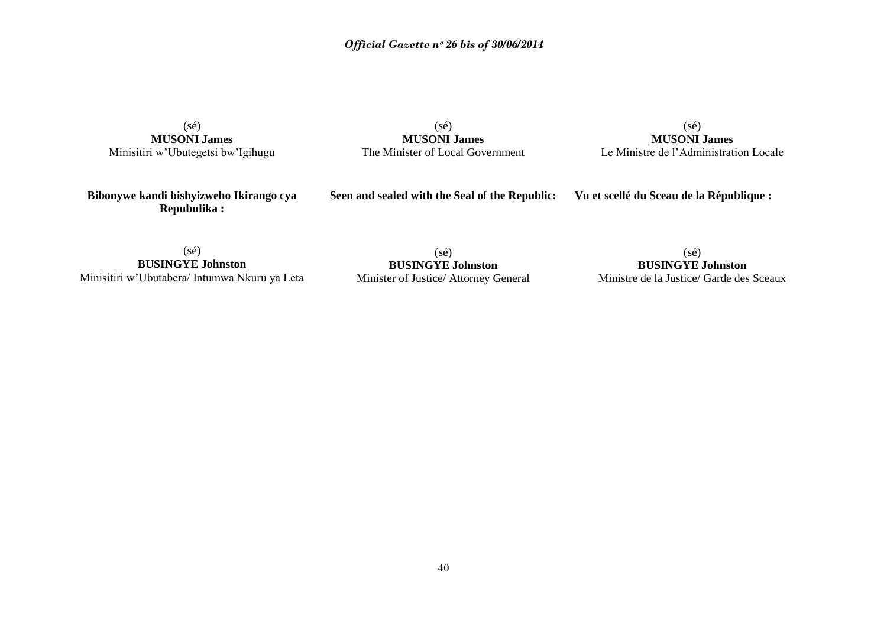## *Official Gazette nᵒ 26 bis of 30/06/2014*

(sé) **MUSONI James** Minisitiri w"Ubutegetsi bw"Igihugu

(sé) **MUSONI James** The Minister of Local Government

(sé) **MUSONI James** Le Ministre de l"Administration Locale

**Bibonywe kandi bishyizweho Ikirango cya Repubulika :**

**Seen and sealed with the Seal of the Republic:**

**Vu et scellé du Sceau de la République :**

(sé) **BUSINGYE Johnston** Minisitiri w"Ubutabera/ Intumwa Nkuru ya Leta

(sé) **BUSINGYE Johnston** Minister of Justice/ Attorney General

(sé) **BUSINGYE Johnston** Ministre de la Justice/ Garde des Sceaux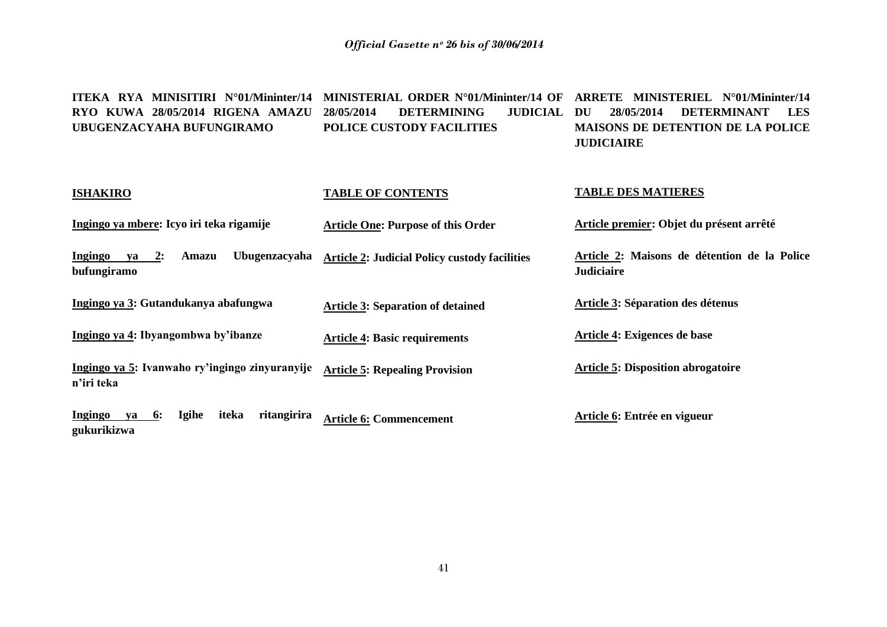**ITEKA RYA MINISITIRI N°01/Mininter/14 MINISTERIAL ORDER N°01/Mininter/14 OF ARRETE MINISTERIEL N°01/Mininter/14 RYO KUWA 28/05/2014 RIGENA AMAZU UBUGENZACYAHA BUFUNGIRAMO DETERMINING POLICE CUSTODY FACILITIES DU 28/05/2014 DETERMINANT LES MAISONS DE DETENTION DE LA POLICE JUDICIAIRE** 

**TABLE DES MATIERES**

| <b>ISHAKIRO</b>                                                     | <b>TABLE OF CONTENTS</b>                             | <b>TABLE DES MATIERES</b>                                         |
|---------------------------------------------------------------------|------------------------------------------------------|-------------------------------------------------------------------|
| Ingingo ya mbere: Icyo iri teka rigamije                            | <b>Article One: Purpose of this Order</b>            | Article premier: Objet du présent arrêté                          |
| Ingingo<br>$ya$ 2:<br><b>Ubugenzacyaha</b><br>Amazu<br>bufungiramo  | <b>Article 2: Judicial Policy custody facilities</b> | Article 2: Maisons de détention de la Police<br><b>Judiciaire</b> |
| Ingingo ya 3: Gutandukanya abafungwa                                | <b>Article 3: Separation of detained</b>             | Article 3: Séparation des détenus                                 |
| Ingingo ya 4: Ibyangombwa by'ibanze                                 | <b>Article 4: Basic requirements</b>                 | Article 4: Exigences de base                                      |
| Ingingo ya 5: Ivanwaho ry'ingingo zinyuranyije<br>n'iri teka        | <b>Article 5: Repealing Provision</b>                | <b>Article 5: Disposition abrogatoire</b>                         |
| Igihe<br>iteka<br>ritangirira<br>Ingingo<br>6:<br>va<br>gukurikizwa | <b>Article 6: Commencement</b>                       | Article 6: Entrée en vigueur                                      |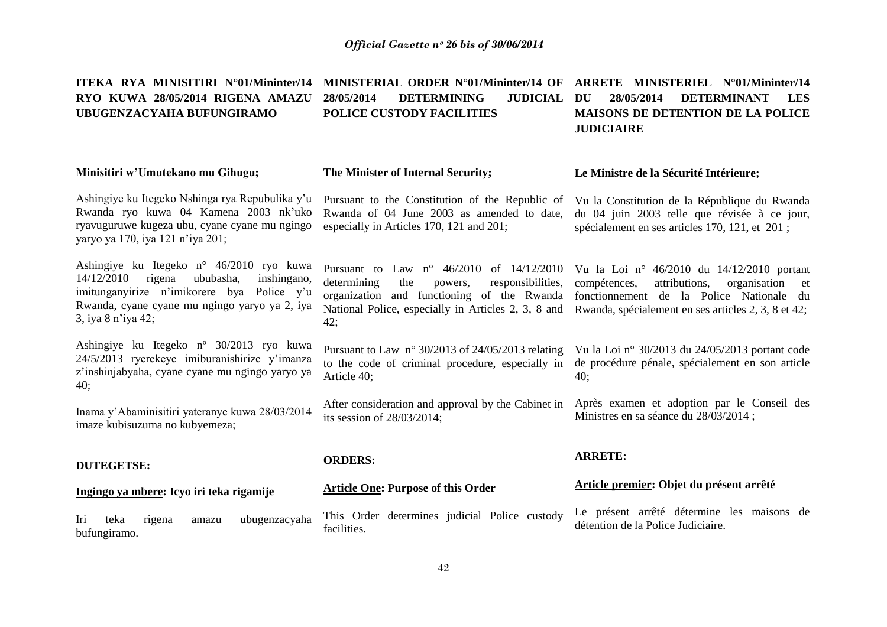**ITEKA RYA MINISITIRI N°01/Mininter/14 MINISTERIAL ORDER N°01/Mininter/14 OF ARRETE MINISTERIEL N°01/Mininter/14 RYO KUWA 28/05/2014 RIGENA AMAZU UBUGENZACYAHA BUFUNGIRAMO 28/05/2014 DETERMINING JUDICIAL POLICE CUSTODY FACILITIES DU 28/05/2014 DETERMINANT LES MAISONS DE DETENTION DE LA POLICE JUDICIAIRE** 

**Minisitiri w'Umutekano mu Gihugu;** Ashingiye ku Itegeko Nshinga rya Repubulika y"u Rwanda ryo kuwa 04 Kamena 2003 nk"uko ryavuguruwe kugeza ubu, cyane cyane mu ngingo yaryo ya 170, iya 121 n"iya 201; Ashingiye ku Itegeko n° 46/2010 ryo kuwa 14/12/2010 rigena ububasha, inshingano, imitunganyirize n"imikorere bya Police y"u Rwanda, cyane cyane mu ngingo yaryo ya 2, iya 3, iya 8 n"iya 42; Ashingiye ku Itegeko nº 30/2013 ryo kuwa 24/5/2013 ryerekeye imiburanishirize y"imanza z"inshinjabyaha, cyane cyane mu ngingo yaryo ya 40; Inama y"Abaminisitiri yateranye kuwa 28/03/2014 imaze kubisuzuma no kubyemeza; **DUTEGETSE: Ingingo ya mbere: Icyo iri teka rigamije** Iri teka rigena amazu ubugenzacyaha bufungiramo. **The Minister of Internal Security;** Pursuant to the Constitution of the Republic of Rwanda of 04 June 2003 as amended to date, especially in Articles 170, 121 and 201; Pursuant to Law n° 46/2010 of 14/12/2010 determining the powers, responsibilities, organization and functioning of the Rwanda National Police, especially in Articles 2, 3, 8 and Rwanda, spécialement en ses articles 2, 3, 8 et 42; 42; Pursuant to Law n° 30/2013 of 24/05/2013 relating to the code of criminal procedure, especially in Article 40; After consideration and approval by the Cabinet in its session of 28/03/2014; **ORDERS: Article One: Purpose of this Order** This Order determines judicial Police custody facilities. **Le Ministre de la Sécurité Intérieure;**  Vu la Constitution de la République du Rwanda du 04 juin 2003 telle que révisée à ce jour, spécialement en ses articles 170, 121, et 201 ; Vu la Loi n° 46/2010 du 14/12/2010 portant compétences, attributions, organisation et fonctionnement de la Police Nationale du Vu la Loi n° 30/2013 du 24/05/2013 portant code de procédure pénale, spécialement en son article 40; Après examen et adoption par le Conseil des Ministres en sa séance du 28/03/2014 ; **ARRETE: Article premier: Objet du présent arrêté** Le présent arrêté détermine les maisons de détention de la Police Judiciaire.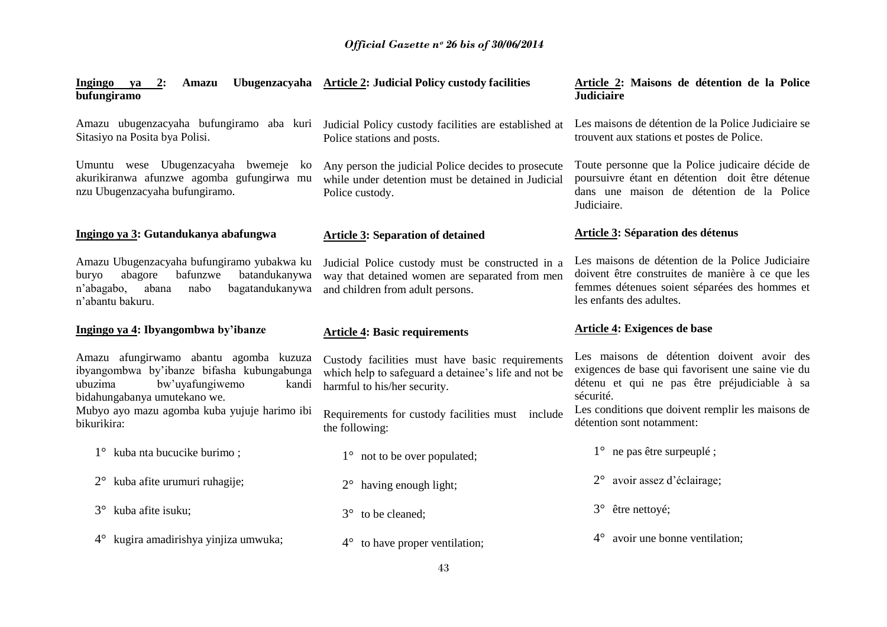| Ingingo ya 2:<br><b>Amazu</b><br>bufungiramo                                                                                                                      | Ubugenzacyaha Article 2: Judicial Policy custody facilities                                                                             | Article 2: Maisons de détention de la Police<br><b>Judiciaire</b>                                                                                                                 |
|-------------------------------------------------------------------------------------------------------------------------------------------------------------------|-----------------------------------------------------------------------------------------------------------------------------------------|-----------------------------------------------------------------------------------------------------------------------------------------------------------------------------------|
| Sitasiyo na Posita bya Polisi.                                                                                                                                    | Amazu ubugenzacyaha bufungiramo aba kuri Judicial Policy custody facilities are established at<br>Police stations and posts.            | Les maisons de détention de la Police Judiciaire se<br>trouvent aux stations et postes de Police.                                                                                 |
| Umuntu wese Ubugenzacyaha bwemeje<br>ko<br>akurikiranwa afunzwe agomba gufungirwa mu<br>nzu Ubugenzacyaha bufungiramo.                                            | Any person the judicial Police decides to prosecute<br>while under detention must be detained in Judicial<br>Police custody.            | Toute personne que la Police judicaire décide de<br>poursuivre étant en détention doit être détenue<br>dans une maison de détention de la Police<br>Judiciaire.                   |
| Ingingo ya 3: Gutandukanya abafungwa                                                                                                                              | <b>Article 3: Separation of detained</b>                                                                                                | <b>Article 3: Séparation des détenus</b>                                                                                                                                          |
| Amazu Ubugenzacyaha bufungiramo yubakwa ku<br>abagore<br>bafunzwe<br>batandukanywa<br>buryo<br>bagatandukanywa<br>n'abagabo,<br>abana<br>nabo<br>n'abantu bakuru. | Judicial Police custody must be constructed in a<br>way that detained women are separated from men<br>and children from adult persons.  | Les maisons de détention de la Police Judiciaire<br>doivent être construites de manière à ce que les<br>femmes détenues soient séparées des hommes et<br>les enfants des adultes. |
|                                                                                                                                                                   |                                                                                                                                         |                                                                                                                                                                                   |
| Ingingo ya 4: Ibyangombwa by'ibanze                                                                                                                               | <b>Article 4: Basic requirements</b>                                                                                                    | <b>Article 4: Exigences de base</b>                                                                                                                                               |
| Amazu afungirwamo abantu agomba kuzuza<br>ibyangombwa by'ibanze bifasha kubungabunga<br>bw'uyafungiwemo<br>ubuzima<br>kandi<br>bidahungabanya umutekano we.       | Custody facilities must have basic requirements<br>which help to safeguard a detainee's life and not be<br>harmful to his/her security. | Les maisons de détention doivent avoir des<br>exigences de base qui favorisent une saine vie du<br>détenu et qui ne pas être préjudiciable à sa<br>sécurité.                      |
| Mubyo ayo mazu agomba kuba yujuje harimo ibi<br>bikurikira:                                                                                                       | Requirements for custody facilities must include<br>the following:                                                                      | Les conditions que doivent remplir les maisons de<br>détention sont notamment:                                                                                                    |
| 1° kuba nta bucucike burimo;                                                                                                                                      | $1^{\circ}$ not to be over populated;                                                                                                   | $1^{\circ}$ ne pas être surpeuplé ;                                                                                                                                               |
| kuba afite urumuri ruhagije;<br>$2^{\circ}$                                                                                                                       | having enough light;<br>$2^{\circ}$                                                                                                     | avoir assez d'éclairage;                                                                                                                                                          |
| kuba afite isuku;<br>$3^\circ$                                                                                                                                    | to be cleaned;<br>$3^\circ$                                                                                                             | être nettoyé;<br>$3^\circ$                                                                                                                                                        |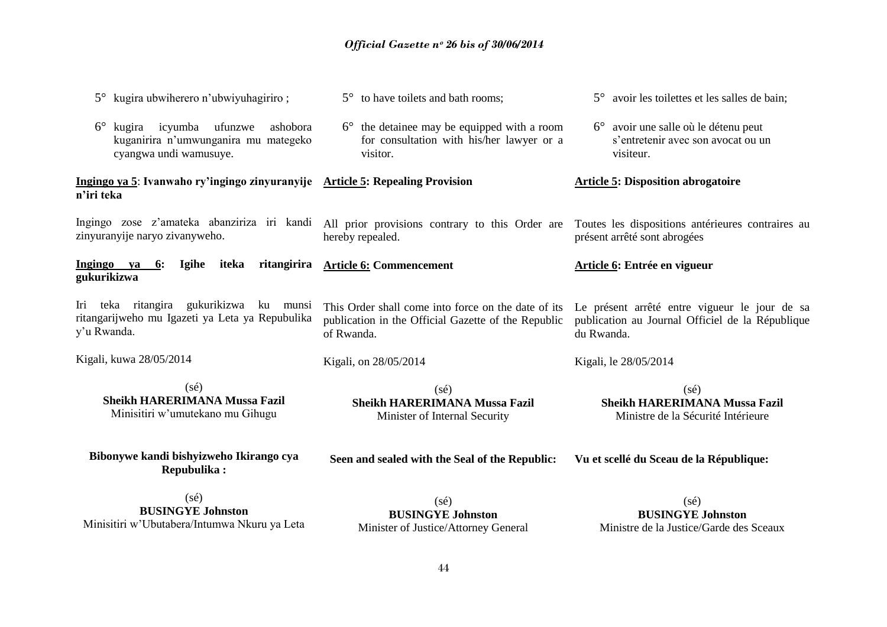| kugira ubwiherero n'ubwiyuhagiriro;                                                                                 | 5° to have toilets and bath rooms;                                                                                       | 5° avoir les toilettes et les salles de bain;                                                                   |
|---------------------------------------------------------------------------------------------------------------------|--------------------------------------------------------------------------------------------------------------------------|-----------------------------------------------------------------------------------------------------------------|
| $6^{\circ}$<br>kugira icyumba ufunzwe<br>ashobora<br>kuganirira n'umwunganira mu mategeko<br>cyangwa undi wamusuye. | $6^{\circ}$ the detainee may be equipped with a room<br>for consultation with his/her lawyer or a<br>visitor.            | $6^{\circ}$ avoir une salle où le détenu peut<br>s'entretenir avec son avocat ou un<br>visiteur.                |
| Ingingo ya 5: Ivanwaho ry'ingingo zinyuranyije Article 5: Repealing Provision<br>n'iri teka                         |                                                                                                                          | <b>Article 5: Disposition abrogatoire</b>                                                                       |
| zinyuranyije naryo zivanyweho.                                                                                      | Ingingo zose z'amateka abanziriza iri kandi All prior provisions contrary to this Order are<br>hereby repealed.          | Toutes les dispositions antérieures contraires au<br>présent arrêté sont abrogées                               |
| Ingingo ya<br><b>Igihe</b><br>iteka<br>6:<br>gukurikizwa                                                            | ritangirira Article 6: Commencement                                                                                      | Article 6: Entrée en vigueur                                                                                    |
| Iri teka ritangira gukurikizwa ku munsi<br>ritangarijweho mu Igazeti ya Leta ya Repubulika<br>y'u Rwanda.           | This Order shall come into force on the date of its<br>publication in the Official Gazette of the Republic<br>of Rwanda. | Le présent arrêté entre vigueur le jour de sa<br>publication au Journal Officiel de la République<br>du Rwanda. |
| Kigali, kuwa 28/05/2014                                                                                             | Kigali, on 28/05/2014                                                                                                    | Kigali, le 28/05/2014                                                                                           |
| $(s\acute{e})$<br><b>Sheikh HARERIMANA Mussa Fazil</b><br>Minisitiri w'umutekano mu Gihugu                          | $(s\acute{e})$<br><b>Sheikh HARERIMANA Mussa Fazil</b><br>Minister of Internal Security                                  | $(s\acute{e})$<br><b>Sheikh HARERIMANA Mussa Fazil</b><br>Ministre de la Sécurité Intérieure                    |
| Bibonywe kandi bishyizweho Ikirango cya<br><b>Repubulika:</b>                                                       | Seen and sealed with the Seal of the Republic:                                                                           | Vu et scellé du Sceau de la République:                                                                         |
| $(s\acute{e})$<br><b>BUSINGYE Johnston</b><br>Minisitiri w'Ubutabera/Intumwa Nkuru ya Leta                          | $(s\acute{e})$<br><b>BUSINGYE Johnston</b><br>Minister of Justice/Attorney General                                       | $(s\acute{e})$<br><b>BUSINGYE Johnston</b><br>Ministre de la Justice/Garde des Sceaux                           |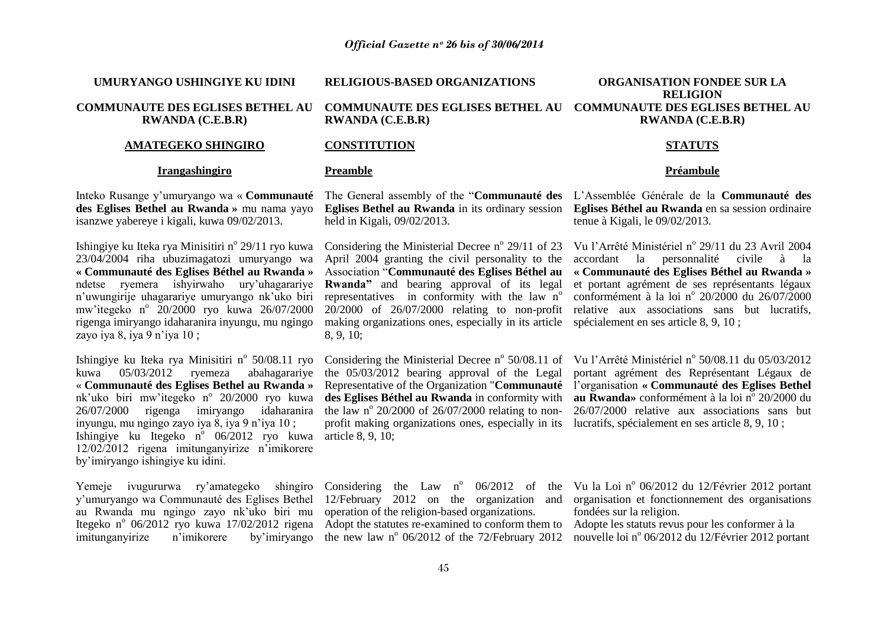**UMURYANGO USHINGIYE KU IDINI**

## **COMMUNAUTE DES EGLISES BETHEL AU RWANDA (C.E.B.R)**

#### **AMATEGEKO SHINGIRO**

#### **Irangashingiro**

Inteko Rusange y"umuryango wa « **Communauté**  The General assembly of the "**Communauté des**  L"Assemblée Générale de la **Communauté des**  isanzwe yabereye i kigali, kuwa 09/02/2013.

Ishingiye ku Iteka rya Minisitiri n<sup>o</sup> 29/11 ryo kuwa 23/04/2004 riha ubuzimagatozi umuryango wa **« Communauté des Eglises Béthel au Rwanda »** ndetse ryemera ishyirwaho ury"uhagarariye n"uwungirije uhagarariye umuryango nk"uko biri mw'itegeko n<sup>o</sup> 20/2000 ryo kuwa 26/07/2000 rigenga imiryango idaharanira inyungu, mu ngingo zayo iya 8, iya  $9$  n'iya 10 ;

kuwa 05/03/2012 ryemeza abahagarariye « **Communauté des Eglises Bethel au Rwanda »**  nk'uko biri mw'itegeko n° 20/2000 ryo kuwa inyungu, mu ngingo zayo iya 8, iya 9 n"iya 10 ; Ishingiye ku Itegeko n<sup>o</sup> 06/2012 ryo kuwa article 8, 9, 10; 12/02/2012 rigena imitunganyirize n"imikorere by"imiryango ishingiye ku idini.

Yemeje ivugururwa ry'amategeko shingiro Considering the Law n° 06/2012 of the Vu la Loi n° 06/2012 du 12/Février 2012 portant y"umuryango wa Communauté des Eglises Bethel 12/February 2012 on the organization and au Rwanda mu ngingo zayo nk"uko biri mu operation of the religion-based organizations. Itegeko nº 06/2012 ryo kuwa 17/02/2012 rigena Adopt the statutes re-examined to conform them to Adopte les statuts revus pour les conformer à la imitunganyirize n'imikorere

**RELIGIOUS-BASED ORGANIZATIONS**

**COMMUNAUTE DES EGLISES BETHEL AU COMMUNAUTE DES EGLISES BETHEL AU RWANDA (C.E.B.R)**

#### **CONSTITUTION**

#### **Preamble**

held in Kigali, 09/02/2013.

making organizations ones, especially in its article spécialement en ses article 8, 9, 10 ; 8, 9, 10;

the 05/03/2012 bearing approval of the Legal profit making organizations ones, especially in its lucratifs, spécialement en ses article 8, 9, 10 ;

**ORGANISATION FONDEE SUR LA RELIGION RWANDA (C.E.B.R)**

#### **STATUTS**

#### **Préambule**

des Eglises Bethel au Rwanda » mu nama yayo Eglises Bethel au Rwanda in its ordinary session Eglises Béthel au Rwanda en sa session ordinaire tenue à Kigali, le 09/02/2013.

> Considering the Ministerial Decree nº 29/11 of 23 Vu l'Arrêté Ministériel nº 29/11 du 23 Avril 2004 April 2004 granting the civil personality to the accordant la personnalité civile à la Association "**Communauté des Eglises Béthel au « Communauté des Eglises Béthel au Rwanda »** Rwanda" and bearing approval of its legal et portant agrément de ses représentants légaux representatives in conformity with the law n° conformément à la loi n° 20/2000 du 26/07/2000 20/2000 of 26/07/2000 relating to non-profit relative aux associations sans but lucratifs,

Ishingiye ku Iteka rya Minisitiri nº 50/08.11 ryo Considering the Ministerial Decree nº 50/08.11 of Vu l'Arrêté Ministériel nº 50/08.11 du 05/03/2012  $26/07/2000$  rigenga imiryango idaharanira the law n° 20/2000 of 26/07/2000 relating to non- 26/07/2000 relative aux associations sans but Representative of the Organization "**Communauté**  l"organisation **« Communauté des Eglises Bethel**  des Eglises Béthel au Rwanda in conformity with au Rwanda» conformément à la loi nº 20/2000 du portant agrément des Représentant Légaux de

the new law  $n^{\circ}$  06/2012 of the 72/February 2012

organisation et fonctionnement des organisations fondées sur la religion.

nouvelle loi nº 06/2012 du 12/Février 2012 portant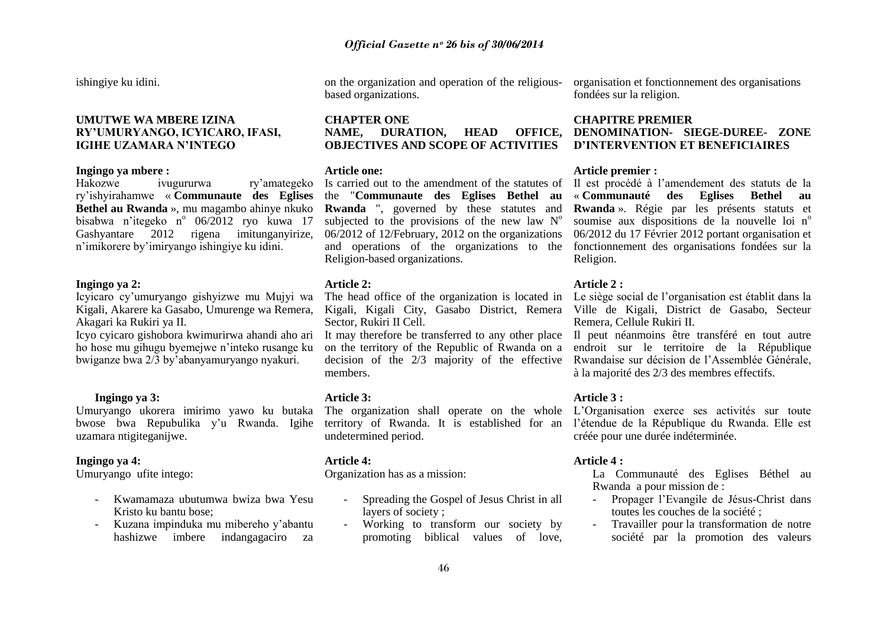ishingiye ku idini.

## **UMUTWE WA MBERE IZINA RY'UMURYANGO, ICYICARO, IFASI, IGIHE UZAMARA N'INTEGO**

#### **Ingingo ya mbere :**

ry"ishyirahamwe « **Communaute des Eglises Bethel au Rwanda** », mu magambo ahinye nkuko **Rwanda** ", governed by these statutes and bisabwa n'itegeko n<sup>o</sup> 06/2012 ryo kuwa 17 Gashyantare 2012 rigena imitunganyirize, n"imikorere by"imiryango ishingiye ku idini.

## **Ingingo ya 2:**

Icyicaro cy"umuryango gishyizwe mu Mujyi wa Kigali, Akarere ka Gasabo, Umurenge wa Remera, Akagari ka Rukiri ya II.

Icyo cyicaro gishobora kwimurirwa ahandi aho ari It may therefore be transferred to any other place Il peut néanmoins être transféré en tout autre ho hose mu gihugu byemejwe n"inteko rusange ku bwiganze bwa 2/3 by"abanyamuryango nyakuri.

## **Ingingo ya 3:**

uzamara ntigiteganijwe.

## **Ingingo ya 4:**

Umuryango ufite intego:

- Kwamamaza ubutumwa bwiza bwa Yesu Kristo ku bantu bose;
- Kuzana impinduka mu mibereho y"abantu hashizwe imbere indangagaciro za

based organizations.

## **CHAPTER ONE NAME, DURATION, HEAD OFFICE, OBJECTIVES AND SCOPE OF ACTIVITIES**

#### **Article one:**

the "**Communaute des Eglises Bethel au**  subjected to the provisions of the new law  $N^{\circ}$ Religion-based organizations.

## **Article 2:**

Sector, Rukiri II Cell.

members.

#### **Article 3:**

undetermined period.

## **Article 4:**

Organization has as a mission:

- Spreading the Gospel of Jesus Christ in all layers of society ;
- Working to transform our society by promoting biblical values of love,

on the organization and operation of the religious-organisation et fonctionnement des organisations fondées sur la religion.

## **CHAPITRE PREMIER DENOMINATION- SIEGE-DUREE- ZONE D'INTERVENTION ET BENEFICIAIRES**

## **Article premier :**

Hakozwe ivugururwa ry'amategeko Is carried out to the amendment of the statutes of Il est procédé à l'amendement des statuts de la 06/2012 of 12/February, 2012 on the organizations 06/2012 du 17 Février 2012 portant organisation et and operations of the organizations to the fonctionnement des organisations fondées sur la « **Communauté des Eglises Bethel au Rwanda** ». Régie par les présents statuts et soumise aux dispositions de la nouvelle loi  $n^{\circ}$ Religion.

## **Article 2 :**

The head office of the organization is located in Le siège social de l"organisation est établit dans la Kigali, Kigali City, Gasabo District, Remera Ville de Kigali, District de Gasabo, Secteur Remera, Cellule Rukiri II.

on the territory of the Republic of Rwanda on a endroit sur le territoire de la République decision of the 2/3 majority of the effective Rwandaise sur décision de l"Assemblée Générale, à la majorité des 2/3 des membres effectifs.

## **Article 3 :**

Umuryango ukorera imirimo yawo ku butaka The organization shall operate on the whole L"Organisation exerce ses activités sur toute bwose bwa Repubulika y'u Rwanda. Igihe territory of Rwanda. It is established for an l'étendue de la République du Rwanda. Elle est créée pour une durée indéterminée.

## **Article 4 :**

La Communauté des Eglises Béthel au Rwanda a pour mission de :

- Propager l"Evangile de Jésus-Christ dans toutes les couches de la société ;
- Travailler pour la transformation de notre société par la promotion des valeurs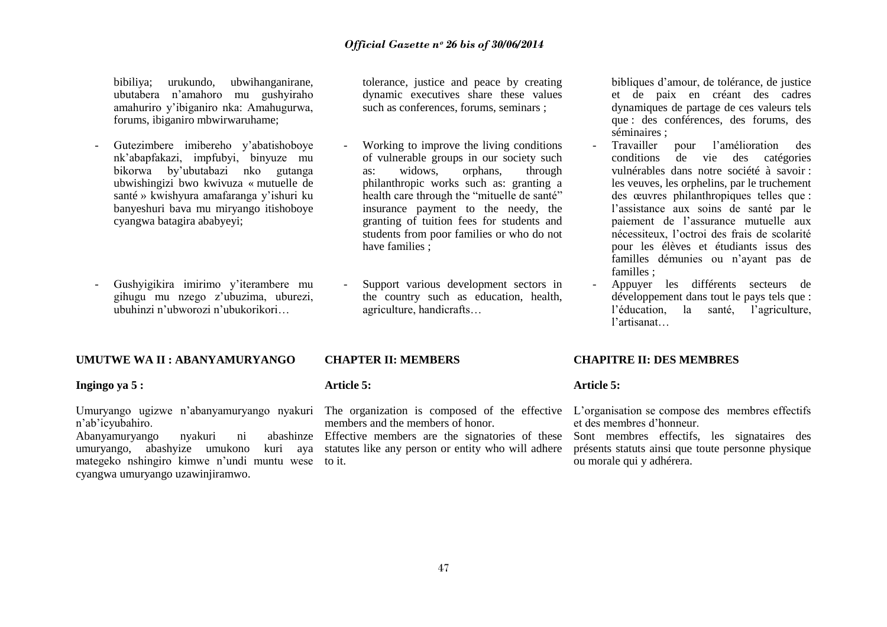bibiliya; urukundo, ubwihanganirane, ubutabera n"amahoro mu gushyiraho amahuriro y"ibiganiro nka: Amahugurwa, forums, ibiganiro mbwirwaruhame;

- Gutezimbere imibereho y"abatishoboye nk"abapfakazi, impfubyi, binyuze mu bikorwa by"ubutabazi nko gutanga ubwishingizi bwo kwivuza « mutuelle de santé » kwishyura amafaranga y"ishuri ku banyeshuri bava mu miryango itishoboye cyangwa batagira ababyeyi;
- Gushyigikira imirimo y"iterambere mu gihugu mu nzego z"ubuzima, uburezi, ubuhinzi n"ubworozi n"ubukorikori…

#### **UMUTWE WA II : ABANYAMURYANGO**

#### **Ingingo ya 5 :**

n"ab"icyubahiro.

Abanyamuryango nyakuri ni umuryango, abashyize umukono mategeko nshingiro kimwe n'undi muntu wese to it. cyangwa umuryango uzawinjiramwo.

tolerance, justice and peace by creating dynamic executives share these values such as conferences, forums, seminars ;

- Working to improve the living conditions of vulnerable groups in our society such as: widows, orphans, through philanthropic works such as: granting a health care through the "mituelle de santé" insurance payment to the needy, the granting of tuition fees for students and students from poor families or who do not have families ;
- Support various development sectors in the country such as education, health, agriculture, handicrafts…

#### **CHAPTER II: MEMBERS**

#### **Article 5:**

members and the members of honor.

Effective members are the signatories of these Sont membres effectifs, les signataires des kuri aya statutes like any person or entity who will adhere

bibliques d"amour, de tolérance, de justice et de paix en créant des cadres dynamiques de partage de ces valeurs tels que : des conférences, des forums, des séminaires ;

- Travailler pour l"amélioration des conditions de vie des catégories vulnérables dans notre société à savoir : les veuves, les orphelins, par le truchement des œuvres philanthropiques telles que : l"assistance aux soins de santé par le paiement de l"assurance mutuelle aux nécessiteux, l"octroi des frais de scolarité pour les élèves et étudiants issus des familles démunies ou n"ayant pas de familles ;
- Appuyer les différents secteurs de développement dans tout le pays tels que : l'éducation, la santé, l'agriculture, l"artisanat…

#### **CHAPITRE II: DES MEMBRES**

#### **Article 5:**

Umuryango ugizwe n'abanyamuryango nyakuri The organization is composed of the effective L'organisation se compose des membres effectifs et des membres d"honneur.

> présents statuts ainsi que toute personne physique ou morale qui y adhérera.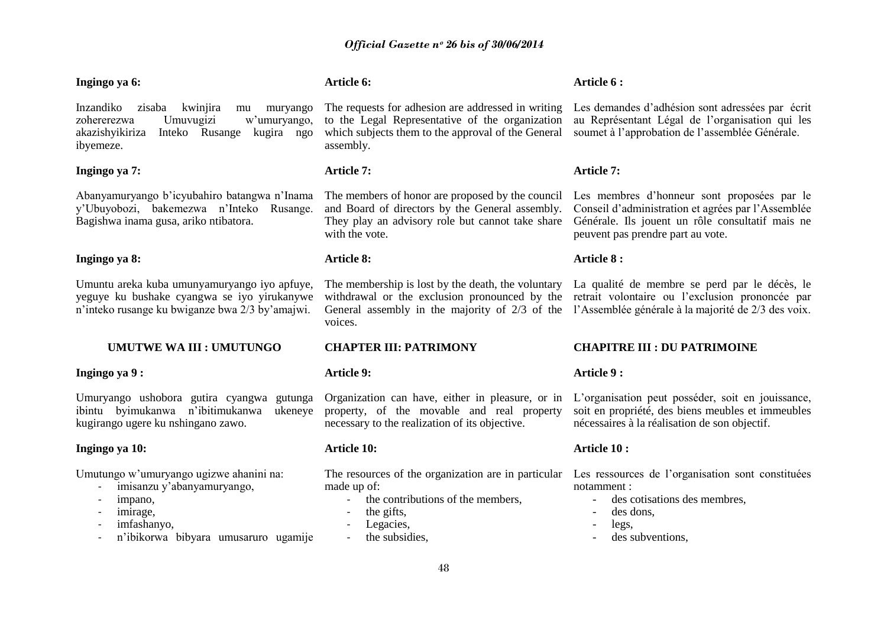#### **Ingingo ya 6:**

Inzandiko zisaba kwinjira mu muryango zohererezwa Umuvugizi w"umuryango, akazishyikiriza Inteko Rusange kugira ngo ibyemeze.

## **Ingingo ya 7:**

Abanyamuryango b"icyubahiro batangwa n"Inama y"Ubuyobozi, bakemezwa n"Inteko Rusange. Bagishwa inama gusa, ariko ntibatora.

## **Ingingo ya 8:**

Umuntu areka kuba umunyamuryango iyo apfuye, yeguye ku bushake cyangwa se iyo yirukanywe n"inteko rusange ku bwiganze bwa 2/3 by"amajwi.

## **UMUTWE WA III : UMUTUNGO**

## **Ingingo ya 9 :**

Umuryango ushobora gutira cyangwa gutunga ibintu byimukanwa n"ibitimukanwa ukeneye kugirango ugere ku nshingano zawo.

## **Ingingo ya 10:**

Umutungo w"umuryango ugizwe ahanini na:

- imisanzu y"abanyamuryango,
- impano,
- imirage,
- imfashanyo,
- n"ibikorwa bibyara umusaruro ugamije

## **Article 6:**

The requests for adhesion are addressed in writing to the Legal Representative of the organization which subjects them to the approval of the General assembly.

## **Article 7:**

and Board of directors by the General assembly. They play an advisory role but cannot take share with the vote.

## **Article 8:**

voices.

## **CHAPTER III: PATRIMONY**

## **Article 9:**

property, of the movable and real property necessary to the realization of its objective.

## **Article 10:**

made up of:

- the contributions of the members.
- the gifts,
- Legacies,
- the subsidies.

## **Article 6 :**

Les demandes d"adhésion sont adressées par écrit au Représentant Légal de l"organisation qui les soumet à l"approbation de l"assemblée Générale.

## **Article 7:**

The members of honor are proposed by the council Les membres d"honneur sont proposées par le Conseil d"administration et agrées par l"Assemblée Générale. Ils jouent un rôle consultatif mais ne peuvent pas prendre part au vote.

## **Article 8 :**

The membership is lost by the death, the voluntary La qualité de membre se perd par le décès, le withdrawal or the exclusion pronounced by the retrait volontaire ou l'exclusion prononcée par General assembly in the majority of 2/3 of the l'Assemblée générale à la majorité de 2/3 des voix.

## **CHAPITRE III : DU PATRIMOINE**

## **Article 9 :**

Organization can have, either in pleasure, or in L"organisation peut posséder, soit en jouissance, soit en propriété, des biens meubles et immeubles nécessaires à la réalisation de son objectif.

## **Article 10 :**

The resources of the organization are in particular Les ressources de l"organisation sont constituées notamment :

- des cotisations des membres,
- des dons,
- legs.
- des subventions.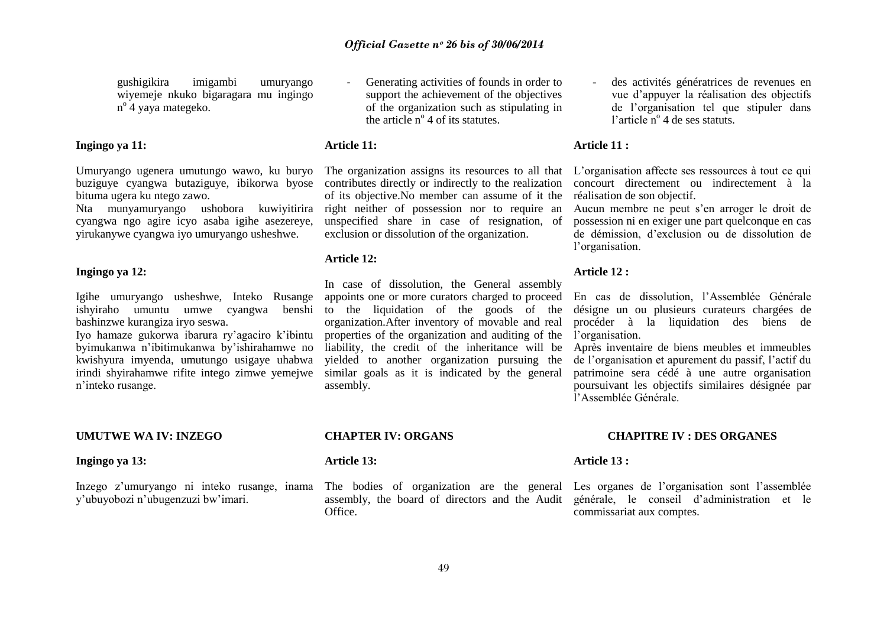gushigikira imigambi umuryango wiyemeje nkuko bigaragara mu ingingo n o 4 yaya mategeko.

## **Ingingo ya 11:**

Umuryango ugenera umutungo wawo, ku buryo buziguye cyangwa butaziguye, ibikorwa byose bituma ugera ku ntego zawo.

Nta munyamuryango ushobora kuwiyitirira right neither of possession nor to require an cyangwa ngo agire icyo asaba igihe asezereye, yirukanywe cyangwa iyo umuryango usheshwe.

#### **Ingingo ya 12:**

Igihe umuryango usheshwe, Inteko Rusange bashinzwe kurangiza iryo seswa.

Iyo hamaze gukorwa ibarura ry"agaciro k"ibintu byimukanwa n"ibitimukanwa by"ishirahamwe no kwishyura imyenda, umutungo usigaye uhabwa irindi shyirahamwe rifite intego zimwe yemejwe similar goals as it is indicated by the general n"inteko rusange.

**UMUTWE WA IV: INZEGO**

#### **Ingingo ya 13:**

y"ubuyobozi n"ubugenzuzi bw"imari.

Generating activities of founds in order to support the achievement of the objectives of the organization such as stipulating in the article  $n^{\circ}$  4 of its statutes.

## **Article 11:**

contributes directly or indirectly to the realization of its objective.No member can assume of it the unspecified share in case of resignation, of exclusion or dissolution of the organization.

### **Article 12:**

ishyiraho umuntu umwe cyangwa benshi to the liquidation of the goods of the In case of dissolution, the General assembly appoints one or more curators charged to proceed organization.After inventory of movable and real properties of the organization and auditing of the liability, the credit of the inheritance will be yielded to another organization pursuing the assembly.

des activités génératrices de revenues en vue d"appuyer la réalisation des objectifs de l"organisation tel que stipuler dans l'article nº 4 de ses statuts.

## **Article 11 :**

The organization assigns its resources to all that L'organisation affecte ses ressources à tout ce qui concourt directement ou indirectement à la réalisation de son objectif.

Aucun membre ne peut s"en arroger le droit de possession ni en exiger une part quelconque en cas de démission, d"exclusion ou de dissolution de l"organisation.

#### **Article 12 :**

En cas de dissolution, l"Assemblée Générale désigne un ou plusieurs curateurs chargées de procéder à la liquidation des biens de l'organisation.

Après inventaire de biens meubles et immeubles de l"organisation et apurement du passif, l"actif du patrimoine sera cédé à une autre organisation poursuivant les objectifs similaires désignée par l"Assemblée Générale.

## **CHAPITRE IV : DES ORGANES**

#### **Article 13:**

**CHAPTER IV: ORGANS**

Inzego z'umuryango ni inteko rusange, inama The bodies of organization are the general Les organes de l'organisation sont l'assemblée assembly, the board of directors and the Audit **Office** 

#### **Article 13 :**

générale, le conseil d"administration et le commissariat aux comptes.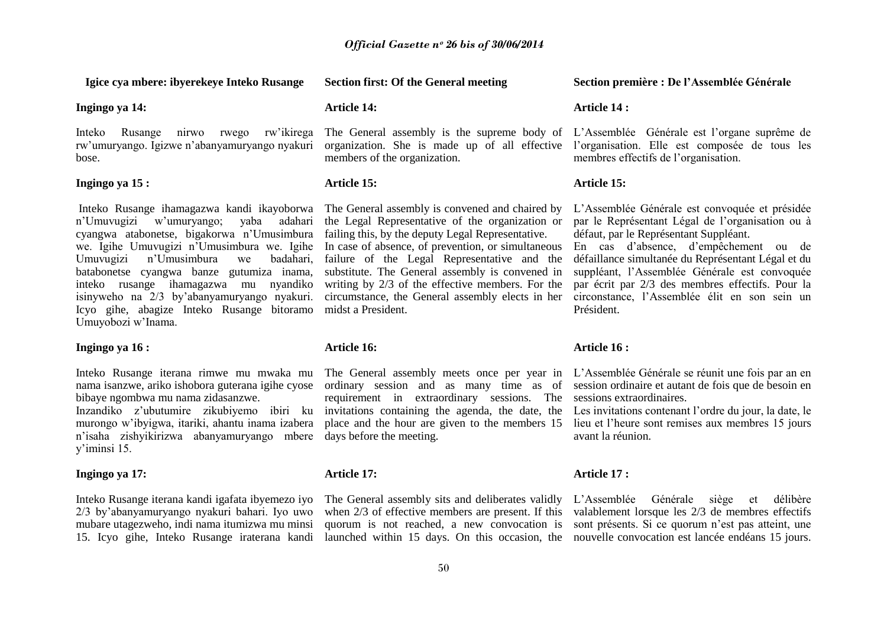#### **Igice cya mbere: ibyerekeye Inteko Rusange**

**Ingingo ya 14:**

Inteko Rusange nirwo rwego rw"ikirega rw"umuryango. Igizwe n"abanyamuryango nyakuri bose.

## **Ingingo ya 15 :**

Inteko Rusange ihamagazwa kandi ikayoborwa The General assembly is convened and chaired by n"Umuvugizi w"umuryango; yaba adahari cyangwa atabonetse, bigakorwa n"Umusimbura failing this, by the deputy Legal Representative. we. Igihe Umuvugizi n"Umusimbura we. Igihe In case of absence, of prevention, or simultaneous Umuvugizi n'Umusimbura batabonetse cyangwa banze gutumiza inama, inteko rusange ihamagazwa mu nyandiko isinyweho na 2/3 by'abanyamuryango nyakuri. circumstance, the General assembly elects in her circonstance, l'Assemblée élit en son sein un Icyo gihe, abagize Inteko Rusange bitoramo midst a President. Umuyobozi w"Inama.

#### **Ingingo ya 16 :**

bibaye ngombwa mu nama zidasanzwe.

murongo w"ibyigwa, itariki, ahantu inama izabera n"isaha zishyikirizwa abanyamuryango mbere days before the meeting. y"iminsi 15.

#### **Ingingo ya 17:**

Inteko Rusange iterana kandi igafata ibyemezo iyo 2/3 by"abanyamuryango nyakuri bahari. Iyo uwo mubare utagezweho, indi nama itumizwa mu minsi 15. Icyo gihe, Inteko Rusange iraterana kandi

#### **Section first: Of the General meeting**

#### **Article 14:**

members of the organization.

## **Article 15:**

the Legal Representative of the organization or

we badahari, failure of the Legal Representative and the substitute. The General assembly is convened in writing by 2/3 of the effective members. For the

#### **Article 16:**

Inzandiko z'ubutumire zikubiyemo ibiri ku invitations containing the agenda, the date, the Les invitations contenant l'ordre du jour, la date, le requirement in extraordinary sessions. The sessions extraordinaires.

#### **Article 17:**

#### **Section première : De l'Assemblée Générale**

#### **Article 14 :**

The General assembly is the supreme body of L"Assemblée Générale est l"organe suprême de organization. She is made up of all effective l"organisation. Elle est composée de tous les membres effectifs de l"organisation.

#### **Article 15:**

L"Assemblée Générale est convoquée et présidée par le Représentant Légal de l"organisation ou à défaut, par le Représentant Suppléant.

En cas d"absence, d"empêchement ou de défaillance simultanée du Représentant Légal et du suppléant, l"Assemblée Générale est convoquée par écrit par 2/3 des membres effectifs. Pour la Président.

#### **Article 16 :**

Inteko Rusange iterana rimwe mu mwaka mu The General assembly meets once per year in L'Assemblée Générale se réunit une fois par an en nama isanzwe, ariko ishobora guterana igihe cyose ordinary session and as many time as of session ordinaire et autant de fois que de besoin en

> place and the hour are given to the members 15 lieu et l"heure sont remises aux membres 15 jours avant la réunion.

#### **Article 17 :**

The General assembly sits and deliberates validly L"Assemblée Générale siège et délibère when 2/3 of effective members are present. If this valablement lorsque les 2/3 de membres effectifs quorum is not reached, a new convocation is sont présents. Si ce quorum n"est pas atteint, une launched within 15 days. On this occasion, the nouvelle convocation est lancée endéans 15 jours.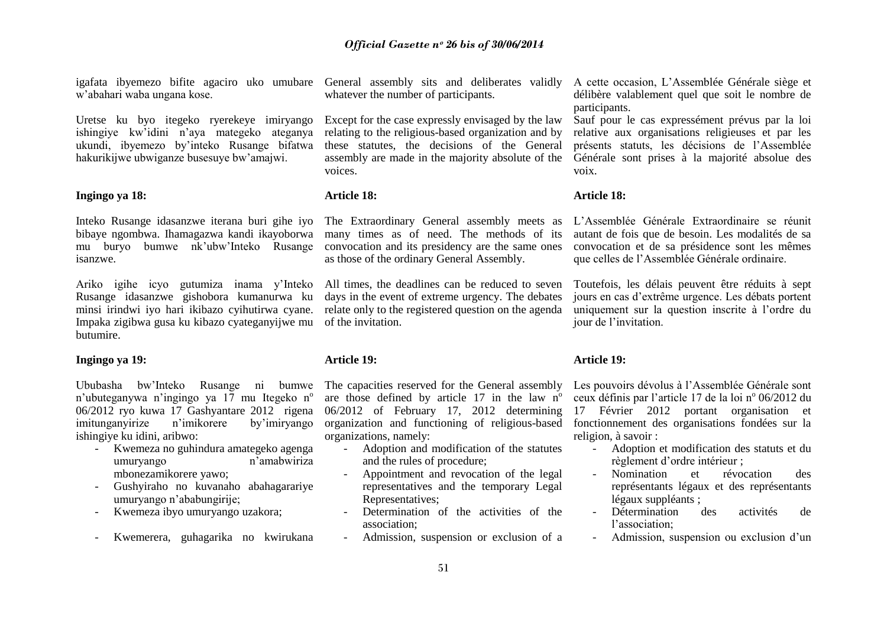w"abahari waba ungana kose.

Uretse ku byo itegeko ryerekeye imiryango ishingiye kw"idini n"aya mategeko ateganya ukundi, ibyemezo by"inteko Rusange bifatwa hakurikijwe ubwiganze busesuye bw"amajwi.

#### **Ingingo ya 18:**

Inteko Rusange idasanzwe iterana buri gihe iyo bibaye ngombwa. Ihamagazwa kandi ikayoborwa many times as of need. The methods of its mu buryo bumwe nk"ubw"Inteko Rusange isanzwe.

Ariko igihe icyo gutumiza inama y"Inteko All times, the deadlines can be reduced to seven Rusange idasanzwe gishobora kumanurwa ku minsi irindwi iyo hari ikibazo cyihutirwa cyane. relate only to the registered question on the agenda Impaka zigibwa gusa ku kibazo cyateganyijwe mu of the invitation. butumire.

#### **Ingingo ya 19:**

Ububasha bw"Inteko Rusange ni bumwe The capacities reserved for the General assembly n'ubuteganywa n'ingingo ya 17 mu Itegeko n<sup>o</sup> 06/2012 ryo kuwa 17 Gashyantare 2012 rigena imitunganyirize n"imikorere by"imiryango ishingiye ku idini, aribwo:

- Kwemeza no guhindura amategeko agenga umuryango n'amabwiriza mbonezamikorere yawo;
- Gushyiraho no kuvanaho abahagarariye umuryango n"ababungirije;
- Kwemeza ibyo umuryango uzakora;
- Kwemerera, guhagarika no kwirukana

whatever the number of participants.

Except for the case expressly envisaged by the law relating to the religious-based organization and by these statutes, the decisions of the General voices.

## **Article 18:**

convocation and its presidency are the same ones as those of the ordinary General Assembly.

days in the event of extreme urgency. The debates

## **Article 19:**

are those defined by article 17 in the law  $n^{\circ}$ 06/2012 of February 17, 2012 determining organization and functioning of religious-based organizations, namely:

- Adoption and modification of the statutes and the rules of procedure;
- Appointment and revocation of the legal representatives and the temporary Legal Representatives;
- Determination of the activities of the association;
- Admission, suspension or exclusion of a

igafata ibyemezo bifite agaciro uko umubare General assembly sits and deliberates validly A cette occasion, L'Assemblée Générale siège et délibère valablement quel que soit le nombre de participants.

> assembly are made in the majority absolute of the Générale sont prises à la majorité absolue des Sauf pour le cas expressément prévus par la loi relative aux organisations religieuses et par les présents statuts, les décisions de l"Assemblée voix.

## **Article 18:**

The Extraordinary General assembly meets as L"Assemblée Générale Extraordinaire se réunit autant de fois que de besoin. Les modalités de sa convocation et de sa présidence sont les mêmes que celles de l"Assemblée Générale ordinaire.

> Toutefois, les délais peuvent être réduits à sept jours en cas d"extrême urgence. Les débats portent uniquement sur la question inscrite à l"ordre du jour de l"invitation.

#### **Article 19:**

Les pouvoirs dévolus à l'Assemblée Générale sont ceux définis par l'article 17 de la loi nº 06/2012 du 17 Février 2012 portant organisation et fonctionnement des organisations fondées sur la religion, à savoir :

- Adoption et modification des statuts et du règlement d"ordre intérieur ;
- Nomination et révocation des représentants légaux et des représentants légaux suppléants ;
- Détermination des activités de l'association;
- Admission, suspension ou exclusion d"un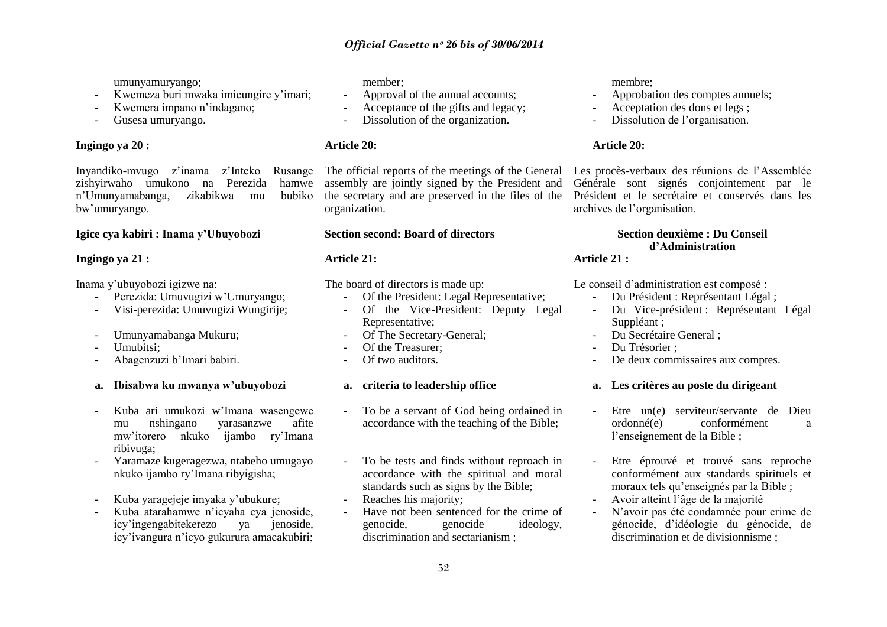## *Official Gazette nᵒ 26 bis of 30/06/2014*

umunyamuryango;

- Kwemeza buri mwaka imicungire y'imari;
- Kwemera impano n'indagano;
- Gusesa umuryango.

## **Ingingo ya 20 :**

Inyandiko-mvugo z"inama z"Inteko Rusange zishyirwaho umukono na Perezida hamwe n"Umunyamabanga, zikabikwa mu bubiko bw"umuryango.

## **Igice cya kabiri : Inama y'Ubuyobozi**

## **Ingingo ya 21 :**

Inama y"ubuyobozi igizwe na:

- Perezida: Umuvugizi w"Umuryango;
- Visi-perezida: Umuvugizi Wungirije;
- Umunyamabanga Mukuru;
- Umubitsi:
- Abagenzuzi b"Imari babiri.
- **a. Ibisabwa ku mwanya w'ubuyobozi**
- Kuba ari umukozi w"Imana wasengewe mu nshingano yarasanzwe afite mw"itorero nkuko ijambo ry"Imana ribivuga;
- Yaramaze kugeragezwa, ntabeho umugayo nkuko ijambo ry"Imana ribyigisha;
- Kuba yaragejeje imyaka y'ubukure;
- Kuba atarahamwe n"icyaha cya jenoside, icy"ingengabitekerezo ya jenoside, icy"ivangura n"icyo gukurura amacakubiri;

member;

- Approval of the annual accounts;
- Acceptance of the gifts and legacy;
- Dissolution of the organization.

## **Article 20:**

organization.

## **Section second: Board of directors**

## **Article 21:**

The board of directors is made up:

- Of the President: Legal Representative;
- Of the Vice-President: Deputy Legal Representative;
- Of The Secretary-General;
- Of the Treasurer:
- Of two auditors.

## **a. criteria to leadership office**

- To be a servant of God being ordained in accordance with the teaching of the Bible;
- To be tests and finds without reproach in accordance with the spiritual and moral standards such as signs by the Bible;
- Reaches his majority:
- Have not been sentenced for the crime of genocide, genocide ideology, discrimination and sectarianism ;

membre;

- Approbation des comptes annuels;
- Acceptation des dons et legs ;
- Dissolution de l'organisation.

## **Article 20:**

The official reports of the meetings of the General Les procès-verbaux des réunions de l"Assemblée assembly are jointly signed by the President and Générale sont signés conjointement par le the secretary and are preserved in the files of the Président et le secrétaire et conservés dans les archives de l"organisation.

## **Section deuxième : Du Conseil d'Administration**

**Article 21 :**

Le conseil d"administration est composé :

- Du Président : Représentant Légal ;
- Du Vice-président : Représentant Légal Suppléant:
- Du Secrétaire General ;
- Du Trésorier :
- De deux commissaires aux comptes.

#### **a. Les critères au poste du dirigeant**

- Etre un(e) serviteur/servante de Dieu ordonné(e) conformément a l'enseignement de la Bible ;
- Etre éprouvé et trouvé sans reproche conformément aux standards spirituels et moraux tels qu"enseignés par la Bible ;
- Avoir atteint l"âge de la majorité
- N"avoir pas été condamnée pour crime de génocide, d"idéologie du génocide, de discrimination et de divisionnisme ;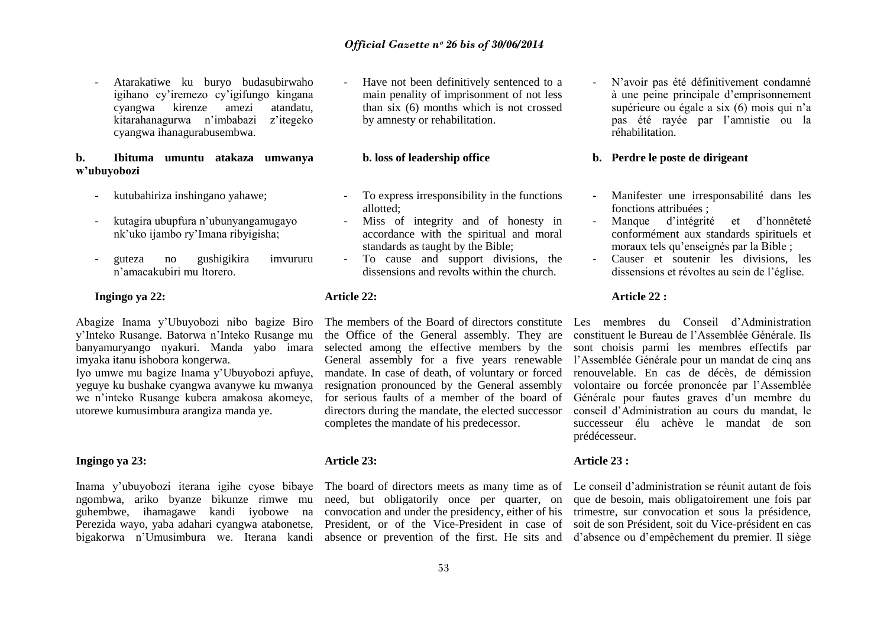- Atarakatiwe ku buryo budasubirwaho igihano cy"iremezo cy"igifungo kingana cyangwa kirenze amezi atandatu, kitarahanagurwa n"imbabazi z"itegeko cyangwa ihanagurabusembwa.

#### **b. Ibituma umuntu atakaza umwanya w'ubuyobozi**

- kutubahiriza inshingano yahawe;
- kutagira ubupfura n"ubunyangamugayo nk"uko ijambo ry"Imana ribyigisha;
- guteza no gushigikira imvururu n"amacakubiri mu Itorero.

#### **Ingingo ya 22:**

Abagize Inama y"Ubuyobozi nibo bagize Biro y"Inteko Rusange. Batorwa n"Inteko Rusange mu banyamuryango nyakuri. Manda yabo imara imyaka itanu ishobora kongerwa.

Iyo umwe mu bagize Inama y"Ubuyobozi apfuye, yeguye ku bushake cyangwa avanywe ku mwanya we n"inteko Rusange kubera amakosa akomeye, utorewe kumusimbura arangiza manda ye.

#### **Ingingo ya 23:**

ngombwa, ariko byanze bikunze rimwe mu

Have not been definitively sentenced to a main penality of imprisonment of not less than six (6) months which is not crossed by amnesty or rehabilitation.

## **b. loss of leadership office**

- To express irresponsibility in the functions allotted;
- Miss of integrity and of honesty in accordance with the spiritual and moral standards as taught by the Bible;
- To cause and support divisions, the dissensions and revolts within the church.

#### **Article 22:**

the Office of the General assembly. They are selected among the effective members by the mandate. In case of death, of voluntary or forced resignation pronounced by the General assembly directors during the mandate, the elected successor completes the mandate of his predecessor.

#### **Article 23:**

- N"avoir pas été définitivement condamné à une peine principale d"emprisonnement supérieure ou égale a six (6) mois qui n'a pas été rayée par l"amnistie ou la réhabilitation.

#### **b. Perdre le poste de dirigeant**

- Manifester une irresponsabilité dans les fonctions attribuées ;
- Manque d"intégrité et d"honnêteté conformément aux standards spirituels et moraux tels qu"enseignés par la Bible ;
- Causer et soutenir les divisions, les dissensions et révoltes au sein de l"église.

#### **Article 22 :**

The members of the Board of directors constitute Les membres du Conseil d"Administration General assembly for a five years renewable l"Assemblée Générale pour un mandat de cinq ans for serious faults of a member of the board of Générale pour fautes graves d'un membre du constituent le Bureau de l"Assemblée Générale. Ils sont choisis parmi les membres effectifs par renouvelable. En cas de décès, de démission volontaire ou forcée prononcée par l"Assemblée conseil d"Administration au cours du mandat, le successeur élu achève le mandat de son prédécesseur.

#### **Article 23 :**

Inama y'ubuyobozi iterana igihe cyose bibaye The board of directors meets as many time as of Le conseil d'administration se réunit autant de fois guhembwe, ihamagawe kandi iyobowe na convocation and under the presidency, either of his trimestre, sur convocation et sous la présidence, Perezida wayo, yaba adahari cyangwa atabonetse, President, or of the Vice-President in case of soit de son Président, soit du Vice-président en cas bigakorwa n'Umusimbura we. Iterana kandi absence or prevention of the first. He sits and d'absence ou d'empêchement du premier. Il siège need, but obligatorily once per quarter, on que de besoin, mais obligatoirement une fois par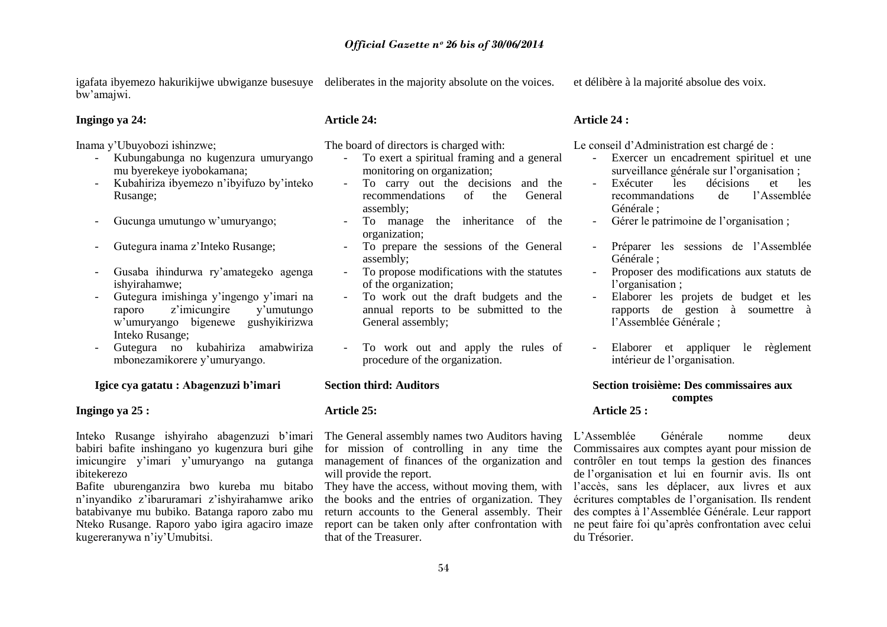igafata ibyemezo hakurikijwe ubwiganze busesuye deliberates in the majority absolute on the voices. bw"amajwi.

et délibère à la majorité absolue des voix.

#### **Ingingo ya 24:**

Inama y"Ubuyobozi ishinzwe;

- Kubungabunga no kugenzura umuryango mu byerekeye iyobokamana;
- Kubahiriza ibyemezo n"ibyifuzo by"inteko Rusange;
- Gucunga umutungo w"umuryango;
- Gutegura inama z"Inteko Rusange;
- Gusaba ihindurwa ry"amategeko agenga ishyirahamwe;
- Gutegura imishinga y"ingengo y"imari na raporo z'imicungire y'umutungo w"umuryango bigenewe gushyikirizwa Inteko Rusange;
- Gutegura no kubahiriza amabwiriza mbonezamikorere y"umuryango.

**Igice cya gatatu : Abagenzuzi b'imari**

#### **Ingingo ya 25 :**

babiri bafite inshingano yo kugenzura buri gihe ibitekerezo

Bafite uburenganzira bwo kureba mu bitabo n"inyandiko z"ibaruramari z"ishyirahamwe ariko batabivanye mu bubiko. Batanga raporo zabo mu Nteko Rusange. Raporo yabo igira agaciro imaze report can be taken only after confrontation with kugereranywa n"iy"Umubitsi.

## **Article 24:**

The board of directors is charged with:

- To exert a spiritual framing and a general monitoring on organization;
- To carry out the decisions and the recommendations of the General assembly;
- To manage the inheritance of the organization;
- To prepare the sessions of the General assembly;
- To propose modifications with the statutes of the organization;
- To work out the draft budgets and the annual reports to be submitted to the General assembly;
- To work out and apply the rules of procedure of the organization.

#### **Section third: Auditors**

## **Article 25:**

will provide the report.

the books and the entries of organization. They return accounts to the General assembly. Their that of the Treasurer.

## **Article 24 :**

Le conseil d"Administration est chargé de :

- Exercer un encadrement spirituel et une surveillance générale sur l'organisation ;
- Exécuter les décisions et les recommandations de l"Assemblée Générale ;
- Gérer le patrimoine de l"organisation ;
- Préparer les sessions de l"Assemblée Générale ;
- Proposer des modifications aux statuts de l'organisation :
- Elaborer les projets de budget et les rapports de gestion à soumettre à l"Assemblée Générale ;
- Elaborer et appliquer le règlement intérieur de l"organisation.

## **Section troisième: Des commissaires aux comptes**

## **Article 25 :**

Inteko Rusange ishyiraho abagenzuzi b'imari The-General-assembly-names-two-Auditors-having L'Assemblée Générale nomme deux imicungire y'imari y'umuryango na gutanga management of finances of the organization and contrôler en tout temps la gestion des finances for mission of controlling in any time the Commissaires aux comptes ayant pour mission de They have the access, without moving them, with l"accès, sans les déplacer, aux livres et aux de l"organisation et lui en fournir avis. Ils ont écritures comptables de l"organisation. Ils rendent des comptes à l"Assemblée Générale. Leur rapport ne peut faire foi qu"après confrontation avec celui du Trésorier.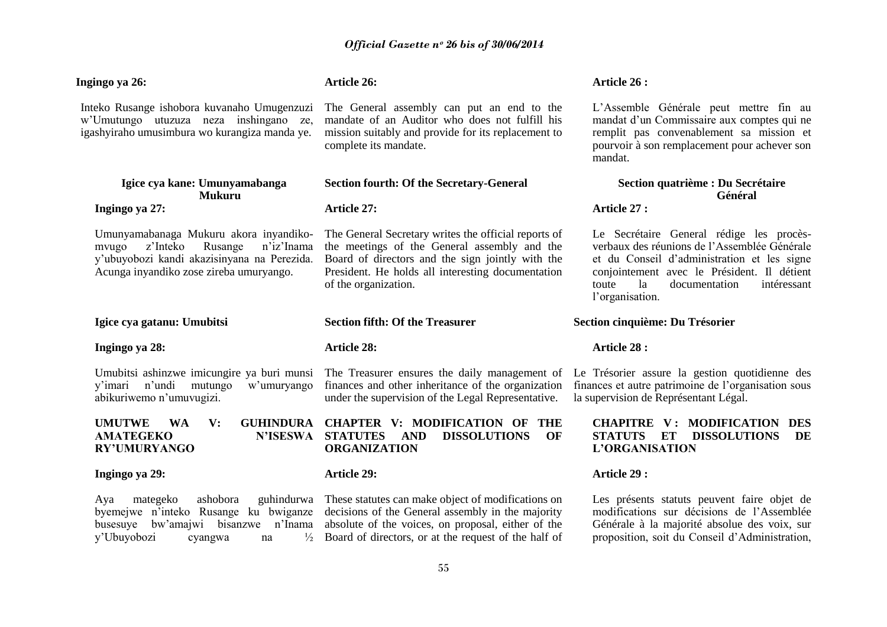## **Ingingo ya 26:**

Inteko Rusange ishobora kuvanaho Umugenzuzi w"Umutungo utuzuza neza inshingano ze, igashyiraho umusimbura wo kurangiza manda ye.

## **Igice cya kane: Umunyamabanga Mukuru Ingingo ya 27:**

Umunyamabanaga Mukuru akora inyandikomvugo z"Inteko Rusange n"iz"Inama y"ubuyobozi kandi akazisinyana na Perezida. Acunga inyandiko zose zireba umuryango.

#### **Igice cya gatanu: Umubitsi**

#### **Ingingo ya 28:**

Umubitsi ashinzwe imicungire ya buri munsi y"imari n"undi mutungo w"umuryango abikuriwemo n"umuvugizi.

## **UMUTWE WA V: AMATEGEKO RY'UMURYANGO**

#### **Ingingo ya 29:**

Aya mategeko ashobora guhindurwa These statutes can make object of modifications on y"Ubuyobozi cyangwa na ½

## **Article 26:**

The General assembly can put an end to the mandate of an Auditor who does not fulfill his mission suitably and provide for its replacement to complete its mandate.

#### **Section fourth: Of the Secretary-General**

#### **Article 27:**

The General Secretary writes the official reports of the meetings of the General assembly and the Board of directors and the sign jointly with the President. He holds all interesting documentation of the organization.

#### **Section fifth: Of the Treasurer**

#### **Article 28:**

finances and other inheritance of the organization finances et autre patrimoine de l"organisation sous under the supervision of the Legal Representative.

**CHAPTER V: MODIFICATION OF THE STATUTES AND DISSOLUTIONS OF ORGANIZATION** 

#### **Article 29:**

byemejwe n"inteko Rusange ku bwiganze decisions of the General assembly in the majority busesuye bw"amajwi bisanzwe n"Inama absolute of the voices, on proposal, either of the  $\frac{1}{2}$  Board of directors, or at the request of the half of

#### **Article 26 :**

L"Assemble Générale peut mettre fin au mandat d"un Commissaire aux comptes qui ne remplit pas convenablement sa mission et pourvoir à son remplacement pour achever son mandat.

## **Section quatrième : Du Secrétaire Général**

## **Article 27 :**

Le Secrétaire General rédige les procèsverbaux des réunions de l"Assemblée Générale et du Conseil d"administration et les signe conjointement avec le Président. Il détient toute la documentation intéressant l'organisation.

#### **Section cinquième: Du Trésorier**

#### **Article 28 :**

The Treasurer ensures the daily management of Le Trésorier assure la gestion quotidienne des la supervision de Représentant Légal.

## **CHAPITRE V : MODIFICATION DES STATUTS ET DISSOLUTIONS DE L'ORGANISATION**

## **Article 29 :**

Les présents statuts peuvent faire objet de modifications sur décisions de l"Assemblée Générale à la majorité absolue des voix, sur proposition, soit du Conseil d"Administration,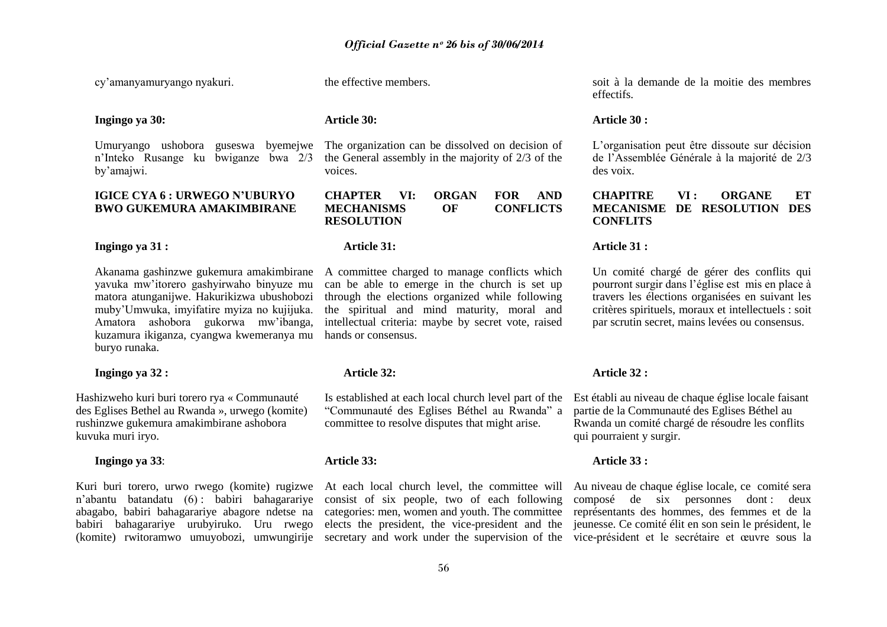cy"amanyamuryango nyakuri.

## **Ingingo ya 30:**

by"amajwi.

## **IGICE CYA 6 : URWEGO N'UBURYO BWO GUKEMURA AMAKIMBIRANE**

**Ingingo ya 31 :**

Akanama gashinzwe gukemura amakimbirane A committee charged to manage conflicts which yavuka mw"itorero gashyirwaho binyuze mu matora atunganijwe. Hakurikizwa ubushobozi muby"Umwuka, imyifatire myiza no kujijuka. Amatora ashobora gukorwa mw"ibanga, kuzamura ikiganza, cyangwa kwemeranya mu hands or consensus. buryo runaka.

#### **Ingingo ya 32 :**

Hashizweho kuri buri torero rya « Communauté des Eglises Bethel au Rwanda », urwego (komite) rushinzwe gukemura amakimbirane ashobora kuvuka muri iryo.

#### **Ingingo ya 33**:

the effective members.

## **Article 30:**

Umuryango ushobora guseswa byemejwe The organization can be dissolved on decision of n"Inteko Rusange ku bwiganze bwa 2/3 the General assembly in the majority of 2/3 of the voices.

> **CHAPTER VI: ORGAN FOR AND MECHANISMS OF CONFLICTS RESOLUTION**

#### **Article 31:**

can be able to emerge in the church is set up through the elections organized while following the spiritual and mind maturity, moral and intellectual criteria: maybe by secret vote, raised

## **Article 32:**

Is established at each local church level part of the Est établi au niveau de chaque église locale faisant "Communauté des Eglises Béthel au Rwanda" a committee to resolve disputes that might arise.

#### **Article 33:**

soit à la demande de la moitie des membres effectifs.

#### **Article 30 :**

L"organisation peut être dissoute sur décision de l"Assemblée Générale à la majorité de 2/3 des voix.

## **CHAPITRE VI : ORGANE ET MECANISME DE RESOLUTION DES CONFLITS**

## **Article 31 :**

Un comité chargé de gérer des conflits qui pourront surgir dans l"église est mis en place à travers les élections organisées en suivant les critères spirituels, moraux et intellectuels : soit par scrutin secret, mains levées ou consensus.

#### **Article 32 :**

partie de la Communauté des Eglises Béthel au Rwanda un comité chargé de résoudre les conflits qui pourraient y surgir.

#### **Article 33 :**

Kuri buri torero, urwo rwego (komite) rugizwe At each local church level, the committee will Au niveau de chaque église locale, ce comité sera n'abantu batandatu (6): babiri bahagarariye consist of six people, two of each following composé de six personnes dont: deux abagabo, babiri bahagarariye abagore ndetse na categories: men, women and youth. The committee représentants des hommes, des femmes et de la babiri bahagarariye urubyiruko. Uru rwego elects the president, the vice-president and the jeunesse. Ce comité élit en son sein le président, le (komite) rwitoramwo umuyobozi, umwungirije secretary and work under the supervision of the vice-président et le secrétaire et œuvre sous la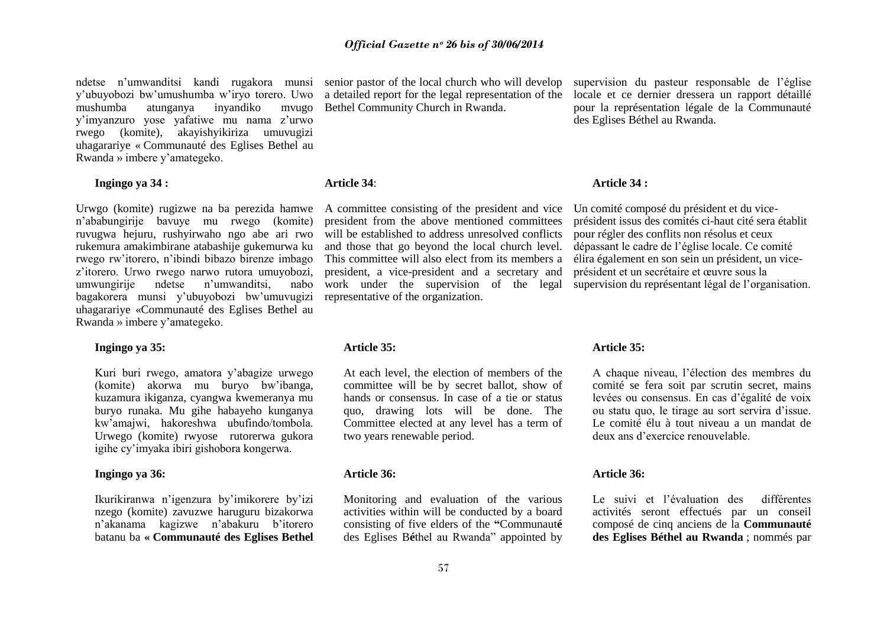ndetse n'umwanditsi kandi rugakora munsi senior pastor of the local church who will develop y"ubuyobozi bw"umushumba w"iryo torero. Uwo mushumba atunganya inyandiko mvugo y"imyanzuro yose yafatiwe mu nama z"urwo rwego (komite), akayishyikiriza umuvugizi uhagarariye « Communauté des Eglises Bethel au Rwanda » imbere y"amategeko.

## **Ingingo ya 34 :**

Urwgo (komite) rugizwe na ba perezida hamwe n"ababungirije bavuye mu rwego (komite) ruvugwa hejuru, rushyirwaho ngo abe ari rwo rukemura amakimbirane atabashije gukemurwa ku rwego rw"itorero, n"ibindi bibazo birenze imbago z'itorero. Urwo rwego narwo rutora umuyobozi,<br>umwungiriie ndetse n'umwanditsi. nabo umwungirije ndetse n"umwanditsi, nabo bagakorera munsi y"ubuyobozi bw"umuvugizi uhagarariye «Communauté des Eglises Bethel au Rwanda » imbere y"amategeko.

#### **Ingingo ya 35:**

Kuri buri rwego, amatora y"abagize urwego (komite) akorwa mu buryo bw"ibanga, kuzamura ikiganza, cyangwa kwemeranya mu buryo runaka. Mu gihe habayeho kunganya kw"amajwi, hakoreshwa ubufindo/tombola. Urwego (komite) rwyose rutorerwa gukora igihe cy"imyaka ibiri gishobora kongerwa.

#### **Ingingo ya 36:**

Ikurikiranwa n"igenzura by"imikorere by"izi nzego (komite) zavuzwe haruguru bizakorwa n"akanama kagizwe n"abakuru b"itorero batanu ba **« Communauté des Eglises Bethel**  a detailed report for the legal representation of the Bethel Community Church in Rwanda.

#### **Article 34**:

A committee consisting of the president and vice Un comité composé du président et du vicepresident from the above mentioned committees will be established to address unresolved conflicts and those that go beyond the local church level. This committee will also elect from its members a president, a vice-president and a secretary and work under the supervision of the legal representative of the organization.

#### **Article 35:**

At each level, the election of members of the committee will be by secret ballot, show of hands or consensus. In case of a tie or status quo, drawing lots will be done. The Committee elected at any level has a term of two years renewable period.

#### **Article 36:**

Monitoring and evaluation of the various activities within will be conducted by a board consisting of five elders of the **"**Communaut**é** des Eglises B**é**thel au Rwanda" appointed by supervision du pasteur responsable de l"église locale et ce dernier dressera un rapport détaillé pour la représentation légale de la Communauté des Eglises Béthel au Rwanda.

#### **Article 34 :**

président issus des comités ci-haut cité sera établit pour régler des conflits non résolus et ceux dépassant le cadre de l"église locale. Ce comité élira également en son sein un président, un viceprésident et un secrétaire et œuvre sous la supervision du représentant légal de l"organisation.

#### **Article 35:**

A chaque niveau, l"élection des membres du comité se fera soit par scrutin secret, mains levées ou consensus. En cas d"égalité de voix ou statu quo, le tirage au sort servira d"issue. Le comité élu à tout niveau a un mandat de deux ans d"exercice renouvelable.

#### **Article 36:**

Le suivi et l"évaluation des différentes activités seront effectués par un conseil composé de cinq anciens de la **Communauté des Eglises Béthel au Rwanda** ; nommés par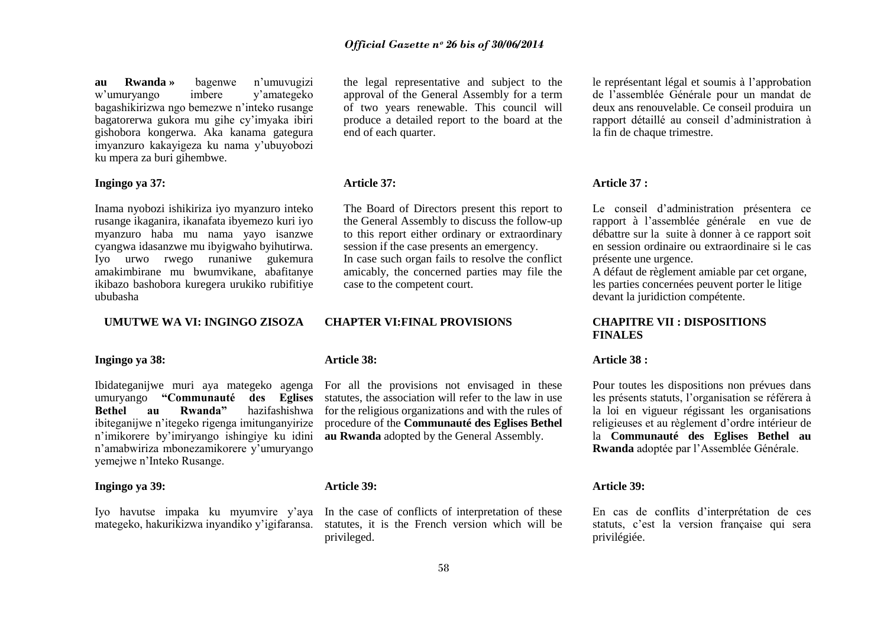**au Rwanda »** bagenwe n"umuvugizi w"umuryango imbere y"amategeko bagashikirizwa ngo bemezwe n"inteko rusange bagatorerwa gukora mu gihe cy"imyaka ibiri gishobora kongerwa. Aka kanama gategura imyanzuro kakayigeza ku nama y"ubuyobozi ku mpera za buri gihembwe.

## **Ingingo ya 37:**

Inama nyobozi ishikiriza iyo myanzuro inteko rusange ikaganira, ikanafata ibyemezo kuri iyo myanzuro haba mu nama yayo isanzwe cyangwa idasanzwe mu ibyigwaho byihutirwa. Iyo urwo rwego runaniwe gukemura amakimbirane mu bwumvikane, abafitanye ikibazo bashobora kuregera urukiko rubifitiye ububasha

## **UMUTWE WA VI: INGINGO ZISOZA**

## **Ingingo ya 38:**

Ibidateganijwe muri aya mategeko agenga For all the provisions not envisaged in these ibiteganijwe n"itegeko rigenga imitunganyirize n"imikorere by"imiryango ishingiye ku idini n"amabwiriza mbonezamikorere y"umuryango yemejwe n"Inteko Rusange.

#### **Ingingo ya 39:**

Iyo havutse impaka ku myumvire y'aya In the case of conflicts of interpretation of these

the legal representative and subject to the approval of the General Assembly for a term of two years renewable. This council will produce a detailed report to the board at the end of each quarter.

#### **Article 37:**

The Board of Directors present this report to the General Assembly to discuss the follow-up to this report either ordinary or extraordinary session if the case presents an emergency. In case such organ fails to resolve the conflict amicably, the concerned parties may file the case to the competent court.

#### **CHAPTER VI:FINAL PROVISIONS**

#### **Article 38:**

umuryango **"Communauté des Eglises**  statutes, the association will refer to the law in use **Bethel au** Rwanda" hazifashishwa for the religious organizations and with the rules of procedure of the **Communauté des Eglises Bethel au Rwanda** adopted by the General Assembly.

## **Article 39:**

mategeko, hakurikizwa inyandiko y"igifaransa. statutes, it is the French version which will be privileged.

le représentant légal et soumis à l"approbation de l"assemblée Générale pour un mandat de deux ans renouvelable. Ce conseil produira un rapport détaillé au conseil d"administration à la fin de chaque trimestre.

## **Article 37 :**

Le conseil d"administration présentera ce rapport à l"assemblée générale en vue de débattre sur la suite à donner à ce rapport soit en session ordinaire ou extraordinaire si le cas présente une urgence.

A défaut de règlement amiable par cet organe, les parties concernées peuvent porter le litige devant la juridiction compétente.

## **CHAPITRE VII : DISPOSITIONS FINALES**

#### **Article 38 :**

Pour toutes les dispositions non prévues dans les présents statuts, l"organisation se référera à la loi en vigueur régissant les organisations religieuses et au règlement d"ordre intérieur de la **Communauté des Eglises Bethel au Rwanda** adoptée par l"Assemblée Générale.

#### **Article 39:**

En cas de conflits d"interprétation de ces statuts, c'est la version française qui sera privilégiée.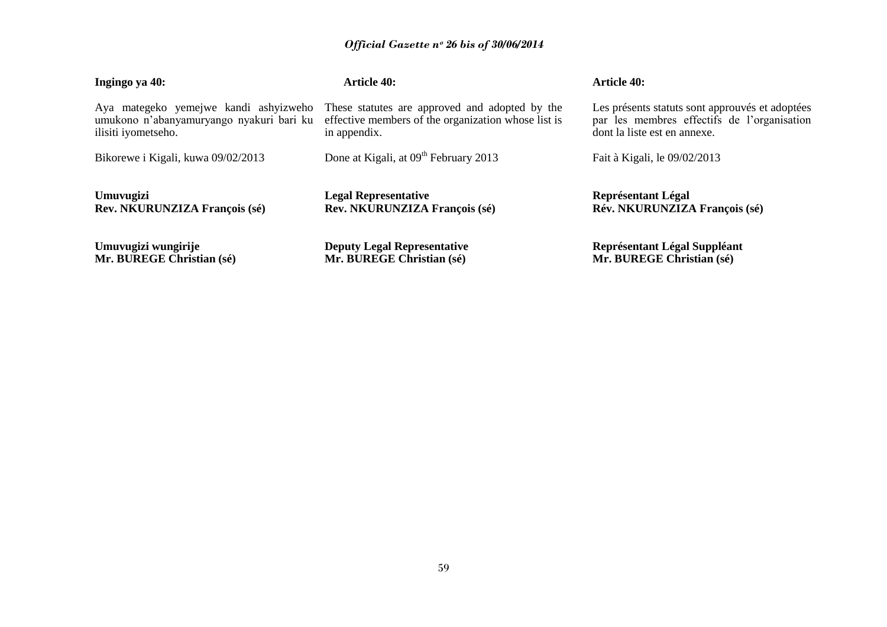# *Official Gazette nᵒ 26 bis of 30/06/2014*

| Ingingo ya 40:                           | Article 40:                                         | <b>Article 40:</b>                              |
|------------------------------------------|-----------------------------------------------------|-------------------------------------------------|
| Aya mategeko yemejwe kandi ashyizweho    | These statutes are approved and adopted by the      | Les présents statuts sont approuvés et adoptées |
| umukono n'abanyamuryango nyakuri bari ku | effective members of the organization whose list is | par les membres effectifs de l'organisation     |
| ilisiti iyometseho.                      | in appendix.                                        | dont la liste est en annexe.                    |
| Bikorewe i Kigali, kuwa 09/02/2013       | Done at Kigali, at 09 <sup>th</sup> February 2013   | Fait à Kigali, le 09/02/2013                    |
| Umuvugizi                                | <b>Legal Representative</b>                         | <b>Représentant Légal</b>                       |
| Rev. NKURUNZIZA François (sé)            | Rev. NKURUNZIZA François (sé)                       | Rév. NKURUNZIZA François (sé)                   |
| Umuvugizi wungirije                      | <b>Deputy Legal Representative</b>                  | Représentant Légal Suppléant                    |
| Mr. BUREGE Christian (sé)                | Mr. BUREGE Christian (sé)                           | Mr. BUREGE Christian (sé)                       |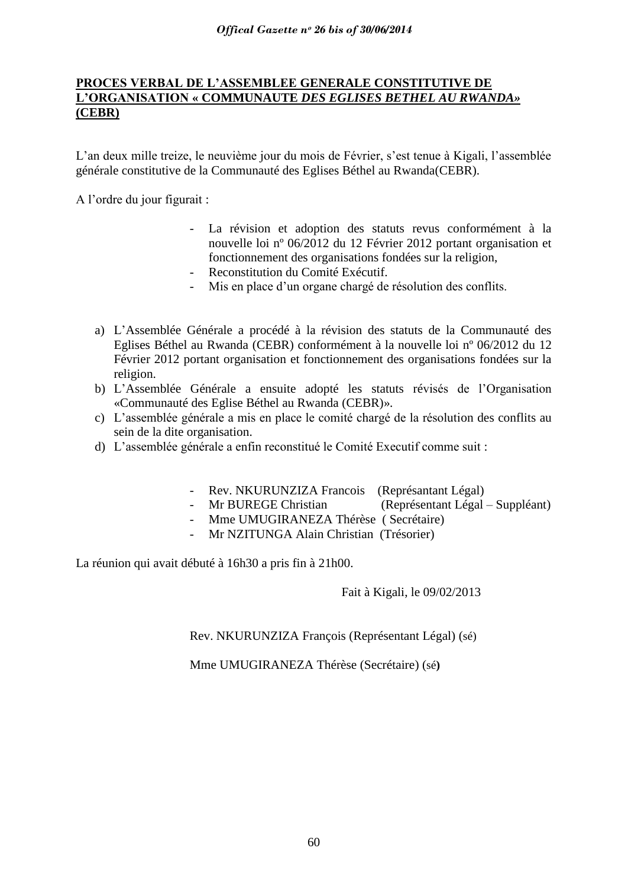## **PROCES VERBAL DE L'ASSEMBLEE GENERALE CONSTITUTIVE DE L'ORGANISATION « COMMUNAUTE** *DES EGLISES BETHEL AU RWANDA»*  **(CEBR)**

L"an deux mille treize, le neuvième jour du mois de Février, s"est tenue à Kigali, l"assemblée générale constitutive de la Communauté des Eglises Béthel au Rwanda(CEBR).

A l"ordre du jour figurait :

- La révision et adoption des statuts revus conformément à la nouvelle loi nº 06/2012 du 12 Février 2012 portant organisation et fonctionnement des organisations fondées sur la religion,
- Reconstitution du Comité Exécutif.
- Mis en place d'un organe chargé de résolution des conflits.
- a) L"Assemblée Générale a procédé à la révision des statuts de la Communauté des Eglises Béthel au Rwanda (CEBR) conformément à la nouvelle loi nº 06/2012 du 12 Février 2012 portant organisation et fonctionnement des organisations fondées sur la religion.
- b) L"Assemblée Générale a ensuite adopté les statuts révisés de l"Organisation «Communauté des Eglise Béthel au Rwanda (CEBR)».
- c) L"assemblée générale a mis en place le comité chargé de la résolution des conflits au sein de la dite organisation.
- d) L"assemblée générale a enfin reconstitué le Comité Executif comme suit :
	- Rev. NKURUNZIZA Francois (Représantant Légal)
	- Mr BUREGE Christian (Représentant Légal Suppléant)
	- Mme UMUGIRANEZA Thérèse ( Secrétaire)
	- Mr NZITUNGA Alain Christian (Trésorier)

La réunion qui avait débuté à 16h30 a pris fin à 21h00.

Fait à Kigali, le 09/02/2013

Rev. NKURUNZIZA François (Représentant Légal) (sé)

Mme UMUGIRANEZA Thérèse (Secrétaire) (sé**)**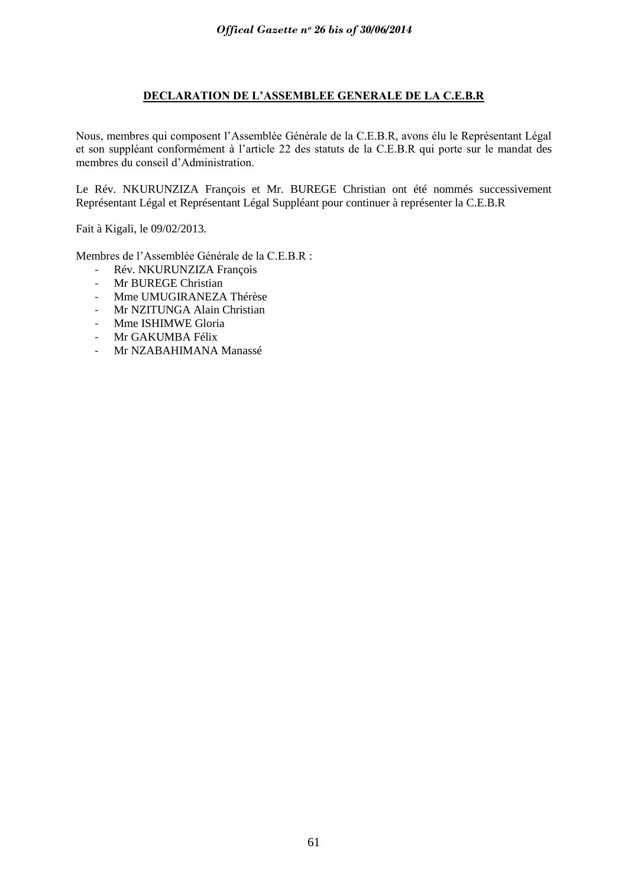## **DECLARATION DE L'ASSEMBLEE GENERALE DE LA C.E.B.R**

Nous, membres qui composent l"Assemblée Générale de la C.E.B.R, avons élu le Représentant Légal et son suppléant conformément à l"article 22 des statuts de la C.E.B.R qui porte sur le mandat des membres du conseil d"Administration.

Le Rév. NKURUNZIZA François et Mr. BUREGE Christian ont été nommés successivement Représentant Légal et Représentant Légal Suppléant pour continuer à représenter la C.E.B.R

Fait à Kigali, le 09/02/2013.

Membres de l"Assemblée Générale de la C.E.B.R :

- Rév. NKURUNZIZA François<br>- Mr BUREGE Christian
- Mr BUREGE Christian
- Mme UMUGIRANEZA Thérèse
- Mr NZITUNGA Alain Christian
- Mme ISHIMWE Gloria
- Mr GAKUMBA Félix
- Mr NZABAHIMANA Manassé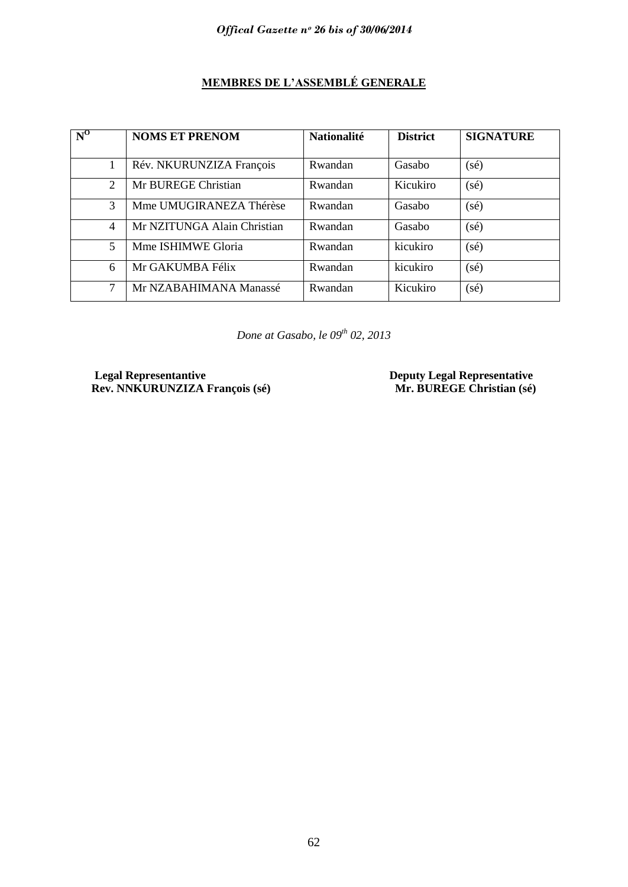# **MEMBRES DE L'ASSEMBLÉ GENERALE**

| $N^0$          | <b>NOMS ET PRENOM</b>       | <b>Nationalité</b> | <b>District</b> | <b>SIGNATURE</b> |
|----------------|-----------------------------|--------------------|-----------------|------------------|
|                | Rév. NKURUNZIZA François    | Rwandan            | Gasabo          | $(s\acute{e})$   |
| $\overline{2}$ | Mr BUREGE Christian         | Rwandan            | Kicukiro        | $(s\acute{e})$   |
| 3              | Mme UMUGIRANEZA Thérèse     | Rwandan            | Gasabo          | $(s\acute{e})$   |
| 4              | Mr NZITUNGA Alain Christian | Rwandan            | Gasabo          | $(s\acute{e})$   |
| 5              | Mme ISHIMWE Gloria          | Rwandan            | kicukiro        | $(s\acute{e})$   |
| 6              | Mr GAKUMBA Félix            | Rwandan            | kicukiro        | $(s\acute{e})$   |
| 7              | Mr NZABAHIMANA Manassé      | Rwandan            | Kicukiro        | $(s\acute{e})$   |

*Done at Gasabo, le 09th 02, 2013*

**Legal Representantive Consumer Server Algebra Deputy Legal Representative Rev. NNKURUNZIZA François (sé)** Mr. BUREGE Christian (sé)  $\overline{\text{Rev. NNKURUNZIZA}}$  François (sé)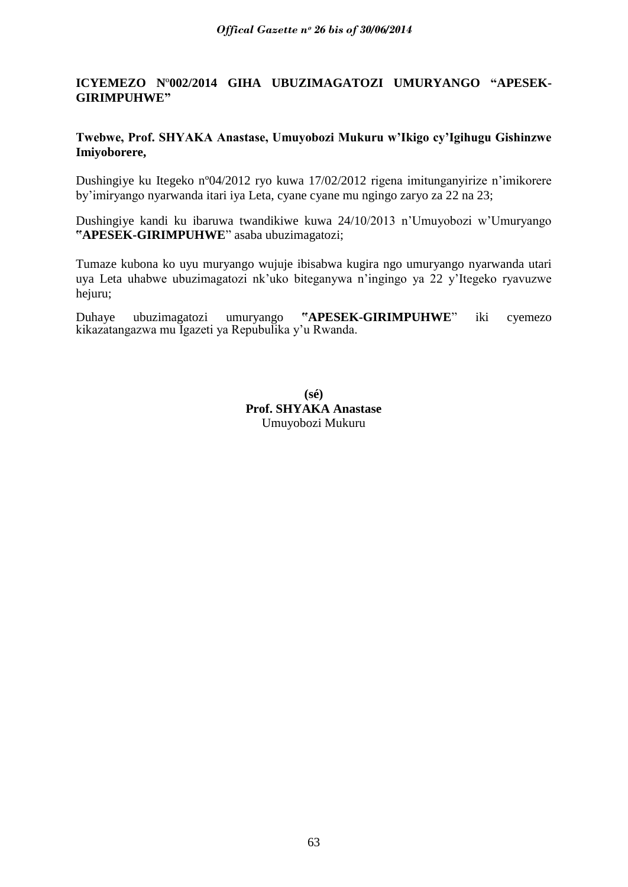# **ICYEMEZO N**º**002/2014 GIHA UBUZIMAGATOZI UMURYANGO "APESEK-GIRIMPUHWE"**

## **Twebwe, Prof. SHYAKA Anastase, Umuyobozi Mukuru w'Ikigo cy'Igihugu Gishinzwe Imiyoborere,**

Dushingiye ku Itegeko nº04/2012 ryo kuwa 17/02/2012 rigena imitunganyirize n"imikorere by"imiryango nyarwanda itari iya Leta, cyane cyane mu ngingo zaryo za 22 na 23;

Dushingiye kandi ku ibaruwa twandikiwe kuwa 24/10/2013 n"Umuyobozi w"Umuryango **"APESEK-GIRIMPUHWE**" asaba ubuzimagatozi;

Tumaze kubona ko uyu muryango wujuje ibisabwa kugira ngo umuryango nyarwanda utari uya Leta uhabwe ubuzimagatozi nk"uko biteganywa n"ingingo ya 22 y"Itegeko ryavuzwe hejuru;

Duhaye ubuzimagatozi umuryango **"APESEK-GIRIMPUHWE**" iki cyemezo kikazatangazwa mu Igazeti ya Repubulika y"u Rwanda.

> **(sé) Prof. SHYAKA Anastase** Umuyobozi Mukuru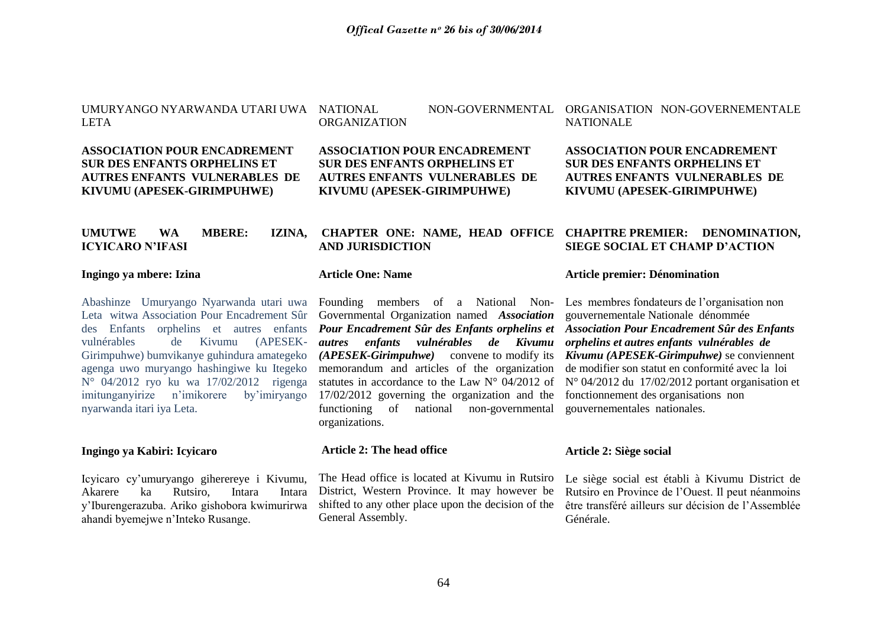UMURYANGO NYARWANDA UTARI UWA LETA

## **ASSOCIATION POUR ENCADREMENT SUR DES ENFANTS ORPHELINS ET AUTRES ENFANTS VULNERABLES DE KIVUMU (APESEK-GIRIMPUHWE)**

## **UMUTWE WA MBERE: IZINA, ICYICARO N'IFASI**

#### **Ingingo ya mbere: Izina**

Abashinze Umuryango Nyarwanda utari uwa Leta witwa Association Pour Encadrement Sûr des Enfants orphelins et autres enfants vulnérables de Kivumu (APESEK-Girimpuhwe) bumvikanye guhindura amategeko agenga uwo muryango hashingiwe ku Itegeko N° 04/2012 ryo ku wa 17/02/2012 rigenga imitunganyirize n"imikorere by"imiryango nyarwanda itari iya Leta.

## **Ingingo ya Kabiri: Icyicaro**

Icyicaro cy"umuryango giherereye i Kivumu, Akarere ka Rutsiro, Intara Intara y"Iburengerazuba. Ariko gishobora kwimurirwa ahandi byemejwe n"Inteko Rusange.

# ORGANIZATION

**ASSOCIATION POUR ENCADREMENT SUR DES ENFANTS ORPHELINS ET AUTRES ENFANTS VULNERABLES DE KIVUMU (APESEK-GIRIMPUHWE)**

# **AND JURISDICTION**

#### **Article One: Name**

Founding members of a National Non-Governmental Organization named *Association Pour Encadrement Sûr des Enfants orphelins et autres enfants vulnérables de Kivumu (APESEK-Girimpuhwe)* convene to modify its memorandum and articles of the organization statutes in accordance to the Law N° 04/2012 of 17/02/2012 governing the organization and the functioning of national non-governmental organizations.

#### **Article 2: The head office**

The Head office is located at Kivumu in Rutsiro District, Western Province. It may however be shifted to any other place upon the decision of the General Assembly.

## NATIONAL NON-GOVERNMENTAL ORGANISATION NON-GOVERNEMENTALE **NATIONALE**

**ASSOCIATION POUR ENCADREMENT SUR DES ENFANTS ORPHELINS ET AUTRES ENFANTS VULNERABLES DE KIVUMU (APESEK-GIRIMPUHWE)**

## **CHAPTER ONE: NAME, HEAD OFFICE CHAPITRE PREMIER: DENOMINATION, SIEGE SOCIAL ET CHAMP D'ACTION**

#### **Article premier: Dénomination**

Les membres fondateurs de l'organisation non gouvernementale Nationale dénommée *Association Pour Encadrement Sûr des Enfants orphelins et autres enfants vulnérables de Kivumu (APESEK-Girimpuhwe)* se conviennent de modifier son statut en conformité avec la loi N° 04/2012 du 17/02/2012 portant organisation et fonctionnement des organisations non gouvernementales nationales.

#### **Article 2: Siège social**

Le siège social est établi à Kivumu District de Rutsiro en Province de l"Ouest. Il peut néanmoins être transféré ailleurs sur décision de l"Assemblée Générale.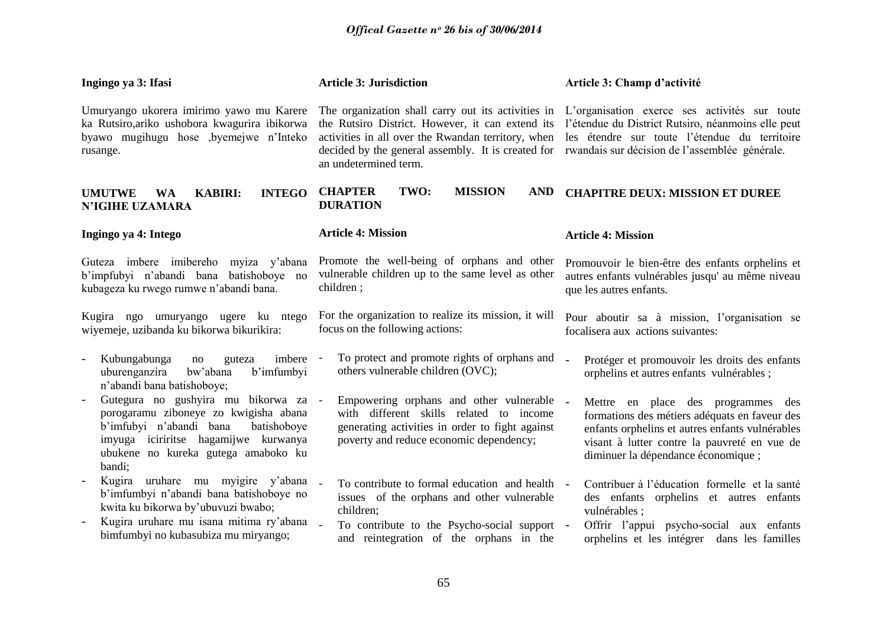| Ingingo ya 3: Ifasi                                                                                                                                                                                                     | <b>Article 3: Jurisdiction</b>                                                                                                                                                                                                              | Article 3: Champ d'activité                                                                                                                                                                                                                    |
|-------------------------------------------------------------------------------------------------------------------------------------------------------------------------------------------------------------------------|---------------------------------------------------------------------------------------------------------------------------------------------------------------------------------------------------------------------------------------------|------------------------------------------------------------------------------------------------------------------------------------------------------------------------------------------------------------------------------------------------|
| Umuryango ukorera imirimo yawo mu Karere<br>ka Rutsiro, ariko ushobora kwagurira ibikorwa<br>byawo mugihugu hose ,byemejwe n'Inteko<br>rusange.                                                                         | The organization shall carry out its activities in<br>the Rutsiro District. However, it can extend its<br>activities in all over the Rwandan territory, when<br>decided by the general assembly. It is created for<br>an undetermined term. | L'organisation exerce ses activités sur toute<br>l'étendue du District Rutsiro, néanmoins elle peut<br>les étendre sur toute l'étendue du territoire<br>rwandais sur décision de l'assemblée générale.                                         |
| <b>KABIRI:</b><br><b>INTEGO</b><br><b>UMUTWE</b><br><b>WA</b><br>N'IGIHE UZAMARA                                                                                                                                        | TWO:<br><b>MISSION</b><br><b>CHAPTER</b><br><b>AND</b><br><b>DURATION</b>                                                                                                                                                                   | <b>CHAPITRE DEUX: MISSION ET DUREE</b>                                                                                                                                                                                                         |
| Ingingo ya 4: Intego                                                                                                                                                                                                    | <b>Article 4: Mission</b>                                                                                                                                                                                                                   | <b>Article 4: Mission</b>                                                                                                                                                                                                                      |
| Guteza imbere imibereho myiza y'abana<br>b'impfubyi n'abandi bana batishoboye no<br>kubageza ku rwego rumwe n'abandi bana.                                                                                              | Promote the well-being of orphans and other<br>vulnerable children up to the same level as other<br>children;                                                                                                                               | Promouvoir le bien-être des enfants orphelins et<br>autres enfants vulnérables jusqu' au même niveau<br>que les autres enfants.                                                                                                                |
| Kugira ngo umuryango ugere ku ntego<br>wiyemeje, uzibanda ku bikorwa bikurikira:                                                                                                                                        | For the organization to realize its mission, it will<br>focus on the following actions:                                                                                                                                                     | Pour aboutir sa à mission, l'organisation se<br>focalisera aux actions suivantes:                                                                                                                                                              |
| Kubungabunga<br>imbere -<br>no<br>guteza<br>uburenganzira<br>bw'abana<br>b'imfumbyi<br>n'abandi bana batishoboye;                                                                                                       | To protect and promote rights of orphans and<br>others vulnerable children (OVC);                                                                                                                                                           | Protéger et promouvoir les droits des enfants<br>$\overline{a}$<br>orphelins et autres enfants vulnérables;                                                                                                                                    |
| Gutegura no gushyira mu bikorwa za -<br>porogaramu ziboneye zo kwigisha abana<br>b'imfubyi n'abandi bana<br>batishoboye<br>imyuga iciriritse hagamijwe kurwanya<br>ubukene no kureka gutega amaboko ku<br>bandi;        | Empowering orphans and other vulnerable<br>with different skills related to income<br>generating activities in order to fight against<br>poverty and reduce economic dependency;                                                            | $\overline{a}$<br>Mettre en place des programmes des<br>formations des métiers adéquats en faveur des<br>enfants orphelins et autres enfants vulnérables<br>visant à lutter contre la pauvreté en vue de<br>diminuer la dépendance économique; |
| Kugira uruhare mu myigire y'abana<br>b'imfumbyi n'abandi bana batishoboye no<br>kwita ku bikorwa by'ubuvuzi bwabo;<br>Kugira uruhare mu isana mitima ry'abana<br>$\overline{a}$<br>bimfumbyi no kubasubiza mu miryango; | To contribute to formal education and health<br>issues of the orphans and other vulnerable<br>children;<br>To contribute to the Psycho-social support -<br>and reintegration of the orphans in the                                          | Contribuer à l'éducation formelle et la santé<br>des enfants orphelins et autres enfants<br>vulnérables ;<br>Offrir l'appui psycho-social aux enfants<br>orphelins et les intégrer dans les familles                                           |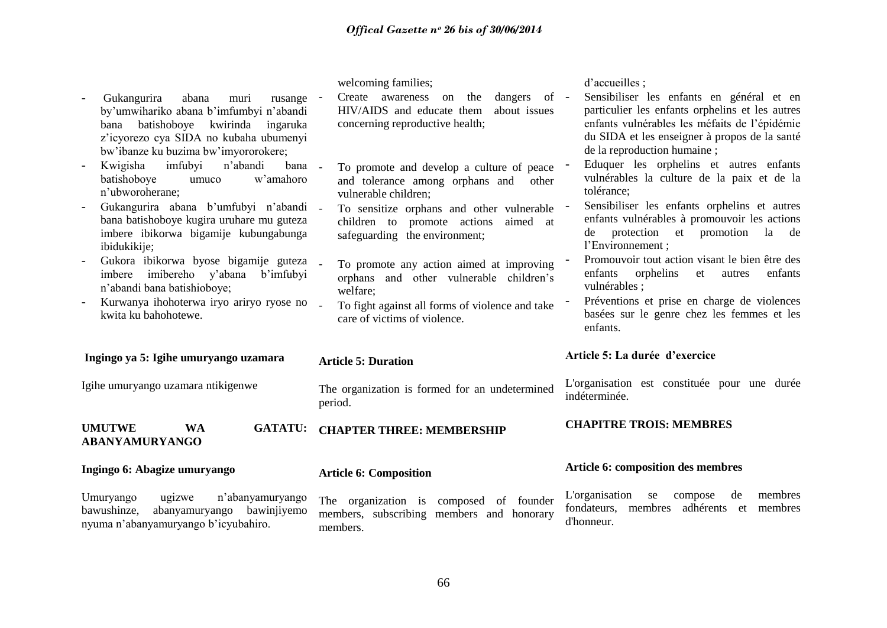| welcoming families;<br>on the dangers of -<br>Create awareness<br>about issues<br>HIV/AIDS and educate them<br>concerning reproductive health;<br>To promote and develop a culture of peace<br>and tolerance among orphans and<br>other<br>vulnerable children; | d'accueilles;<br>Sensibiliser les enfants en général et en<br>particulier les enfants orphelins et les autres<br>enfants vulnérables les méfaits de l'épidémie<br>du SIDA et les enseigner à propos de la santé<br>de la reproduction humaine;<br>Eduquer les orphelins et autres enfants<br>vulnérables la culture de la paix et de la<br>tolérance;<br>Sensibiliser les enfants orphelins et autres |
|-----------------------------------------------------------------------------------------------------------------------------------------------------------------------------------------------------------------------------------------------------------------|-------------------------------------------------------------------------------------------------------------------------------------------------------------------------------------------------------------------------------------------------------------------------------------------------------------------------------------------------------------------------------------------------------|
| children to promote actions<br>aimed at<br>safeguarding the environment;                                                                                                                                                                                        | enfants vulnérables à promouvoir les actions<br>de protection et promotion<br>la de<br>l'Environnement;                                                                                                                                                                                                                                                                                               |
| To promote any action aimed at improving<br>orphans and other vulnerable children's<br>welfare;<br>$\sim$<br>To fight against all forms of violence and take<br>care of victims of violence.                                                                    | Promouvoir tout action visant le bien être des<br>enfants<br>orphelins<br>et<br>autres<br>enfants<br>vulnérables :<br>Préventions et prise en charge de violences<br>basées sur le genre chez les femmes et les<br>enfants.                                                                                                                                                                           |
| <b>Article 5: Duration</b>                                                                                                                                                                                                                                      | Article 5: La durée d'exercice                                                                                                                                                                                                                                                                                                                                                                        |
| The organization is formed for an undetermined<br>period.                                                                                                                                                                                                       | L'organisation est constituée pour une durée<br>indéterminée.                                                                                                                                                                                                                                                                                                                                         |
| <b>CHAPTER THREE: MEMBERSHIP</b>                                                                                                                                                                                                                                | <b>CHAPITRE TROIS: MEMBRES</b>                                                                                                                                                                                                                                                                                                                                                                        |
| <b>Article 6: Composition</b>                                                                                                                                                                                                                                   | Article 6: composition des membres                                                                                                                                                                                                                                                                                                                                                                    |
| The organization is composed of founder<br>members, subscribing members and honorary                                                                                                                                                                            | L'organisation<br>membres<br>compose<br>se<br>de<br>fondateurs, membres adhérents et membres<br>d'honneur.                                                                                                                                                                                                                                                                                            |
| rusange                                                                                                                                                                                                                                                         | bana -<br>Gukangurira abana b'umfubyi n'abandi -<br>To sensitize orphans and other vulnerable<br>Gukora ibikorwa byose bigamije guteza<br>Kurwanya ihohoterwa iryo ariryo ryose no<br>members.                                                                                                                                                                                                        |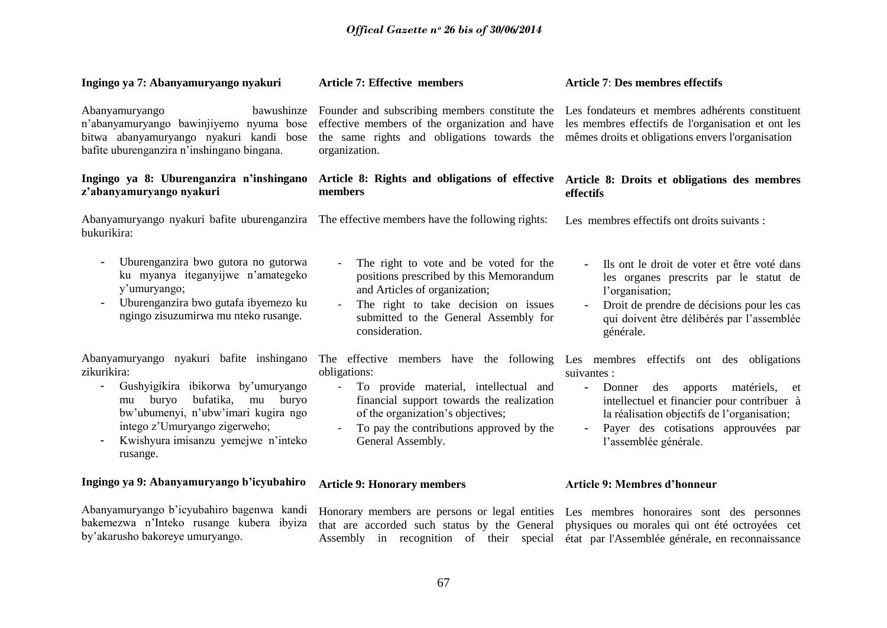| Ingingo ya 7: Abanyamuryango nyakuri                                                                                                                                                                                                                                | <b>Article 7: Effective members</b>                                                                                                                                                                                                                                                                              | <b>Article 7: Des membres effectifs</b>                                                                                                                                                                                        |
|---------------------------------------------------------------------------------------------------------------------------------------------------------------------------------------------------------------------------------------------------------------------|------------------------------------------------------------------------------------------------------------------------------------------------------------------------------------------------------------------------------------------------------------------------------------------------------------------|--------------------------------------------------------------------------------------------------------------------------------------------------------------------------------------------------------------------------------|
| Abanyamuryango<br>bawushinze<br>n'abanyamuryango bawinjiyemo nyuma bose<br>bitwa abanyamuryango nyakuri kandi bose<br>bafite uburenganzira n'inshingano bingana.                                                                                                    | Founder and subscribing members constitute the<br>effective members of the organization and have<br>the same rights and obligations towards the<br>organization.                                                                                                                                                 | Les fondateurs et membres adhérents constituent<br>les membres effectifs de l'organisation et ont les<br>mêmes droits et obligations envers l'organisation                                                                     |
| Ingingo ya 8: Uburenganzira n'inshingano<br>z'abanyamuryango nyakuri                                                                                                                                                                                                | Article 8: Rights and obligations of effective<br>members                                                                                                                                                                                                                                                        | Article 8: Droits et obligations des membres<br>effectifs                                                                                                                                                                      |
| bukurikira:                                                                                                                                                                                                                                                         | Abanyamuryango nyakuri bafite uburenganzira The effective members have the following rights:                                                                                                                                                                                                                     | Les membres effectifs ont droits suivants :                                                                                                                                                                                    |
| Uburenganzira bwo gutora no gutorwa<br>ku myanya iteganyijwe n'amategeko<br>y'umuryango;<br>Uburenganzira bwo gutafa ibyemezo ku<br>ngingo zisuzumirwa mu nteko rusange.                                                                                            | The right to vote and be voted for the<br>positions prescribed by this Memorandum<br>and Articles of organization;<br>The right to take decision on issues<br>submitted to the General Assembly for<br>consideration.                                                                                            | Ils ont le droit de voter et être voté dans<br>les organes prescrits par le statut de<br>l'organisation;<br>Droit de prendre de décisions pour les cas<br>$\sim$<br>qui doivent être délibérés par l'assemblée<br>générale.    |
| Abanyamuryango nyakuri bafite inshingano<br>zikurikira:<br>Gushyigikira ibikorwa by'umuryango<br>buryo<br>bufatika,<br>buryo<br>mu<br>mu<br>bw'ubumenyi, n'ubw'imari kugira ngo<br>intego z'Umuryango zigerweho;<br>Kwishyura imisanzu yemejwe n'inteko<br>rusange. | The effective members have the following Les membres effectifs ont des obligations<br>obligations:<br>To provide material, intellectual and<br>$\blacksquare$<br>financial support towards the realization<br>of the organization's objectives;<br>To pay the contributions approved by the<br>General Assembly. | suivantes :<br>Donner<br>des apports<br>matériels, et<br>$\sim$<br>intellectuel et financier pour contribuer à<br>la réalisation objectifs de l'organisation;<br>Payer des cotisations approuvées par<br>l'assemblée générale. |
| Ingingo ya 9: Abanyamuryango b'icyubahiro                                                                                                                                                                                                                           | <b>Article 9: Honorary members</b>                                                                                                                                                                                                                                                                               | <b>Article 9: Membres d'honneur</b>                                                                                                                                                                                            |
| Abanyamuryango b'icyubahiro bagenwa kandi                                                                                                                                                                                                                           | Honorary members are persons or legal entities Les membres honoraires sont des personnes                                                                                                                                                                                                                         |                                                                                                                                                                                                                                |

by"akarusho bakoreye umuryango.

bakemezwa n"Inteko rusange kubera ibyiza that are accorded such status by the General physiques ou morales qui ont été octroyées cet Assembly in recognition of their special état par l'Assemblée générale, en reconnaissance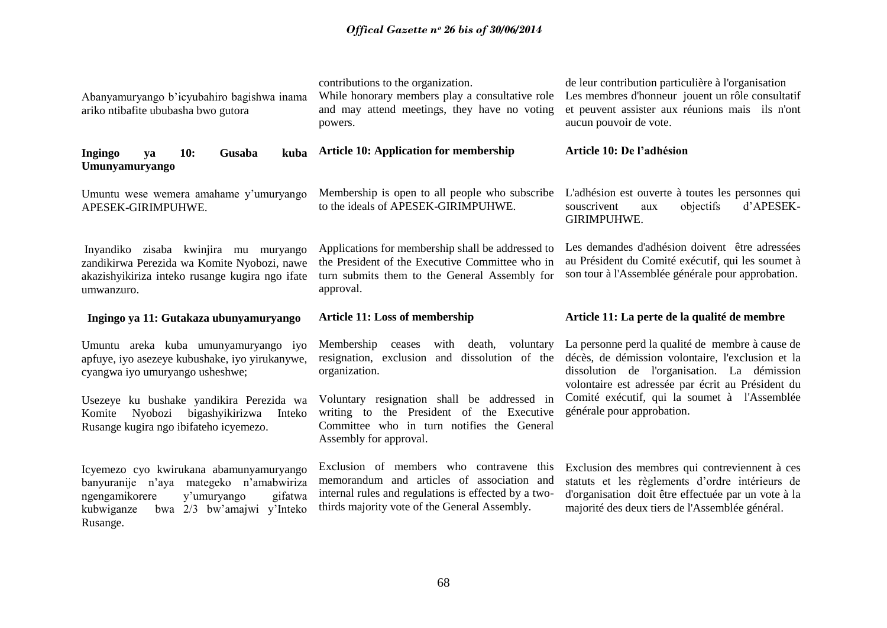# *Offical Gazette nᵒ 26 bis of 30/06/2014*

| Abanyamuryango b'icyubahiro bagishwa inama<br>ariko ntibafite ububasha bwo gutora                                                                     | contributions to the organization.<br>While honorary members play a consultative role<br>and may attend meetings, they have no voting<br>powers.                   | de leur contribution particulière à l'organisation<br>Les membres d'honneur jouent un rôle consultatif<br>et peuvent assister aux réunions mais ils n'ont<br>aucun pouvoir de vote. |
|-------------------------------------------------------------------------------------------------------------------------------------------------------|--------------------------------------------------------------------------------------------------------------------------------------------------------------------|-------------------------------------------------------------------------------------------------------------------------------------------------------------------------------------|
| <b>10:</b><br>Gusaba<br>Ingingo<br>kuba<br>va<br>Umunyamuryango                                                                                       | <b>Article 10: Application for membership</b>                                                                                                                      | Article 10: De l'adhésion                                                                                                                                                           |
| Umuntu wese wemera amahame y'umuryango<br>APESEK-GIRIMPUHWE.                                                                                          | Membership is open to all people who subscribe<br>to the ideals of APESEK-GIRIMPUHWE.                                                                              | L'adhésion est ouverte à toutes les personnes qui<br>d'APESEK-<br>objectifs<br>souscrivent<br>aux<br>GIRIMPUHWE.                                                                    |
| Inyandiko zisaba kwinjira mu muryango<br>zandikirwa Perezida wa Komite Nyobozi, nawe<br>akazishyikiriza inteko rusange kugira ngo ifate<br>umwanzuro. | Applications for membership shall be addressed to<br>the President of the Executive Committee who in<br>turn submits them to the General Assembly for<br>approval. | Les demandes d'adhésion doivent être adressées<br>au Président du Comité exécutif, qui les soumet à<br>son tour à l'Assemblée générale pour approbation.                            |
|                                                                                                                                                       |                                                                                                                                                                    |                                                                                                                                                                                     |
| Ingingo ya 11: Gutakaza ubunyamuryango                                                                                                                | Article 11: Loss of membership                                                                                                                                     | Article 11: La perte de la qualité de membre                                                                                                                                        |
| Umuntu areka kuba umunyamuryango iyo<br>apfuye, iyo asezeye kubushake, iyo yirukanywe,<br>cyangwa iyo umuryango usheshwe;                             | Membership<br>with<br>death,<br>voluntary<br>ceases<br>resignation, exclusion and dissolution of the<br>organization.                                              | La personne perd la qualité de membre à cause de<br>décès, de démission volontaire, l'exclusion et la<br>dissolution de l'organisation. La démission                                |
| Usezeye ku bushake yandikira Perezida wa<br>bigashyikirizwa<br>Nyobozi<br>Komite<br>Inteko<br>Rusange kugira ngo ibifateho icyemezo.                  | Voluntary resignation shall be addressed in<br>writing to the President of the Executive<br>Committee who in turn notifies the General<br>Assembly for approval.   | volontaire est adressée par écrit au Président du<br>Comité exécutif, qui la soumet à l'Assemblée<br>générale pour approbation.                                                     |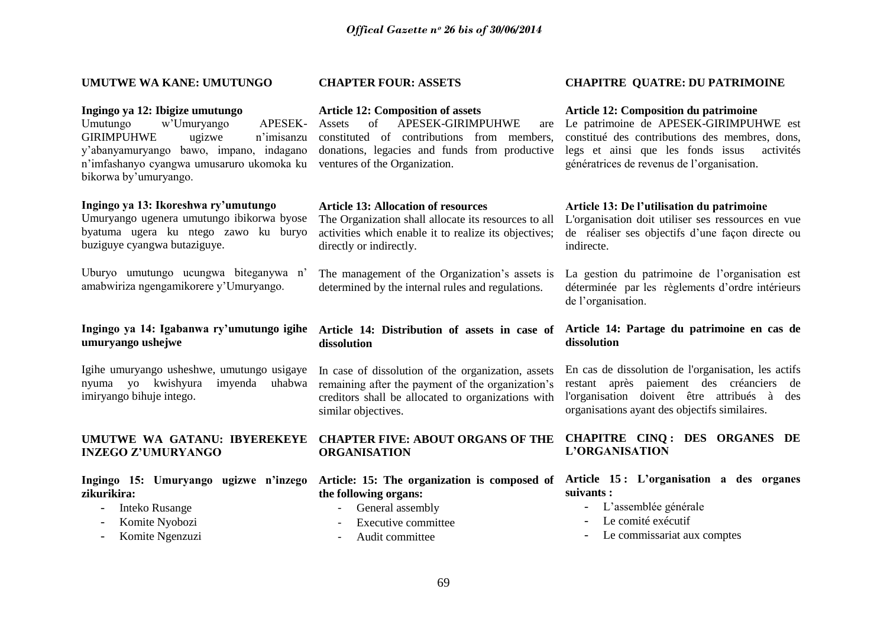## **UMUTWE WA KANE: UMUTUNGO**

### **Ingingo ya 12: Ibigize umutungo**

Umutungo w"Umuryango APESEK-GIRIMPUHWE ugizwe n"imisanzu y"abanyamuryango bawo, impano, indagano n"imfashanyo cyangwa umusaruro ukomoka ku ventures of the Organization. bikorwa by"umuryango.

## **Ingingo ya 13: Ikoreshwa ry'umutungo**

Umuryango ugenera umutungo ibikorwa byose byatuma ugera ku ntego zawo ku buryo buziguye cyangwa butaziguye.

Uburyo umutungo ucungwa biteganywa n" amabwiriza ngengamikorere y"Umuryango.

## **Ingingo ya 14: Igabanwa ry'umutungo igihe umuryango ushejwe**

Igihe umuryango usheshwe, umutungo usigaye imiryango bihuje intego.

# **INZEGO Z'UMURYANGO**

**Ingingo 15: Umuryango ugizwe n'inzego zikurikira:**

- Inteko Rusange
- Komite Nyobozi
- Komite Ngenzuzi

## **CHAPTER FOUR: ASSETS**

## **Article 12: Composition of assets**

of APESEK-GIRIMPUHWE constituted of contributions from members, donations, legacies and funds from productive

## **Article 13: Allocation of resources**

The Organization shall allocate its resources to all activities which enable it to realize its objectives; directly or indirectly.

The management of the Organization's assets is determined by the internal rules and regulations.

## **Article 14: Distribution of assets in case of dissolution**

nyuma yo kwishyura imyenda uhabwa remaining after the payment of the organization"s In case of dissolution of the organization, assets creditors shall be allocated to organizations with similar objectives.

## **UMUTWE WA GATANU: IBYEREKEYE CHAPTER FIVE: ABOUT ORGANS OF THE ORGANISATION**

**the following organs:**

- General assembly
- Executive committee
- Audit committee

## **CHAPITRE QUATRE: DU PATRIMOINE**

#### **Article 12: Composition du patrimoine**

Le patrimoine de APESEK-GIRIMPUHWE est constitué des contributions des membres, dons, legs et ainsi que les fonds issus activités génératrices de revenus de l"organisation.

## **Article 13: De l'utilisation du patrimoine**

L'organisation doit utiliser ses ressources en vue de réaliser ses objectifs d"une façon directe ou indirecte.

La gestion du patrimoine de l"organisation est déterminée par les règlements d"ordre intérieurs de l'organisation.

## **Article 14: Partage du patrimoine en cas de dissolution**

En cas de dissolution de l'organisation, les actifs restant après paiement des créanciers de l'organisation doivent être attribués à des organisations ayant des objectifs similaires.

## **CHAPITRE CINQ : DES ORGANES DE L'ORGANISATION**

## **Article: 15: The organization is composed of Article 15 : L'organisation a des organes suivants :**

- L"assemblée générale
- Le comité exécutif
- Le commissariat aux comptes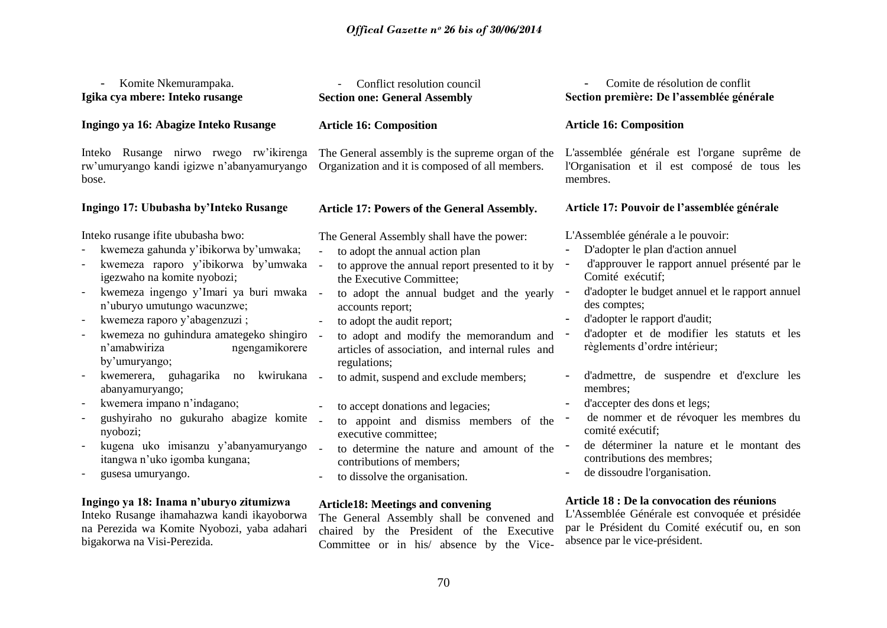| Komite Nkemurampaka.<br>Igika cya mbere: Inteko rusange                                                                                                                                                                                                                                                                                                                                                                                                                                                                                                                                                   | Conflict resolution council<br><b>Section one: General Assembly</b>                                                                                                                                                                                                                                                                                                                                                                                                                                                                                                                                                                           | Comite de résolution de conflit<br>Section première: De l'assemblée générale                                                                                                                                                                                                                                                                                                                                                                                                                                                                                                                                                                                                            |
|-----------------------------------------------------------------------------------------------------------------------------------------------------------------------------------------------------------------------------------------------------------------------------------------------------------------------------------------------------------------------------------------------------------------------------------------------------------------------------------------------------------------------------------------------------------------------------------------------------------|-----------------------------------------------------------------------------------------------------------------------------------------------------------------------------------------------------------------------------------------------------------------------------------------------------------------------------------------------------------------------------------------------------------------------------------------------------------------------------------------------------------------------------------------------------------------------------------------------------------------------------------------------|-----------------------------------------------------------------------------------------------------------------------------------------------------------------------------------------------------------------------------------------------------------------------------------------------------------------------------------------------------------------------------------------------------------------------------------------------------------------------------------------------------------------------------------------------------------------------------------------------------------------------------------------------------------------------------------------|
| Ingingo ya 16: Abagize Inteko Rusange                                                                                                                                                                                                                                                                                                                                                                                                                                                                                                                                                                     | <b>Article 16: Composition</b>                                                                                                                                                                                                                                                                                                                                                                                                                                                                                                                                                                                                                | <b>Article 16: Composition</b>                                                                                                                                                                                                                                                                                                                                                                                                                                                                                                                                                                                                                                                          |
| Inteko Rusange nirwo rwego rw'ikirenga<br>rw'umuryango kandi igizwe n'abanyamuryango<br>bose.                                                                                                                                                                                                                                                                                                                                                                                                                                                                                                             | The General assembly is the supreme organ of the<br>Organization and it is composed of all members.                                                                                                                                                                                                                                                                                                                                                                                                                                                                                                                                           | L'assemblée générale est l'organe suprême de<br>l'Organisation et il est composé de tous les<br>membres.                                                                                                                                                                                                                                                                                                                                                                                                                                                                                                                                                                                |
| Ingingo 17: Ububasha by'Inteko Rusange                                                                                                                                                                                                                                                                                                                                                                                                                                                                                                                                                                    | Article 17: Powers of the General Assembly.                                                                                                                                                                                                                                                                                                                                                                                                                                                                                                                                                                                                   | Article 17: Pouvoir de l'assemblée générale                                                                                                                                                                                                                                                                                                                                                                                                                                                                                                                                                                                                                                             |
| Inteko rusange ifite ububasha bwo:<br>kwemeza gahunda y'ibikorwa by'umwaka;<br>kwemeza raporo y'ibikorwa by'umwaka<br>igezwaho na komite nyobozi;<br>kwemeza ingengo y'Imari ya buri mwaka -<br>n'uburyo umutungo wacunzwe;<br>kwemeza raporo y'abagenzuzi;<br>kwemeza no guhindura amategeko shingiro<br>n'amabwiriza<br>ngengamikorere<br>by'umuryango;<br>kwemerera, guhagarika<br>kwirukana<br>no<br>abanyamuryango;<br>kwemera impano n'indagano;<br>gushyiraho no gukuraho abagize komite<br>nyobozi;<br>kugena uko imisanzu y'abanyamuryango<br>itangwa n'uko igomba kungana;<br>gusesa umuryango. | The General Assembly shall have the power:<br>to adopt the annual action plan<br>to approve the annual report presented to it by<br>the Executive Committee;<br>to adopt the annual budget and the yearly<br>accounts report;<br>to adopt the audit report;<br>to adopt and modify the memorandum and<br>articles of association, and internal rules and<br>regulations;<br>to admit, suspend and exclude members;<br>to accept donations and legacies;<br>to appoint and dismiss members of the<br>executive committee;<br>$\sim$<br>to determine the nature and amount of the<br>contributions of members;<br>to dissolve the organisation. | L'Assemblée générale a le pouvoir:<br>D'adopter le plan d'action annuel<br>d'approuver le rapport annuel présenté par le<br>$\overline{\phantom{a}}$<br>Comité exécutif;<br>d'adopter le budget annuel et le rapport annuel<br>$\overline{\phantom{a}}$<br>des comptes;<br>d'adopter le rapport d'audit;<br>d'adopter et de modifier les statuts et les<br>règlements d'ordre intérieur;<br>d'admettre, de suspendre et d'exclure les<br>membres;<br>d'accepter des dons et legs;<br>$\overline{\phantom{a}}$<br>de nommer et de révoquer les membres du<br>comité exécutif;<br>de déterminer la nature et le montant des<br>contributions des membres;<br>de dissoudre l'organisation. |
| Ingingo ya 18: Inama n'uburyo zitumizwa<br>Inteko Rusange ihamahazwa kandi ikayoborwa                                                                                                                                                                                                                                                                                                                                                                                                                                                                                                                     | <b>Article18: Meetings and convening</b><br>The General Assembly shall be convened and                                                                                                                                                                                                                                                                                                                                                                                                                                                                                                                                                        | Article 18 : De la convocation des réunions<br>L'Assemblée Générale est convoquée et présidée                                                                                                                                                                                                                                                                                                                                                                                                                                                                                                                                                                                           |

Inteko Rusange ihamahazwa kandi ikayoborwa na Perezida wa Komite Nyobozi, yaba adahari bigakorwa na Visi-Perezida.

The General Assembly shall be convened and chaired by the President of the Executive Committee or in his/ absence by the Vice-

par le Président du Comité exécutif ou, en son absence par le vice-président.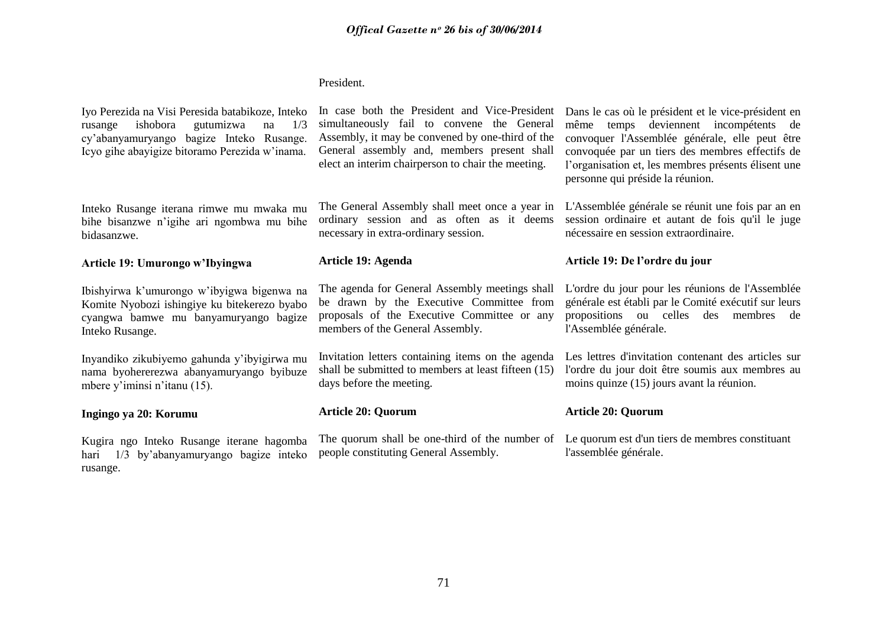## President.

Iyo Perezida na Visi Peresida batabikoze, Inteko rusange ishobora gutumizwa na 1/3 cy"abanyamuryango bagize Inteko Rusange. Icyo gihe abayigize bitoramo Perezida w"inama.

Inteko Rusange iterana rimwe mu mwaka mu bihe bisanzwe n"igihe ari ngombwa mu bihe bidasanzwe.

## **Article 19: Umurongo w'Ibyingwa**

Ibishyirwa k"umurongo w"ibyigwa bigenwa na Komite Nyobozi ishingiye ku bitekerezo byabo cyangwa bamwe mu banyamuryango bagize Inteko Rusange.

Inyandiko zikubiyemo gahunda y"ibyigirwa mu nama byohererezwa abanyamuryango byibuze mbere y'iminsi n'itanu (15).

## **Ingingo ya 20: Korumu**

Kugira ngo Inteko Rusange iterane hagomba hari 1/3 by"abanyamuryango bagize inteko rusange.

In case both the President and Vice-President simultaneously fail to convene the General Assembly, it may be convened by one-third of the General assembly and, members present shall elect an interim chairperson to chair the meeting.

The General Assembly shall meet once a year in ordinary session and as often as it deems necessary in extra-ordinary session.

## **Article 19: Agenda**

The agenda for General Assembly meetings shall be drawn by the Executive Committee from proposals of the Executive Committee or any members of the General Assembly.

Invitation letters containing items on the agenda shall be submitted to members at least fifteen (15) days before the meeting.

## **Article 20: Quorum**

The quorum shall be one-third of the number of Le quorum est d'un tiers de membres constituant people constituting General Assembly.

Dans le cas où le président et le vice-président en même temps deviennent incompétents de convoquer l'Assemblée générale, elle peut être convoquée par un tiers des membres effectifs de l"organisation et, les membres présents élisent une personne qui préside la réunion.

L'Assemblée générale se réunit une fois par an en session ordinaire et autant de fois qu'il le juge nécessaire en session extraordinaire.

## **Article 19: De l'ordre du jour**

L'ordre du jour pour les réunions de l'Assemblée générale est établi par le Comité exécutif sur leurs propositions ou celles des membres de l'Assemblée générale.

Les lettres d'invitation contenant des articles sur l'ordre du jour doit être soumis aux membres au moins quinze (15) jours avant la réunion.

## **Article 20: Quorum**

l'assemblée générale.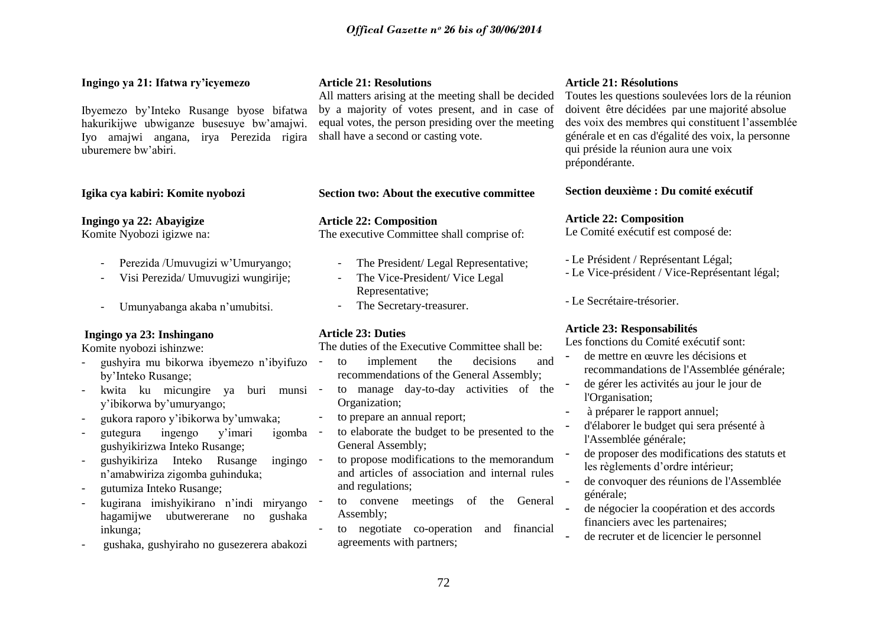## **Ingingo ya 21: Ifatwa ry'icyemezo**

Ibyemezo by"Inteko Rusange byose bifatwa hakurikijwe ubwiganze busesuye bw"amajwi. Iyo amajwi angana, irya Perezida rigira uburemere bw"abiri.

## **Igika cya kabiri: Komite nyobozi**

**Ingingo ya 22: Abayigize**

Komite Nyobozi igizwe na:

- Perezida /Umuvugizi w"Umuryango;
- Visi Perezida/ Umuvugizi wungirije;
- Umunyabanga akaba n"umubitsi.

## **Ingingo ya 23: Inshingano**

Komite nyobozi ishinzwe:

- gushyira mu bikorwa ibyemezo n"ibyifuzo by"Inteko Rusange;
- kwita ku micungire ya buri munsi y"ibikorwa by"umuryango;
- gukora raporo y"ibikorwa by"umwaka;
- gutegura ingengo y"imari igomba gushyikirizwa Inteko Rusange;
- gushyikiriza Inteko Rusange ingingo n"amabwiriza zigomba guhinduka;
- gutumiza Inteko Rusange;
- kugirana imishyikirano n"indi miryango hagamijwe ubutwererane no gushaka inkunga;
- gushaka, gushyiraho no gusezerera abakozi

## **Article 21: Resolutions**

All matters arising at the meeting shall be decided by a majority of votes present, and in case of equal votes, the person presiding over the meeting shall have a second or casting vote.

**Section two: About the executive committee** 

**Article 22: Composition** The executive Committee shall comprise of:

- The President/ Legal Representative;
- The Vice-President/ Vice Legal Representative;
- The Secretary-treasurer.

## **Article 23: Duties**

The duties of the Executive Committee shall be:

- to implement the decisions and recommendations of the General Assembly;
- to manage day-to-day activities of the Organization;
- to prepare an annual report;
- to elaborate the budget to be presented to the General Assembly;

to propose modifications to the memorandum and articles of association and internal rules and regulations;

- to convene meetings of the General Assembly;
- to negotiate co-operation and financial agreements with partners;

## **Article 21: Résolutions**

Toutes les questions soulevées lors de la réunion doivent être décidées par une majorité absolue des voix des membres qui constituent l"assemblée générale et en cas d'égalité des voix, la personne qui préside la réunion aura une voix prépondérante.

**Section deuxième : Du comité exécutif**

## **Article 22: Composition**

Le Comité exécutif est composé de:

- Le Président / Représentant Légal;
- Le Vice-président / Vice-Représentant légal;

- Le Secrétaire-trésorier.

## **Article 23: Responsabilités**

Les fonctions du Comité exécutif sont:

- de mettre en œuvre les décisions et recommandations de l'Assemblée générale;
- de gérer les activités au jour le jour de l'Organisation;
- à préparer le rapport annuel;
- d'élaborer le budget qui sera présenté à l'Assemblée générale;
- de proposer des modifications des statuts et les règlements d"ordre intérieur;
- de convoquer des réunions de l'Assemblée générale;
- de négocier la coopération et des accords financiers avec les partenaires;
- de recruter et de licencier le personnel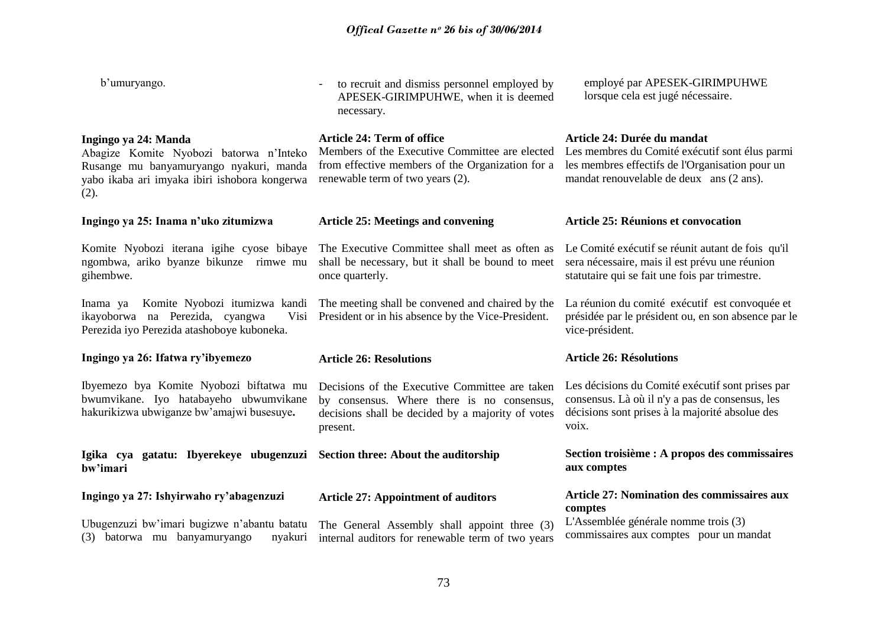- to recruit and dismiss personnel employed by

employé par APESEK-GIRIMPUHWE

b'umuryango.

**Ingingo ya 24: Manda** Abagize Komite Nyobozi batorwa n"Inteko Rusange mu banyamuryango nyakuri, manda yabo ikaba ari imyaka ibiri ishobora kongerwa  $(2)$ . **Ingingo ya 25: Inama n'uko zitumizwa** Komite Nyobozi iterana igihe cyose bibaye ngombwa, ariko byanze bikunze rimwe mu gihembwe. Inama ya Komite Nyobozi itumizwa kandi ikayoborwa na Perezida, cyangwa Visi Perezida iyo Perezida atashoboye kuboneka. **Ingingo ya 26: Ifatwa ry'ibyemezo**  Ibyemezo bya Komite Nyobozi biftatwa mu bwumvikane. Iyo hatabayeho ubwumvikane hakurikizwa ubwiganze bw"amajwi busesuye**. Igika cya gatatu: Ibyerekeye ubugenzuzi bw'imari Ingingo ya 27: Ishyirwaho ry'abagenzuzi** Ubugenzuzi bw"imari bugizwe n"abantu batatu (3) batorwa mu banyamuryango nyakuri APESEK-GIRIMPUHWE, when it is deemed necessary. **Article 24: Term of office** Members of the Executive Committee are elected Les membres du Comité exécutif sont élus parmi from effective members of the Organization for a renewable term of two years (2). **Article 25: Meetings and convening** The Executive Committee shall meet as often as shall be necessary, but it shall be bound to meet once quarterly. The meeting shall be convened and chaired by the President or in his absence by the Vice-President. **Article 26: Resolutions** Decisions of the Executive Committee are taken by consensus. Where there is no consensus, decisions shall be decided by a majority of votes present. **Section three: About the auditorship Article 27: Appointment of auditors**  The General Assembly shall appoint three (3) internal auditors for renewable term of two years lorsque cela est jugé nécessaire. **Article 24: Durée du mandat** les membres effectifs de l'Organisation pour un mandat renouvelable de deux ans (2 ans). **Article 25: Réunions et convocation** Le Comité exécutif se réunit autant de fois qu'il sera nécessaire, mais il est prévu une réunion statutaire qui se fait une fois par trimestre. La réunion du comité exécutif est convoquée et présidée par le président ou, en son absence par le vice-président. **Article 26: Résolutions** Les décisions du Comité exécutif sont prises par consensus. Là où il n'y a pas de consensus, les décisions sont prises à la majorité absolue des voix. **Section troisième : A propos des commissaires aux comptes Article 27: Nomination des commissaires aux comptes**  L'Assemblée générale nomme trois (3) commissaires aux comptes pour un mandat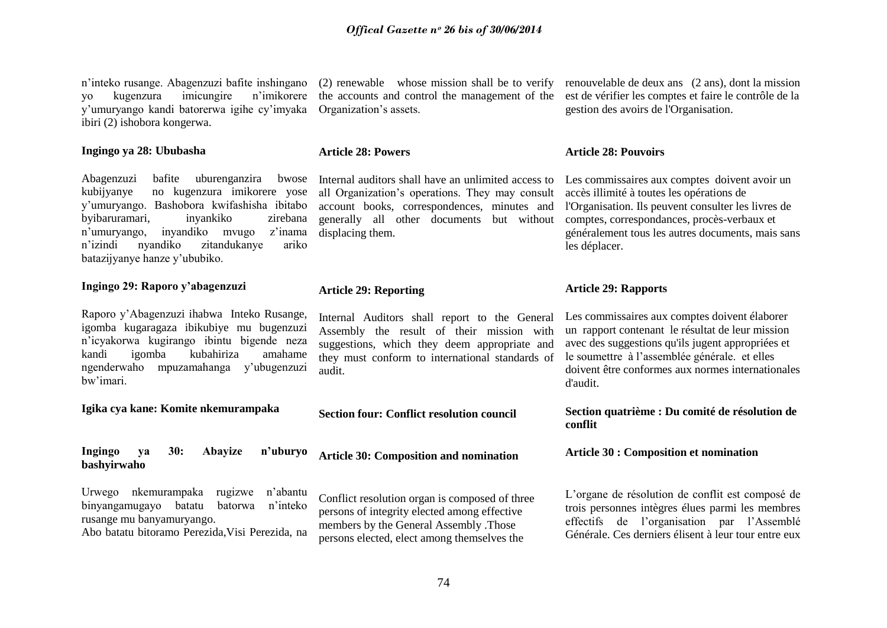n"inteko rusange. Abagenzuzi bafite inshingano yo kugenzura imicungire n"imikorere y"umuryango kandi batorerwa igihe cy"imyaka ibiri (2) ishobora kongerwa.

#### **Ingingo ya 28: Ububasha**

Abagenzuzi bafite uburenganzira bwose kubijyanye no kugenzura imikorere yose y"umuryango. Bashobora kwifashisha ibitabo byibaruramari, inyankiko zirebana n"umuryango, inyandiko mvugo z"inama n"izindi nyandiko zitandukanye ariko batazijyanye hanze y"ububiko.

### **Ingingo 29: Raporo y'abagenzuzi**

Raporo y"Abagenzuzi ihabwa Inteko Rusange, igomba kugaragaza ibikubiye mu bugenzuzi n"icyakorwa kugirango ibintu bigende neza kandi igomba kubahiriza amahame ngenderwaho mpuzamahanga y"ubugenzuzi bw"imari.

#### **Igika cya kane: Komite nkemurampaka**

#### **Ingingo ya 30: Abayize n'uburyo bashyirwaho**

Urwego nkemurampaka rugizwe n"abantu binyangamugayo batatu batorwa n"inteko rusange mu banyamuryango. Abo batatu bitoramo Perezida, Visi Perezida, na

(2) renewable whose mission shall be to verify the accounts and control the management of the Organization"s assets.

#### **Article 28: Powers**

Internal auditors shall have an unlimited access to all Organization"s operations. They may consult account books, correspondences, minutes and generally all other documents but without displacing them.

#### **Article 29: Reporting**

Internal Auditors shall report to the General Assembly the result of their mission with suggestions, which they deem appropriate and they must conform to international standards of audit.

#### **Section four: Conflict resolution council**

**Article 30: Composition and nomination** 

Conflict resolution organ is composed of three persons of integrity elected among effective members by the General Assembly .Those persons elected, elect among themselves the

renouvelable de deux ans (2 ans), dont la mission est de vérifier les comptes et faire le contrôle de la gestion des avoirs de l'Organisation.

#### **Article 28: Pouvoirs**

Les commissaires aux comptes doivent avoir un accès illimité à toutes les opérations de l'Organisation. Ils peuvent consulter les livres de comptes, correspondances, procès-verbaux et généralement tous les autres documents, mais sans les déplacer.

#### **Article 29: Rapports**

Les commissaires aux comptes doivent élaborer un rapport contenant le résultat de leur mission avec des suggestions qu'ils jugent appropriées et le soumettre à l"assemblée générale. et elles doivent être conformes aux normes internationales d'audit.

#### **Section quatrième : Du comité de résolution de conflit**

**Article 30 : Composition et nomination** 

L"organe de résolution de conflit est composé de trois personnes intègres élues parmi les membres effectifs de l"organisation par l"Assemblé Générale. Ces derniers élisent à leur tour entre eux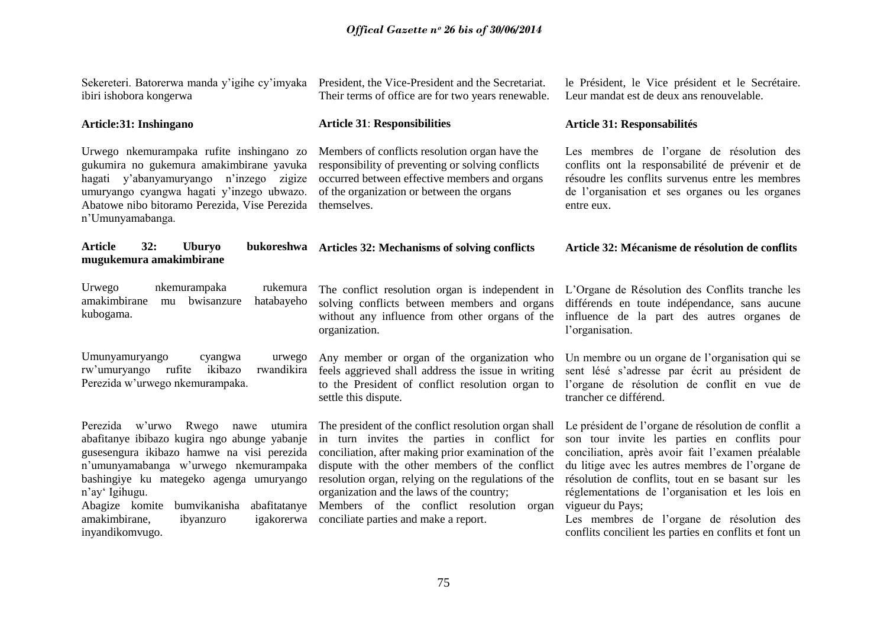| ibiri ishobora kongerwa                                                                                                                                                                                                                                                                                                                                       | Sekereteri. Batorerwa manda y'igihe cy'imyaka President, the Vice-President and the Secretariat.<br>Their terms of office are for two years renewable.                                                                                                                                                                                                                                                   | le Président, le Vice président et le Secrétaire.<br>Leur mandat est de deux ans renouvelable.                                                                                                                                                                                                                                                                                                                                                   |  |
|---------------------------------------------------------------------------------------------------------------------------------------------------------------------------------------------------------------------------------------------------------------------------------------------------------------------------------------------------------------|----------------------------------------------------------------------------------------------------------------------------------------------------------------------------------------------------------------------------------------------------------------------------------------------------------------------------------------------------------------------------------------------------------|--------------------------------------------------------------------------------------------------------------------------------------------------------------------------------------------------------------------------------------------------------------------------------------------------------------------------------------------------------------------------------------------------------------------------------------------------|--|
| Article:31: Inshingano                                                                                                                                                                                                                                                                                                                                        | <b>Article 31: Responsibilities</b>                                                                                                                                                                                                                                                                                                                                                                      | <b>Article 31: Responsabilités</b>                                                                                                                                                                                                                                                                                                                                                                                                               |  |
| Urwego nkemurampaka rufite inshingano zo<br>gukumira no gukemura amakimbirane yavuka<br>hagati y'abanyamuryango n'inzego zigize<br>umuryango cyangwa hagati y'inzego ubwazo.<br>Abatowe nibo bitoramo Perezida, Vise Perezida<br>n'Umunyamabanga.                                                                                                             | Members of conflicts resolution organ have the<br>responsibility of preventing or solving conflicts<br>occurred between effective members and organs<br>of the organization or between the organs<br>themselves.                                                                                                                                                                                         | Les membres de l'organe de résolution des<br>conflits ont la responsabilité de prévenir et de<br>résoudre les conflits survenus entre les membres<br>de l'organisation et ses organes ou les organes<br>entre eux.                                                                                                                                                                                                                               |  |
| <b>Article</b><br>bukoreshwa<br>32:<br><b>Uburyo</b><br>mugukemura amakimbirane                                                                                                                                                                                                                                                                               | <b>Articles 32: Mechanisms of solving conflicts</b>                                                                                                                                                                                                                                                                                                                                                      | Article 32: Mécanisme de résolution de conflits                                                                                                                                                                                                                                                                                                                                                                                                  |  |
| nkemurampaka<br>Urwego<br>rukemura<br>amakimbirane<br>mu bwisanzure<br>hatabayeho<br>kubogama.                                                                                                                                                                                                                                                                | The conflict resolution organ is independent in<br>solving conflicts between members and organs<br>without any influence from other organs of the<br>organization.                                                                                                                                                                                                                                       | L'Organe de Résolution des Conflits tranche les<br>différends en toute indépendance, sans aucune<br>influence de la part des autres organes de<br>l'organisation.                                                                                                                                                                                                                                                                                |  |
| Umunyamuryango<br>cyangwa<br>urwego<br>rw'umuryango<br>ikibazo<br>rwandikira<br>rufite<br>Perezida w'urwego nkemurampaka.                                                                                                                                                                                                                                     | Any member or organ of the organization who<br>feels aggrieved shall address the issue in writing<br>to the President of conflict resolution organ to<br>settle this dispute.                                                                                                                                                                                                                            | Un membre ou un organe de l'organisation qui se<br>sent lésé s'adresse par écrit au président de<br>l'organe de résolution de conflit en vue de<br>trancher ce différend.                                                                                                                                                                                                                                                                        |  |
| Perezida w'urwo Rwego<br>nawe<br>utumira<br>abafitanye ibibazo kugira ngo abunge yabanje<br>gusesengura ikibazo hamwe na visi perezida<br>n'umunyamabanga w'urwego nkemurampaka<br>bashingiye ku mategeko agenga umuryango<br>n'ay' Igihugu.<br>bumvikanisha<br>abafitatanye<br>Abagize komite<br>amakimbirane,<br>ibyanzuro<br>igakorerwa<br>inyandikomvugo. | The president of the conflict resolution organ shall<br>in turn invites the parties in conflict for<br>conciliation, after making prior examination of the<br>dispute with the other members of the conflict<br>resolution organ, relying on the regulations of the<br>organization and the laws of the country;<br>Members of the conflict resolution<br>organ<br>conciliate parties and make a report. | Le président de l'organe de résolution de conflit a<br>son tour invite les parties en conflits pour<br>conciliation, après avoir fait l'examen préalable<br>du litige avec les autres membres de l'organe de<br>résolution de conflits, tout en se basant sur les<br>réglementations de l'organisation et les lois en<br>vigueur du Pays;<br>Les membres de l'organe de résolution des<br>conflits concilient les parties en conflits et font un |  |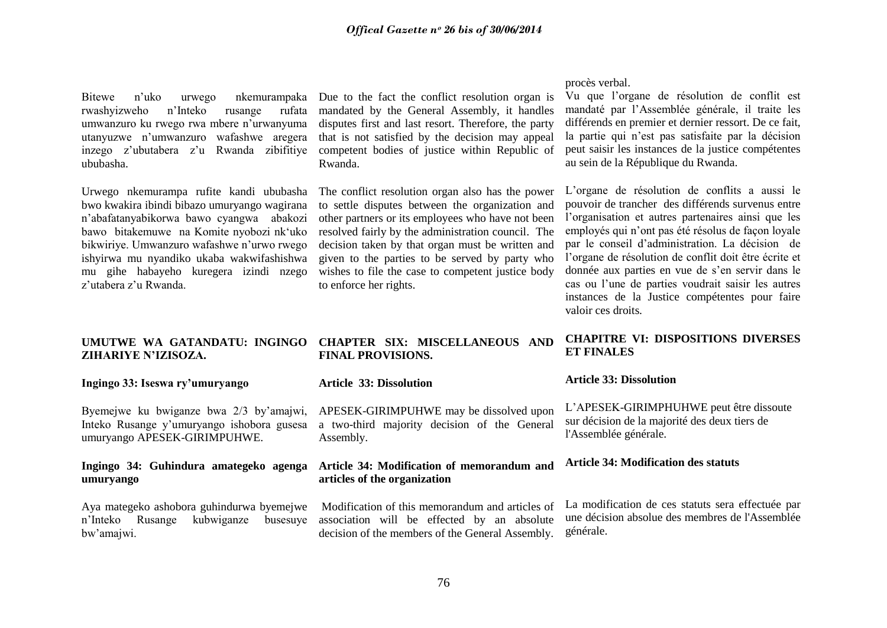rwashyizweho n"Inteko rusange rufata umwanzuro ku rwego rwa mbere n"urwanyuma utanyuzwe n"umwanzuro wafashwe aregera inzego z"ubutabera z"u Rwanda zibifitiye ububasha.

Urwego nkemurampa rufite kandi ububasha bwo kwakira ibindi bibazo umuryango wagirana n"abafatanyabikorwa bawo cyangwa abakozi bawo bitakemuwe na Komite nyobozi nk"uko bikwiriye. Umwanzuro wafashwe n'urwo rwego ishyirwa mu nyandiko ukaba wakwifashishwa mu gihe habayeho kuregera izindi nzego z"utabera z"u Rwanda.

# **ZIHARIYE N'IZISOZA.**

#### **Ingingo 33: Iseswa ry'umuryango**

Byemejwe ku bwiganze bwa 2/3 by"amajwi, Inteko Rusange y"umuryango ishobora gusesa umuryango APESEK-GIRIMPUHWE.

### **Ingingo 34: Guhindura amategeko agenga umuryango**

Aya mategeko ashobora guhindurwa byemejwe n"Inteko Rusange kubwiganze busesuye bw"amajwi.

### Bitewe n'uko urwego nkemurampaka Due to the fact the conflict resolution organ is mandated by the General Assembly, it handles disputes first and last resort. Therefore, the party that is not satisfied by the decision may appeal competent bodies of justice within Republic of Rwanda.

The conflict resolution organ also has the power to settle disputes between the organization and other partners or its employees who have not been resolved fairly by the administration council. The decision taken by that organ must be written and given to the parties to be served by party who wishes to file the case to competent justice body to enforce her rights.

#### procès verbal.

Vu que l"organe de résolution de conflit est mandaté par l"Assemblée générale, il traite les différends en premier et dernier ressort. De ce fait, la partie qui n"est pas satisfaite par la décision peut saisir les instances de la justice compétentes au sein de la République du Rwanda.

L"organe de résolution de conflits a aussi le pouvoir de trancher des différends survenus entre l"organisation et autres partenaires ainsi que les employés qui n"ont pas été résolus de façon loyale par le conseil d"administration. La décision de l"organe de résolution de conflit doit être écrite et donnée aux parties en vue de s"en servir dans le cas ou l"une de parties voudrait saisir les autres instances de la Justice compétentes pour faire valoir ces droits.

### **UMUTWE WA GATANDATU: INGINGO CHAPTER SIX: MISCELLANEOUS AND FINAL PROVISIONS.**

#### **Article 33: Dissolution**

APESEK-GIRIMPUHWE may be dissolved upon a two-third majority decision of the General Assembly.

#### **Article 34: Modification of memorandum and articles of the organization**

Modification of this memorandum and articles of association will be effected by an absolute decision of the members of the General Assembly.

### **CHAPITRE VI: DISPOSITIONS DIVERSES ET FINALES**

#### **Article 33: Dissolution**

L"APESEK-GIRIMPHUHWE peut être dissoute sur décision de la majorité des deux tiers de l'Assemblée générale.

#### **Article 34: Modification des statuts**

La modification de ces statuts sera effectuée par une décision absolue des membres de l'Assemblée générale.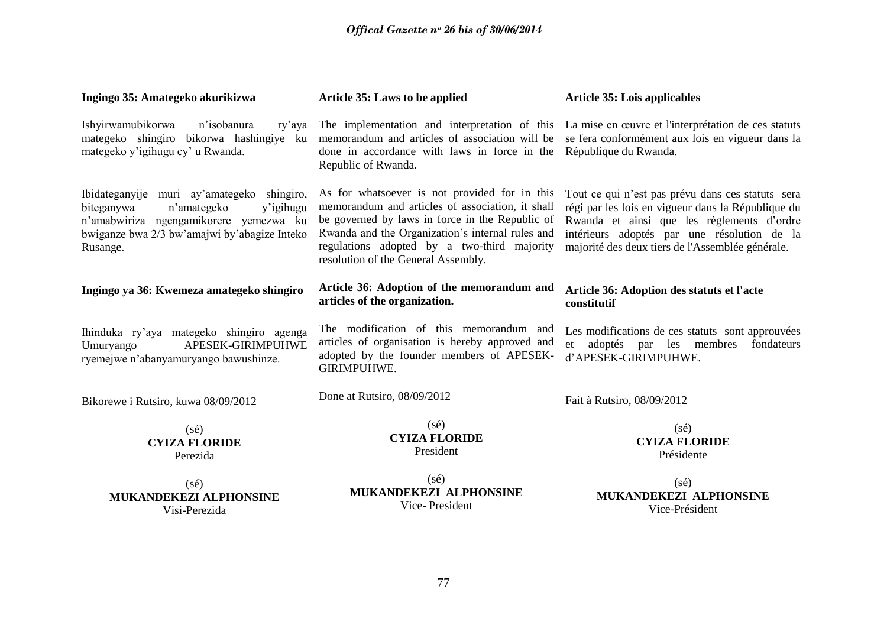| Ingingo 35: Amategeko akurikizwa                                                                                                                                                           | Article 35: Laws to be applied                                                                                                                                                                                                                                                                 | <b>Article 35: Lois applicables</b>                                                                                                                                                                                                                      |  |
|--------------------------------------------------------------------------------------------------------------------------------------------------------------------------------------------|------------------------------------------------------------------------------------------------------------------------------------------------------------------------------------------------------------------------------------------------------------------------------------------------|----------------------------------------------------------------------------------------------------------------------------------------------------------------------------------------------------------------------------------------------------------|--|
| Ishyirwamubikorwa<br>n'isobanura<br>ry'aya<br>mategeko shingiro bikorwa hashingiye ku<br>mategeko y'igihugu cy' u Rwanda.                                                                  | The implementation and interpretation of this<br>memorandum and articles of association will be<br>done in accordance with laws in force in the<br>Republic of Rwanda.                                                                                                                         | La mise en œuvre et l'interprétation de ces statuts<br>se fera conformément aux lois en vigueur dans la<br>République du Rwanda.                                                                                                                         |  |
| Ibidateganyije muri ay'amategeko shingiro,<br>biteganywa<br>n'amategeko<br>y'igihugu<br>n'amabwiriza ngengamikorere yemezwa ku<br>bwiganze bwa 2/3 bw'amajwi by'abagize Inteko<br>Rusange. | As for whatsoever is not provided for in this<br>memorandum and articles of association, it shall<br>be governed by laws in force in the Republic of<br>Rwanda and the Organization's internal rules and<br>regulations adopted by a two-third majority<br>resolution of the General Assembly. | Tout ce qui n'est pas prévu dans ces statuts sera<br>régi par les lois en vigueur dans la République du<br>Rwanda et ainsi que les règlements d'ordre<br>intérieurs adoptés par une résolution de la<br>majorité des deux tiers de l'Assemblée générale. |  |
| Ingingo ya 36: Kwemeza amategeko shingiro                                                                                                                                                  | Article 36: Adoption of the memorandum and<br>articles of the organization.                                                                                                                                                                                                                    | Article 36: Adoption des statuts et l'acte<br>constitutif                                                                                                                                                                                                |  |
| Ihinduka ry'aya mategeko shingiro agenga<br>APESEK-GIRIMPUHWE<br>Umuryango<br>ryemejwe n'abanyamuryango bawushinze.                                                                        | The modification of this memorandum and<br>articles of organisation is hereby approved and<br>adopted by the founder members of APESEK-<br>GIRIMPUHWE.                                                                                                                                         | Les modifications de ces statuts sont approuvées<br>adoptés par les membres<br>fondateurs<br>et<br>d'APESEK-GIRIMPUHWE.                                                                                                                                  |  |
| Bikorewe i Rutsiro, kuwa 08/09/2012                                                                                                                                                        | Done at Rutsiro, 08/09/2012                                                                                                                                                                                                                                                                    | Fait à Rutsiro, 08/09/2012                                                                                                                                                                                                                               |  |
| $(s\acute{e})$<br><b>CYIZA FLORIDE</b><br>Perezida                                                                                                                                         | $(s\acute{e})$<br><b>CYIZA FLORIDE</b><br>President                                                                                                                                                                                                                                            | $(s\acute{e})$<br><b>CYIZA FLORIDE</b><br>Présidente                                                                                                                                                                                                     |  |
| $(s\acute{e})$<br>MUKANDEKEZI ALPHONSINE<br>Visi-Perezida                                                                                                                                  | $(s\acute{e})$<br>MUKANDEKEZI ALPHONSINE<br>Vice-President                                                                                                                                                                                                                                     | $(s\acute{e})$<br>MUKANDEKEZI ALPHONSINE<br>Vice-Président                                                                                                                                                                                               |  |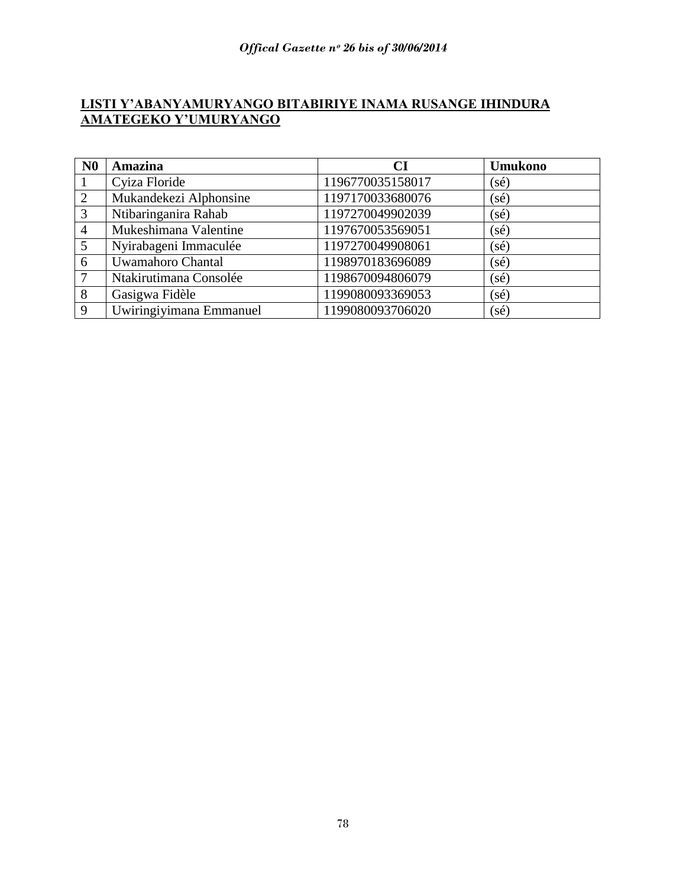# **LISTI Y'ABANYAMURYANGO BITABIRIYE INAMA RUSANGE IHINDURA AMATEGEKO Y'UMURYANGO**

| N <sub>0</sub> | <b>Amazina</b>          | <b>CI</b>        | <b>Umukono</b> |
|----------------|-------------------------|------------------|----------------|
|                | Cyiza Floride           | 1196770035158017 | $(s\acute{e})$ |
| 2              | Mukandekezi Alphonsine  | 1197170033680076 | $(s\acute{e})$ |
| 3              | Ntibaringanira Rahab    | 1197270049902039 | $(s\acute{e})$ |
| $\overline{4}$ | Mukeshimana Valentine   | 1197670053569051 | $(s\acute{e})$ |
| 5              | Nyirabageni Immaculée   | 1197270049908061 | $(s\acute{e})$ |
| 6              | Uwamahoro Chantal       | 1198970183696089 | $(s\acute{e})$ |
|                | Ntakirutimana Consolée  | 1198670094806079 | $(s\acute{e})$ |
| 8              | Gasigwa Fidèle          | 1199080093369053 | $(s\acute{e})$ |
| 9              | Uwiringiyimana Emmanuel | 1199080093706020 | $(s\acute{e})$ |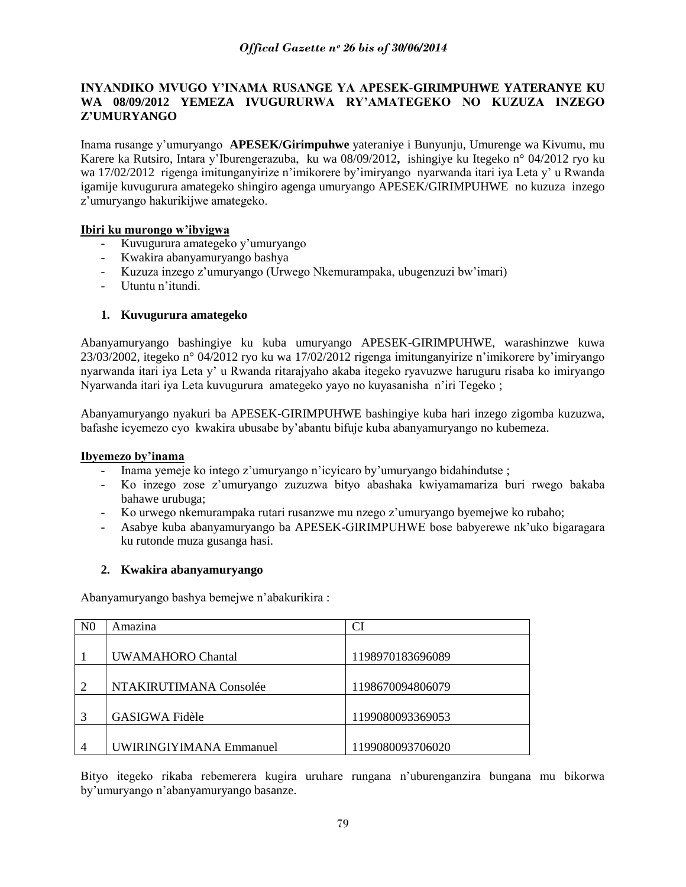### **INYANDIKO MVUGO Y'INAMA RUSANGE YA APESEK-GIRIMPUHWE YATERANYE KU WA 08/09/2012 YEMEZA IVUGURURWA RY'AMATEGEKO NO KUZUZA INZEGO Z'UMURYANGO**

Inama rusange y"umuryango **APESEK/Girimpuhwe** yateraniye i Bunyunju, Umurenge wa Kivumu, mu Karere ka Rutsiro, Intara y"Iburengerazuba, ku wa 08/09/2012**,** ishingiye ku Itegeko n° 04/2012 ryo ku wa 17/02/2012 rigenga imitunganyirize n'imikorere by'imiryango nyarwanda itari iya Leta y' u Rwanda igamije kuvugurura amategeko shingiro agenga umuryango APESEK/GIRIMPUHWE no kuzuza inzego z"umuryango hakurikijwe amategeko.

### **Ibiri ku murongo w'ibyigwa**

- Kuvugurura amategeko y"umuryango
- Kwakira abanyamuryango bashya
- Kuzuza inzego z'umuryango (Urwego Nkemurampaka, ubugenzuzi bw'imari)
- Utuntu n"itundi.

### **1. Kuvugurura amategeko**

Abanyamuryango bashingiye ku kuba umuryango APESEK-GIRIMPUHWE, warashinzwe kuwa 23/03/2002, itegeko n° 04/2012 ryo ku wa 17/02/2012 rigenga imitunganyirize n"imikorere by"imiryango nyarwanda itari iya Leta y" u Rwanda ritarajyaho akaba itegeko ryavuzwe haruguru risaba ko imiryango Nyarwanda itari iya Leta kuvugurura amategeko yayo no kuyasanisha n"iri Tegeko ;

Abanyamuryango nyakuri ba APESEK-GIRIMPUHWE bashingiye kuba hari inzego zigomba kuzuzwa, bafashe icyemezo cyo kwakira ubusabe by"abantu bifuje kuba abanyamuryango no kubemeza.

### **Ibyemezo by'inama**

- Inama yemeje ko intego z'umuryango n'icyicaro by'umuryango bidahindutse ;
- Ko inzego zose z"umuryango zuzuzwa bityo abashaka kwiyamamariza buri rwego bakaba bahawe urubuga;
- Ko urwego nkemurampaka rutari rusanzwe mu nzego z"umuryango byemejwe ko rubaho;
- Asabye kuba abanyamuryango ba APESEK-GIRIMPUHWE bose babyerewe nk"uko bigaragara ku rutonde muza gusanga hasi.

### **2. Kwakira abanyamuryango**

Abanyamuryango bashya bemejwe n"abakurikira :

| N <sub>0</sub> | Amazina                        | CI               |
|----------------|--------------------------------|------------------|
|                |                                |                  |
|                | <b>UWAMAHORO Chantal</b>       | 1198970183696089 |
|                |                                |                  |
|                | NTAKIRUTIMANA Consolée         | 1198670094806079 |
|                |                                |                  |
|                | <b>GASIGWA Fidèle</b>          | 1199080093369053 |
|                |                                |                  |
|                | <b>UWIRINGIYIMANA Emmanuel</b> | 1199080093706020 |

Bityo itegeko rikaba rebemerera kugira uruhare rungana n"uburenganzira bungana mu bikorwa by"umuryango n"abanyamuryango basanze.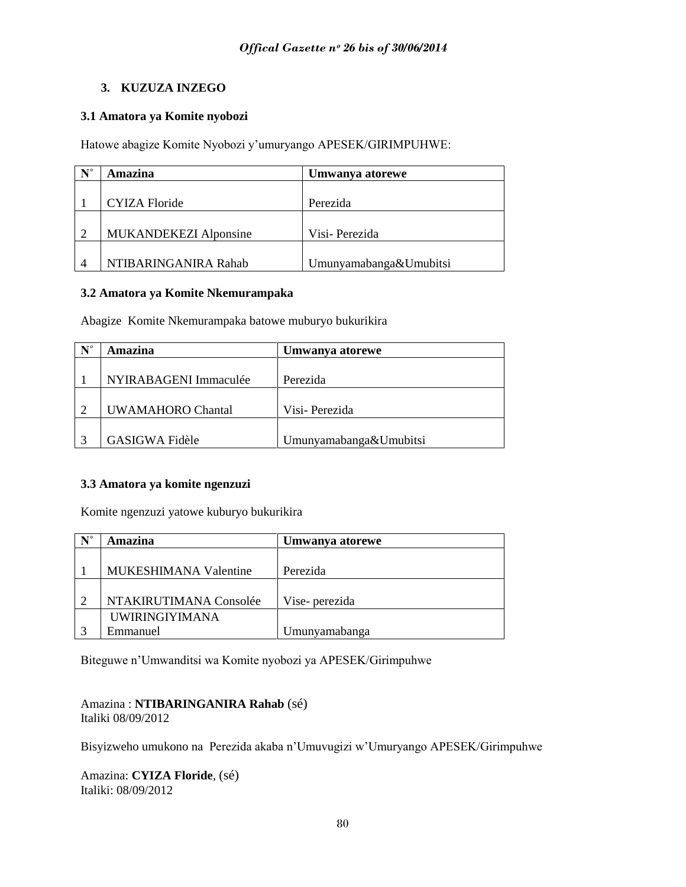### **3. KUZUZA INZEGO**

### **3.1 Amatora ya Komite nyobozi**

Hatowe abagize Komite Nyobozi y"umuryango APESEK/GIRIMPUHWE:

| $N^{\circ}$ | Amazina                      | Umwanya atorewe        |
|-------------|------------------------------|------------------------|
|             |                              |                        |
|             | CYIZA Floride                | Perezida               |
|             |                              |                        |
| 2           | <b>MUKANDEKEZI Alponsine</b> | Visi-Perezida          |
|             |                              |                        |
|             | NTIBARINGANIRA Rahab         | Umunyamabanga&Umubitsi |

### **3.2 Amatora ya Komite Nkemurampaka**

Abagize Komite Nkemurampaka batowe muburyo bukurikira

| $\mathbf{N}^{\circ}$ | Amazina                  | Umwanya atorewe        |
|----------------------|--------------------------|------------------------|
|                      |                          |                        |
|                      | NYIRABAGENI Immaculée    | Perezida               |
|                      |                          |                        |
| ⌒                    | <b>UWAMAHORO Chantal</b> | Visi-Perezida          |
|                      |                          |                        |
|                      | GASIGWA Fidèle           | Umunyamabanga&Umubitsi |

### **3.3 Amatora ya komite ngenzuzi**

Komite ngenzuzi yatowe kuburyo bukurikira

| $N^{\circ}$ | Amazina                | Umwanya atorewe |
|-------------|------------------------|-----------------|
|             |                        |                 |
|             | MUKESHIMANA Valentine  | Perezida        |
|             |                        |                 |
| $\bigcirc$  | NTAKIRUTIMANA Consolée | Vise- perezida  |
|             | <b>UWIRINGIYIMANA</b>  |                 |
|             | Emmanuel               | Umunyamabanga   |

Biteguwe n"Umwanditsi wa Komite nyobozi ya APESEK/Girimpuhwe

Amazina : **NTIBARINGANIRA Rahab** (sé) Italiki 08/09/2012

Bisyizweho umukono na Perezida akaba n"Umuvugizi w"Umuryango APESEK/Girimpuhwe

Amazina: **CYIZA Floride**, (sé) Italiki: 08/09/2012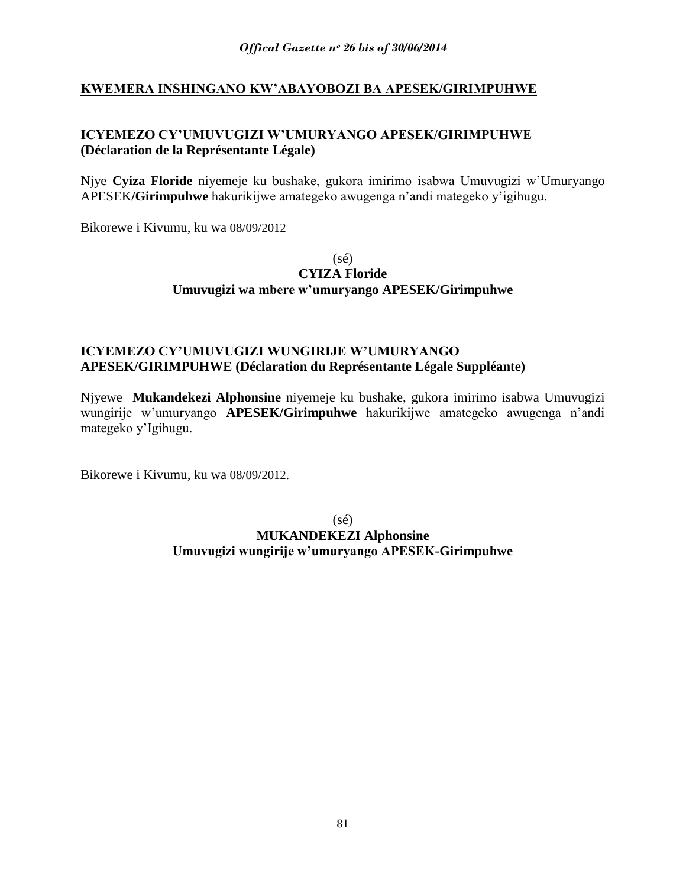# **KWEMERA INSHINGANO KW'ABAYOBOZI BA APESEK/GIRIMPUHWE**

# **ICYEMEZO CY'UMUVUGIZI W'UMURYANGO APESEK/GIRIMPUHWE (Déclaration de la Représentante Légale)**

Njye **Cyiza Floride** niyemeje ku bushake, gukora imirimo isabwa Umuvugizi w"Umuryango APESEK**/Girimpuhwe** hakurikijwe amategeko awugenga n"andi mategeko y"igihugu.

Bikorewe i Kivumu, ku wa 08/09/2012

(sé)

### **CYIZA Floride Umuvugizi wa mbere w'umuryango APESEK/Girimpuhwe**

# **ICYEMEZO CY'UMUVUGIZI WUNGIRIJE W'UMURYANGO APESEK/GIRIMPUHWE (Déclaration du Représentante Légale Suppléante)**

Njyewe **Mukandekezi Alphonsine** niyemeje ku bushake, gukora imirimo isabwa Umuvugizi wungirije w"umuryango **APESEK/Girimpuhwe** hakurikijwe amategeko awugenga n"andi mategeko y"Igihugu.

Bikorewe i Kivumu, ku wa 08/09/2012.

(sé) **MUKANDEKEZI Alphonsine Umuvugizi wungirije w'umuryango APESEK-Girimpuhwe**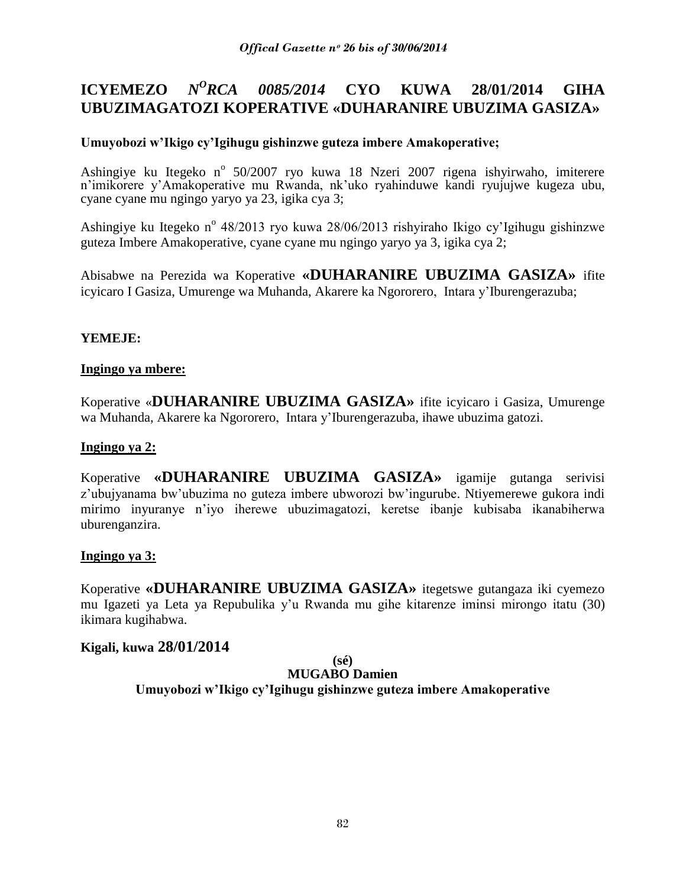#### **ICYEMEZO** *N <sup>O</sup>RCA 0085/2014* **CYO KUWA 28/01/2014 GIHA UBUZIMAGATOZI KOPERATIVE «DUHARANIRE UBUZIMA GASIZA»**

# **Umuyobozi w'Ikigo cy'Igihugu gishinzwe guteza imbere Amakoperative;**

Ashingiye ku Itegeko n<sup>o</sup> 50/2007 ryo kuwa 18 Nzeri 2007 rigena ishyirwaho, imiterere n"imikorere y"Amakoperative mu Rwanda, nk"uko ryahinduwe kandi ryujujwe kugeza ubu, cyane cyane mu ngingo yaryo ya 23, igika cya 3;

Ashingiye ku Itegeko n<sup>o</sup> 48/2013 ryo kuwa 28/06/2013 rishyiraho Ikigo cy'Igihugu gishinzwe guteza Imbere Amakoperative, cyane cyane mu ngingo yaryo ya 3, igika cya 2;

Abisabwe na Perezida wa Koperative **«DUHARANIRE UBUZIMA GASIZA»** ifite icyicaro I Gasiza, Umurenge wa Muhanda, Akarere ka Ngororero, Intara y"Iburengerazuba;

# **YEMEJE:**

### **Ingingo ya mbere:**

Koperative «**DUHARANIRE UBUZIMA GASIZA»** ifite icyicaro i Gasiza, Umurenge wa Muhanda, Akarere ka Ngororero, Intara y"Iburengerazuba, ihawe ubuzima gatozi.

### **Ingingo ya 2:**

Koperative **«DUHARANIRE UBUZIMA GASIZA»** igamije gutanga serivisi z"ubujyanama bw"ubuzima no guteza imbere ubworozi bw"ingurube. Ntiyemerewe gukora indi mirimo inyuranye n"iyo iherewe ubuzimagatozi, keretse ibanje kubisaba ikanabiherwa uburenganzira.

### **Ingingo ya 3:**

Koperative **«DUHARANIRE UBUZIMA GASIZA»** itegetswe gutangaza iki cyemezo mu Igazeti ya Leta ya Repubulika y"u Rwanda mu gihe kitarenze iminsi mirongo itatu (30) ikimara kugihabwa.

### **Kigali, kuwa 28/01/2014**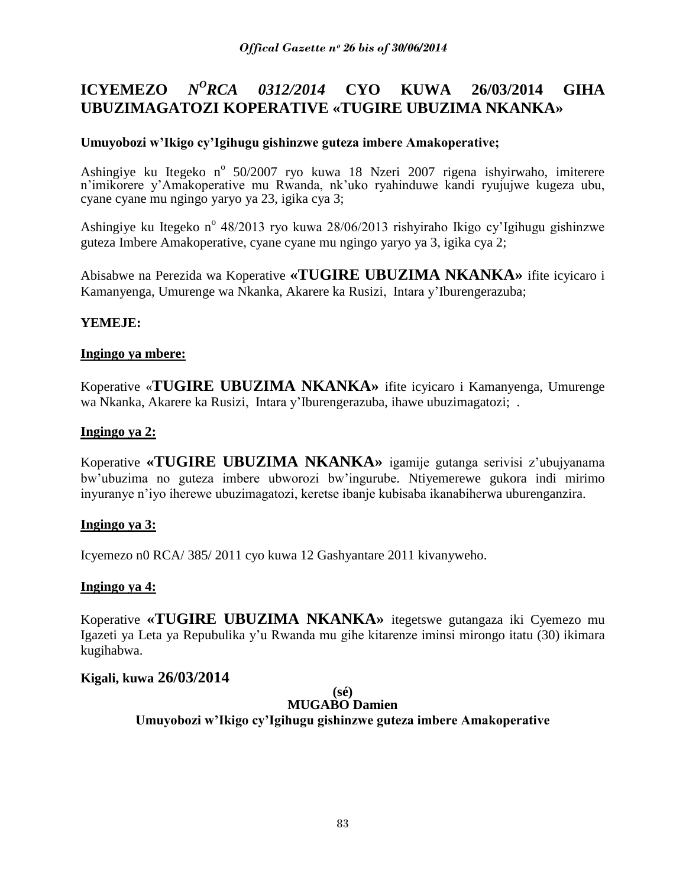#### **ICYEMEZO** *N <sup>O</sup>RCA 0312/2014* **CYO KUWA 26/03/2014 GIHA UBUZIMAGATOZI KOPERATIVE «TUGIRE UBUZIMA NKANKA»**

# **Umuyobozi w'Ikigo cy'Igihugu gishinzwe guteza imbere Amakoperative;**

Ashingiye ku Itegeko n<sup>o</sup> 50/2007 ryo kuwa 18 Nzeri 2007 rigena ishyirwaho, imiterere n"imikorere y"Amakoperative mu Rwanda, nk"uko ryahinduwe kandi ryujujwe kugeza ubu, cyane cyane mu ngingo yaryo ya 23, igika cya 3;

Ashingiye ku Itegeko n<sup>o</sup> 48/2013 ryo kuwa 28/06/2013 rishyiraho Ikigo cy'Igihugu gishinzwe guteza Imbere Amakoperative, cyane cyane mu ngingo yaryo ya 3, igika cya 2;

Abisabwe na Perezida wa Koperative **«TUGIRE UBUZIMA NKANKA»** ifite icyicaro i Kamanyenga, Umurenge wa Nkanka, Akarere ka Rusizi, Intara y"Iburengerazuba;

# **YEMEJE:**

### **Ingingo ya mbere:**

Koperative «**TUGIRE UBUZIMA NKANKA»** ifite icyicaro i Kamanyenga, Umurenge wa Nkanka, Akarere ka Rusizi, Intara y"Iburengerazuba, ihawe ubuzimagatozi; .

### **Ingingo ya 2:**

Koperative **«TUGIRE UBUZIMA NKANKA»** igamije gutanga serivisi z"ubujyanama bw"ubuzima no guteza imbere ubworozi bw"ingurube. Ntiyemerewe gukora indi mirimo inyuranye n"iyo iherewe ubuzimagatozi, keretse ibanje kubisaba ikanabiherwa uburenganzira.

### **Ingingo ya 3:**

Icyemezo n0 RCA/ 385/ 2011 cyo kuwa 12 Gashyantare 2011 kivanyweho.

### **Ingingo ya 4:**

Koperative **«TUGIRE UBUZIMA NKANKA»** itegetswe gutangaza iki Cyemezo mu Igazeti ya Leta ya Repubulika y"u Rwanda mu gihe kitarenze iminsi mirongo itatu (30) ikimara kugihabwa.

### **Kigali, kuwa 26/03/2014**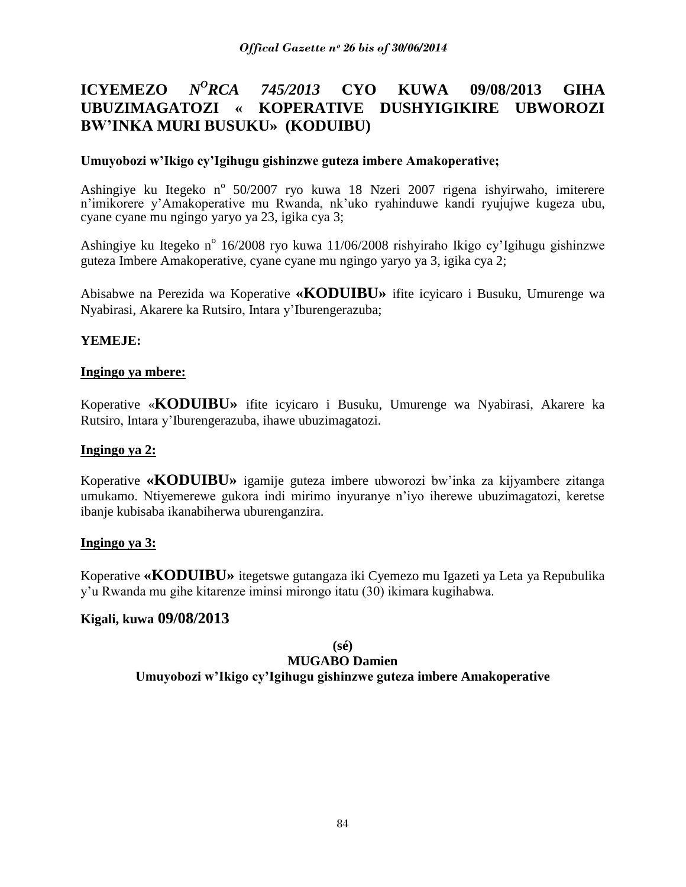#### **ICYEMEZO** *N <sup>O</sup>RCA 745/2013* **CYO KUWA 09/08/2013 GIHA UBUZIMAGATOZI « KOPERATIVE DUSHYIGIKIRE UBWOROZI BW'INKA MURI BUSUKU» (KODUIBU)**

### **Umuyobozi w'Ikigo cy'Igihugu gishinzwe guteza imbere Amakoperative;**

Ashingiye ku Itegeko n<sup>o</sup> 50/2007 ryo kuwa 18 Nzeri 2007 rigena ishyirwaho, imiterere n"imikorere y"Amakoperative mu Rwanda, nk"uko ryahinduwe kandi ryujujwe kugeza ubu, cyane cyane mu ngingo yaryo ya 23, igika cya 3;

Ashingiye ku Itegeko n<sup>o</sup> 16/2008 ryo kuwa 11/06/2008 rishyiraho Ikigo cy'Igihugu gishinzwe guteza Imbere Amakoperative, cyane cyane mu ngingo yaryo ya 3, igika cya 2;

Abisabwe na Perezida wa Koperative **«KODUIBU»** ifite icyicaro i Busuku, Umurenge wa Nyabirasi, Akarere ka Rutsiro, Intara y"Iburengerazuba;

### **YEMEJE:**

### **Ingingo ya mbere:**

Koperative «**KODUIBU»** ifite icyicaro i Busuku, Umurenge wa Nyabirasi, Akarere ka Rutsiro, Intara y"Iburengerazuba, ihawe ubuzimagatozi.

### **Ingingo ya 2:**

Koperative **«KODUIBU»** igamije guteza imbere ubworozi bw"inka za kijyambere zitanga umukamo. Ntiyemerewe gukora indi mirimo inyuranye n"iyo iherewe ubuzimagatozi, keretse ibanje kubisaba ikanabiherwa uburenganzira.

### **Ingingo ya 3:**

Koperative **«KODUIBU»** itegetswe gutangaza iki Cyemezo mu Igazeti ya Leta ya Repubulika y"u Rwanda mu gihe kitarenze iminsi mirongo itatu (30) ikimara kugihabwa.

### **Kigali, kuwa 09/08/2013**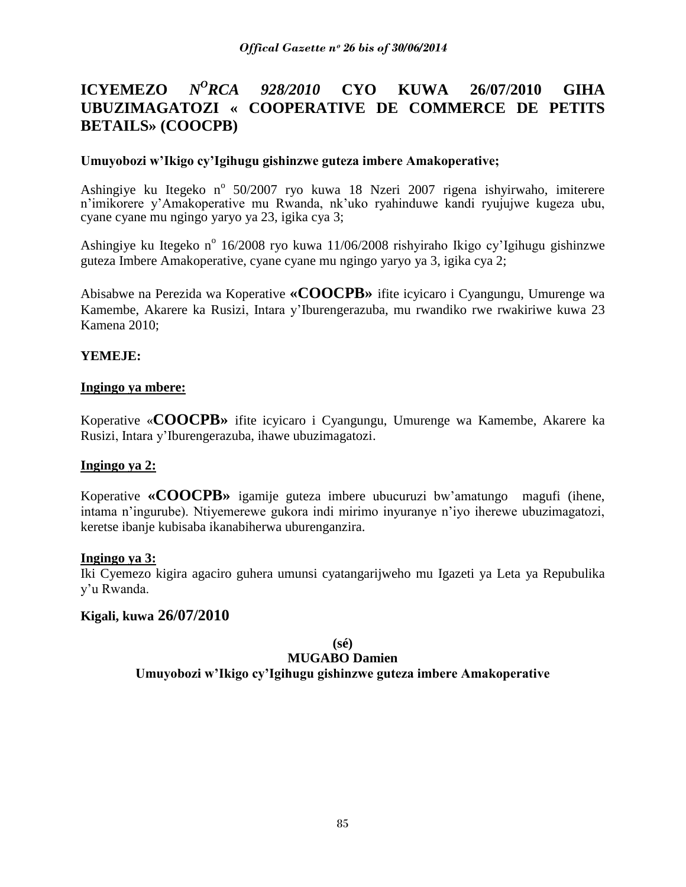#### **ICYEMEZO** *N <sup>O</sup>RCA 928/2010* **CYO KUWA 26/07/2010 GIHA UBUZIMAGATOZI « COOPERATIVE DE COMMERCE DE PETITS BETAILS» (COOCPB)**

### **Umuyobozi w'Ikigo cy'Igihugu gishinzwe guteza imbere Amakoperative;**

Ashingiye ku Itegeko n<sup>o</sup> 50/2007 ryo kuwa 18 Nzeri 2007 rigena ishyirwaho, imiterere n"imikorere y"Amakoperative mu Rwanda, nk"uko ryahinduwe kandi ryujujwe kugeza ubu, cyane cyane mu ngingo yaryo ya 23, igika cya 3;

Ashingiye ku Itegeko n<sup>o</sup> 16/2008 ryo kuwa 11/06/2008 rishyiraho Ikigo cy'Igihugu gishinzwe guteza Imbere Amakoperative, cyane cyane mu ngingo yaryo ya 3, igika cya 2;

Abisabwe na Perezida wa Koperative **«COOCPB»** ifite icyicaro i Cyangungu, Umurenge wa Kamembe, Akarere ka Rusizi, Intara y"Iburengerazuba, mu rwandiko rwe rwakiriwe kuwa 23 Kamena 2010;

### **YEMEJE:**

### **Ingingo ya mbere:**

Koperative «**COOCPB»** ifite icyicaro i Cyangungu, Umurenge wa Kamembe, Akarere ka Rusizi, Intara y"Iburengerazuba, ihawe ubuzimagatozi.

### **Ingingo ya 2:**

Koperative **«COOCPB»** igamije guteza imbere ubucuruzi bw"amatungo magufi (ihene, intama n"ingurube). Ntiyemerewe gukora indi mirimo inyuranye n"iyo iherewe ubuzimagatozi, keretse ibanje kubisaba ikanabiherwa uburenganzira.

### **Ingingo ya 3:**

Iki Cyemezo kigira agaciro guhera umunsi cyatangarijweho mu Igazeti ya Leta ya Repubulika y"u Rwanda.

### **Kigali, kuwa 26/07/2010**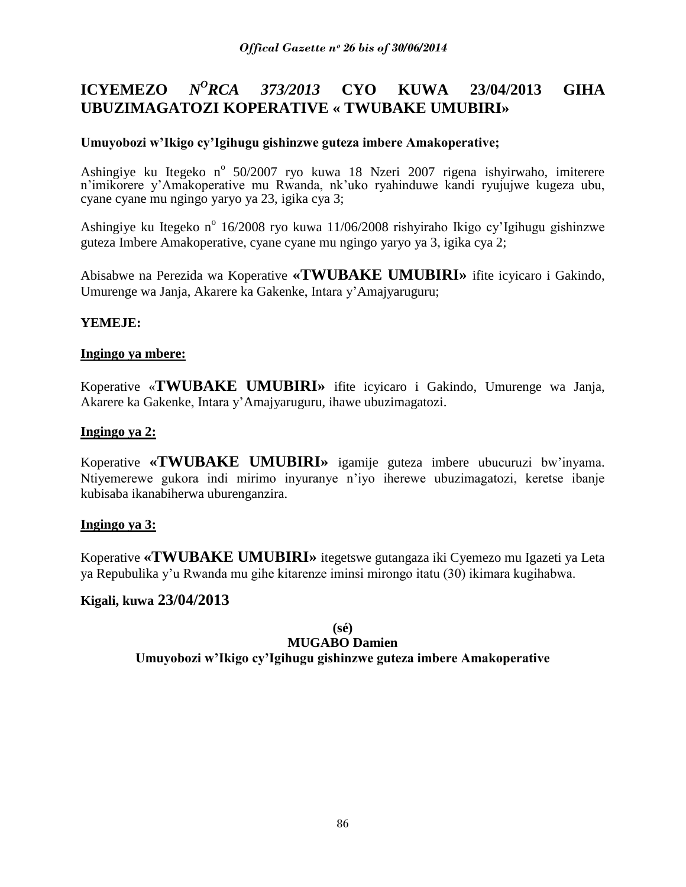#### **ICYEMEZO** *N <sup>O</sup>RCA 373/2013* **CYO KUWA 23/04/2013 GIHA UBUZIMAGATOZI KOPERATIVE « TWUBAKE UMUBIRI»**

# **Umuyobozi w'Ikigo cy'Igihugu gishinzwe guteza imbere Amakoperative;**

Ashingiye ku Itegeko n<sup>o</sup> 50/2007 ryo kuwa 18 Nzeri 2007 rigena ishyirwaho, imiterere n"imikorere y"Amakoperative mu Rwanda, nk"uko ryahinduwe kandi ryujujwe kugeza ubu, cyane cyane mu ngingo yaryo ya 23, igika cya 3;

Ashingiye ku Itegeko n<sup>o</sup> 16/2008 ryo kuwa 11/06/2008 rishyiraho Ikigo cy'Igihugu gishinzwe guteza Imbere Amakoperative, cyane cyane mu ngingo yaryo ya 3, igika cya 2;

Abisabwe na Perezida wa Koperative **«TWUBAKE UMUBIRI»** ifite icyicaro i Gakindo, Umurenge wa Janja, Akarere ka Gakenke, Intara y"Amajyaruguru;

# **YEMEJE:**

### **Ingingo ya mbere:**

Koperative «**TWUBAKE UMUBIRI»** ifite icyicaro i Gakindo, Umurenge wa Janja, Akarere ka Gakenke, Intara y"Amajyaruguru, ihawe ubuzimagatozi.

### **Ingingo ya 2:**

Koperative **«TWUBAKE UMUBIRI»** igamije guteza imbere ubucuruzi bw"inyama. Ntiyemerewe gukora indi mirimo inyuranye n"iyo iherewe ubuzimagatozi, keretse ibanje kubisaba ikanabiherwa uburenganzira.

### **Ingingo ya 3:**

Koperative **«TWUBAKE UMUBIRI»** itegetswe gutangaza iki Cyemezo mu Igazeti ya Leta ya Repubulika y"u Rwanda mu gihe kitarenze iminsi mirongo itatu (30) ikimara kugihabwa.

### **Kigali, kuwa 23/04/2013**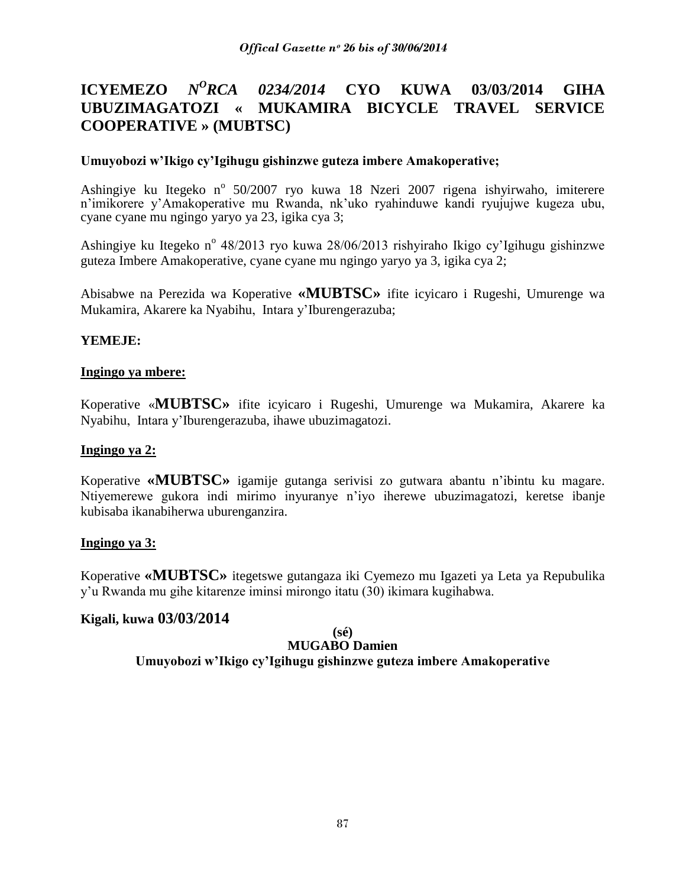#### **ICYEMEZO** *N <sup>O</sup>RCA 0234/2014* **CYO KUWA 03/03/2014 GIHA UBUZIMAGATOZI « MUKAMIRA BICYCLE TRAVEL SERVICE COOPERATIVE » (MUBTSC)**

### **Umuyobozi w'Ikigo cy'Igihugu gishinzwe guteza imbere Amakoperative;**

Ashingiye ku Itegeko n<sup>o</sup> 50/2007 ryo kuwa 18 Nzeri 2007 rigena ishyirwaho, imiterere n"imikorere y"Amakoperative mu Rwanda, nk"uko ryahinduwe kandi ryujujwe kugeza ubu, cyane cyane mu ngingo yaryo ya 23, igika cya 3;

Ashingiye ku Itegeko n<sup>o</sup> 48/2013 ryo kuwa 28/06/2013 rishyiraho Ikigo cy'Igihugu gishinzwe guteza Imbere Amakoperative, cyane cyane mu ngingo yaryo ya 3, igika cya 2;

Abisabwe na Perezida wa Koperative **«MUBTSC»** ifite icyicaro i Rugeshi, Umurenge wa Mukamira, Akarere ka Nyabihu, Intara y"Iburengerazuba;

### **YEMEJE:**

### **Ingingo ya mbere:**

Koperative «**MUBTSC»** ifite icyicaro i Rugeshi, Umurenge wa Mukamira, Akarere ka Nyabihu, Intara y"Iburengerazuba, ihawe ubuzimagatozi.

### **Ingingo ya 2:**

Koperative **«MUBTSC»** igamije gutanga serivisi zo gutwara abantu n"ibintu ku magare. Ntiyemerewe gukora indi mirimo inyuranye n"iyo iherewe ubuzimagatozi, keretse ibanje kubisaba ikanabiherwa uburenganzira.

### **Ingingo ya 3:**

Koperative **«MUBTSC»** itegetswe gutangaza iki Cyemezo mu Igazeti ya Leta ya Repubulika y"u Rwanda mu gihe kitarenze iminsi mirongo itatu (30) ikimara kugihabwa.

### **Kigali, kuwa 03/03/2014**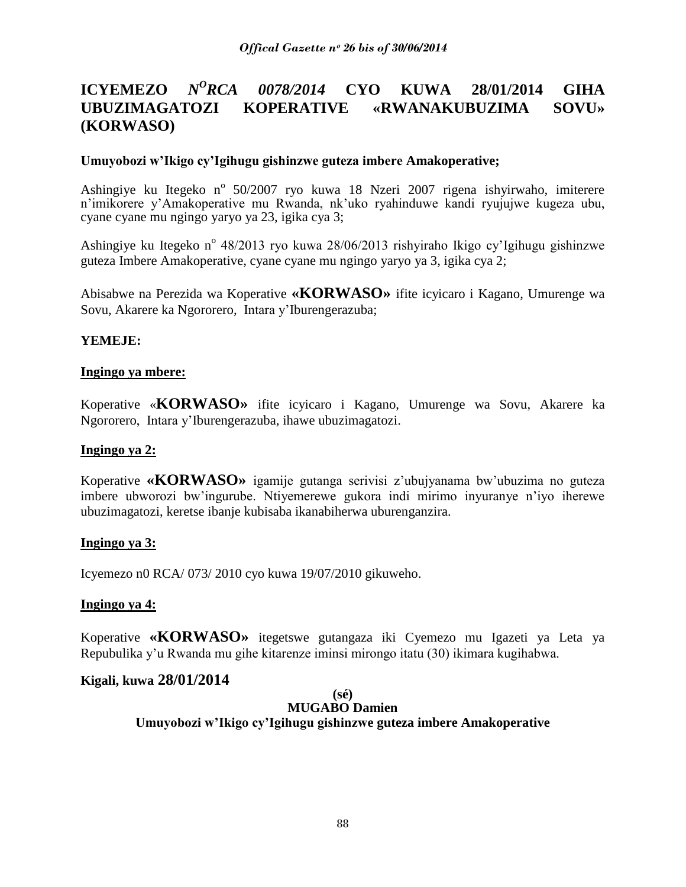#### **ICYEMEZO** *N <sup>O</sup>RCA 0078/2014* **CYO KUWA 28/01/2014 GIHA UBUZIMAGATOZI KOPERATIVE «RWANAKUBUZIMA SOVU» (KORWASO)**

### **Umuyobozi w'Ikigo cy'Igihugu gishinzwe guteza imbere Amakoperative;**

Ashingiye ku Itegeko n<sup>o</sup> 50/2007 ryo kuwa 18 Nzeri 2007 rigena ishyirwaho, imiterere n"imikorere y"Amakoperative mu Rwanda, nk"uko ryahinduwe kandi ryujujwe kugeza ubu, cyane cyane mu ngingo yaryo ya 23, igika cya 3;

Ashingiye ku Itegeko n<sup>o</sup> 48/2013 ryo kuwa 28/06/2013 rishyiraho Ikigo cy'Igihugu gishinzwe guteza Imbere Amakoperative, cyane cyane mu ngingo yaryo ya 3, igika cya 2;

Abisabwe na Perezida wa Koperative **«KORWASO»** ifite icyicaro i Kagano, Umurenge wa Sovu, Akarere ka Ngororero, Intara y"Iburengerazuba;

### **YEMEJE:**

### **Ingingo ya mbere:**

Koperative «**KORWASO»** ifite icyicaro i Kagano, Umurenge wa Sovu, Akarere ka Ngororero, Intara y"Iburengerazuba, ihawe ubuzimagatozi.

### **Ingingo ya 2:**

Koperative **«KORWASO»** igamije gutanga serivisi z"ubujyanama bw"ubuzima no guteza imbere ubworozi bw"ingurube. Ntiyemerewe gukora indi mirimo inyuranye n"iyo iherewe ubuzimagatozi, keretse ibanje kubisaba ikanabiherwa uburenganzira.

### **Ingingo ya 3:**

Icyemezo n0 RCA/ 073/ 2010 cyo kuwa 19/07/2010 gikuweho.

### **Ingingo ya 4:**

Koperative **«KORWASO»** itegetswe gutangaza iki Cyemezo mu Igazeti ya Leta ya Repubulika y"u Rwanda mu gihe kitarenze iminsi mirongo itatu (30) ikimara kugihabwa.

### **Kigali, kuwa 28/01/2014**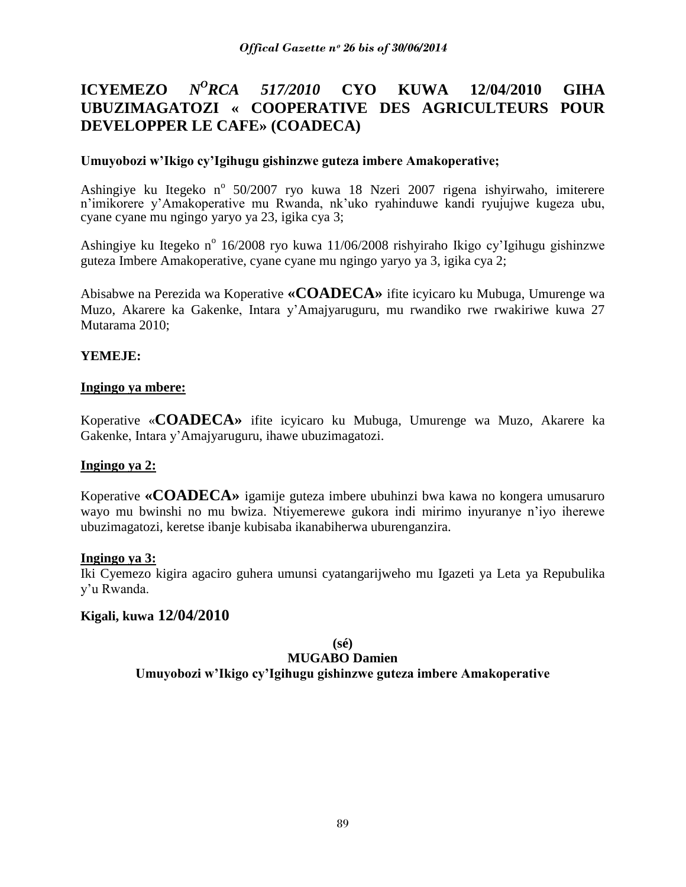#### **ICYEMEZO** *N <sup>O</sup>RCA 517/2010* **CYO KUWA 12/04/2010 GIHA UBUZIMAGATOZI « COOPERATIVE DES AGRICULTEURS POUR DEVELOPPER LE CAFE» (COADECA)**

# **Umuyobozi w'Ikigo cy'Igihugu gishinzwe guteza imbere Amakoperative;**

Ashingiye ku Itegeko n<sup>o</sup> 50/2007 ryo kuwa 18 Nzeri 2007 rigena ishyirwaho, imiterere n"imikorere y"Amakoperative mu Rwanda, nk"uko ryahinduwe kandi ryujujwe kugeza ubu, cyane cyane mu ngingo yaryo ya 23, igika cya 3;

Ashingiye ku Itegeko n<sup>o</sup> 16/2008 ryo kuwa 11/06/2008 rishyiraho Ikigo cy'Igihugu gishinzwe guteza Imbere Amakoperative, cyane cyane mu ngingo yaryo ya 3, igika cya 2;

Abisabwe na Perezida wa Koperative **«COADECA»** ifite icyicaro ku Mubuga, Umurenge wa Muzo, Akarere ka Gakenke, Intara y"Amajyaruguru, mu rwandiko rwe rwakiriwe kuwa 27 Mutarama 2010;

# **YEMEJE:**

# **Ingingo ya mbere:**

Koperative «**COADECA»** ifite icyicaro ku Mubuga, Umurenge wa Muzo, Akarere ka Gakenke, Intara y"Amajyaruguru, ihawe ubuzimagatozi.

### **Ingingo ya 2:**

Koperative **«COADECA»** igamije guteza imbere ubuhinzi bwa kawa no kongera umusaruro wayo mu bwinshi no mu bwiza. Ntiyemerewe gukora indi mirimo inyuranye n"iyo iherewe ubuzimagatozi, keretse ibanje kubisaba ikanabiherwa uburenganzira.

### **Ingingo ya 3:**

Iki Cyemezo kigira agaciro guhera umunsi cyatangarijweho mu Igazeti ya Leta ya Repubulika y"u Rwanda.

### **Kigali, kuwa 12/04/2010**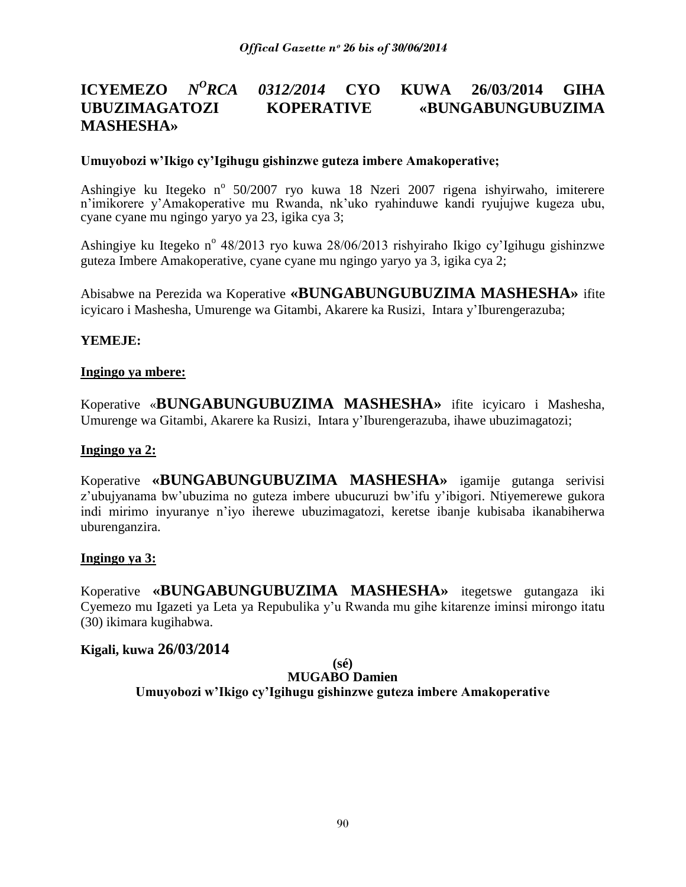### **ICYEMEZO** *N <sup>O</sup>RCA 0312/2014* **CYO KUWA 26/03/2014 GIHA UBUZIMAGATOZI KOPERATIVE «BUNGABUNGUBUZIMA MASHESHA»**

### **Umuyobozi w'Ikigo cy'Igihugu gishinzwe guteza imbere Amakoperative;**

Ashingiye ku Itegeko n<sup>o</sup> 50/2007 ryo kuwa 18 Nzeri 2007 rigena ishyirwaho, imiterere n"imikorere y"Amakoperative mu Rwanda, nk"uko ryahinduwe kandi ryujujwe kugeza ubu, cyane cyane mu ngingo yaryo ya 23, igika cya 3;

Ashingiye ku Itegeko n<sup>o</sup> 48/2013 ryo kuwa 28/06/2013 rishyiraho Ikigo cy'Igihugu gishinzwe guteza Imbere Amakoperative, cyane cyane mu ngingo yaryo ya 3, igika cya 2;

Abisabwe na Perezida wa Koperative **«BUNGABUNGUBUZIMA MASHESHA»** ifite icyicaro i Mashesha, Umurenge wa Gitambi, Akarere ka Rusizi, Intara y"Iburengerazuba;

### **YEMEJE:**

### **Ingingo ya mbere:**

Koperative «**BUNGABUNGUBUZIMA MASHESHA»** ifite icyicaro i Mashesha, Umurenge wa Gitambi, Akarere ka Rusizi, Intara y"Iburengerazuba, ihawe ubuzimagatozi;

### **Ingingo ya 2:**

Koperative **«BUNGABUNGUBUZIMA MASHESHA»** igamije gutanga serivisi z'ubujyanama bw'ubuzima no guteza imbere ubucuruzi bw'ifu y'ibigori. Ntiyemerewe gukora indi mirimo inyuranye n"iyo iherewe ubuzimagatozi, keretse ibanje kubisaba ikanabiherwa uburenganzira.

### **Ingingo ya 3:**

Koperative **«BUNGABUNGUBUZIMA MASHESHA»** itegetswe gutangaza iki Cyemezo mu Igazeti ya Leta ya Repubulika y"u Rwanda mu gihe kitarenze iminsi mirongo itatu (30) ikimara kugihabwa.

### **Kigali, kuwa 26/03/2014**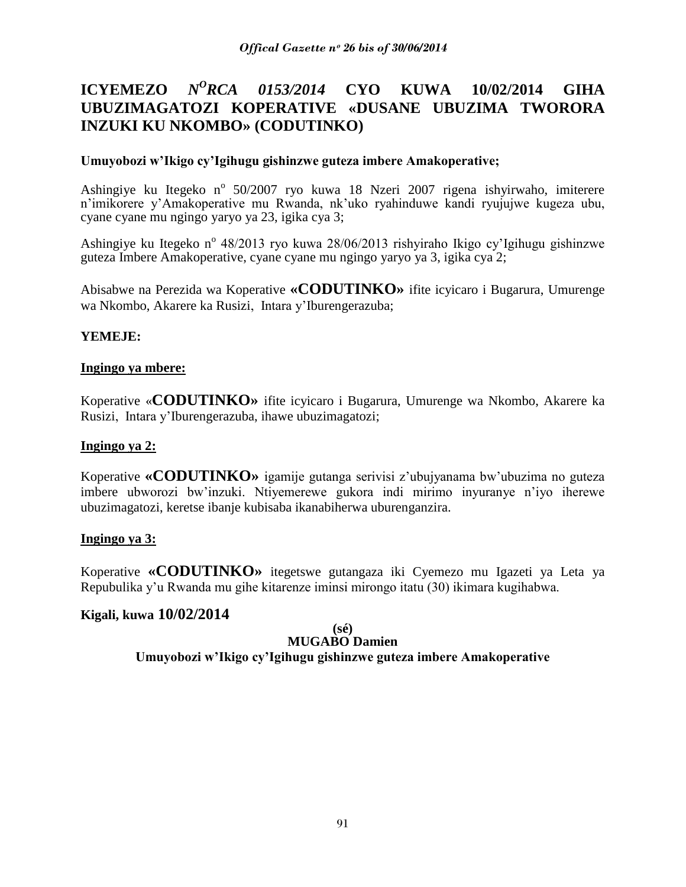#### **ICYEMEZO** *N <sup>O</sup>RCA 0153/2014* **CYO KUWA 10/02/2014 GIHA UBUZIMAGATOZI KOPERATIVE «DUSANE UBUZIMA TWORORA INZUKI KU NKOMBO» (CODUTINKO)**

### **Umuyobozi w'Ikigo cy'Igihugu gishinzwe guteza imbere Amakoperative;**

Ashingiye ku Itegeko n<sup>o</sup> 50/2007 ryo kuwa 18 Nzeri 2007 rigena ishyirwaho, imiterere n"imikorere y"Amakoperative mu Rwanda, nk"uko ryahinduwe kandi ryujujwe kugeza ubu, cyane cyane mu ngingo yaryo ya 23, igika cya 3;

Ashingiye ku Itegeko n<sup>o</sup> 48/2013 ryo kuwa 28/06/2013 rishyiraho Ikigo cy'Igihugu gishinzwe guteza Imbere Amakoperative, cyane cyane mu ngingo yaryo ya 3, igika cya 2;

Abisabwe na Perezida wa Koperative **«CODUTINKO»** ifite icyicaro i Bugarura, Umurenge wa Nkombo, Akarere ka Rusizi, Intara y"Iburengerazuba;

### **YEMEJE:**

### **Ingingo ya mbere:**

Koperative «**CODUTINKO»** ifite icyicaro i Bugarura, Umurenge wa Nkombo, Akarere ka Rusizi, Intara y"Iburengerazuba, ihawe ubuzimagatozi;

### **Ingingo ya 2:**

Koperative **«CODUTINKO»** igamije gutanga serivisi z"ubujyanama bw"ubuzima no guteza imbere ubworozi bw"inzuki. Ntiyemerewe gukora indi mirimo inyuranye n"iyo iherewe ubuzimagatozi, keretse ibanje kubisaba ikanabiherwa uburenganzira.

### **Ingingo ya 3:**

Koperative **«CODUTINKO»** itegetswe gutangaza iki Cyemezo mu Igazeti ya Leta ya Repubulika y"u Rwanda mu gihe kitarenze iminsi mirongo itatu (30) ikimara kugihabwa.

### **Kigali, kuwa 10/02/2014**